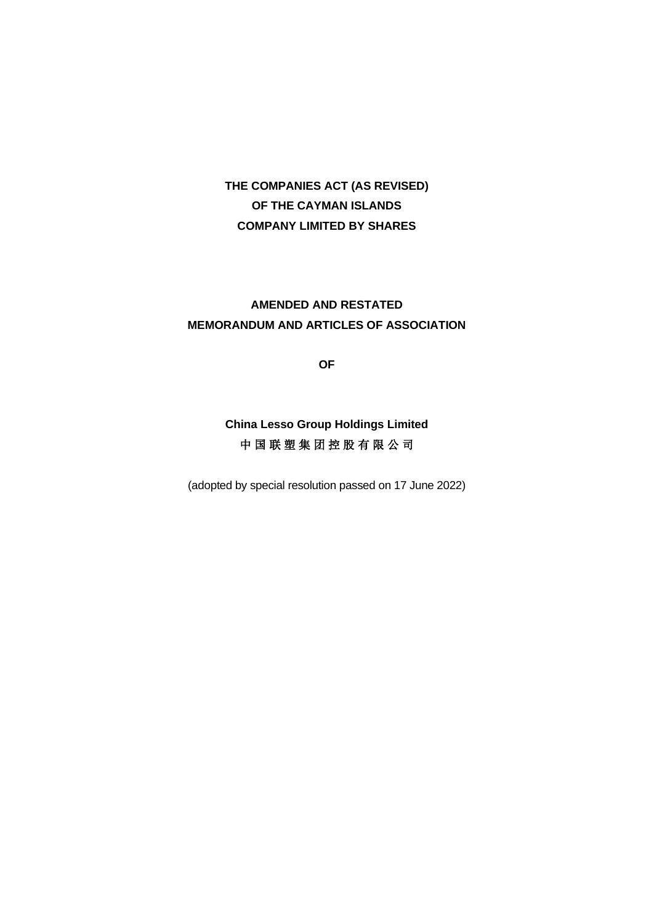# **THE COMPANIES ACT (AS REVISED) OF THE CAYMAN ISLANDS COMPANY LIMITED BY SHARES**

# **AMENDED AND RESTATED MEMORANDUM AND ARTICLES OF ASSOCIATION**

**OF**

# **China Lesso Group Holdings Limited** 中 国 联 塑 集 团 控 股 有 限 公 司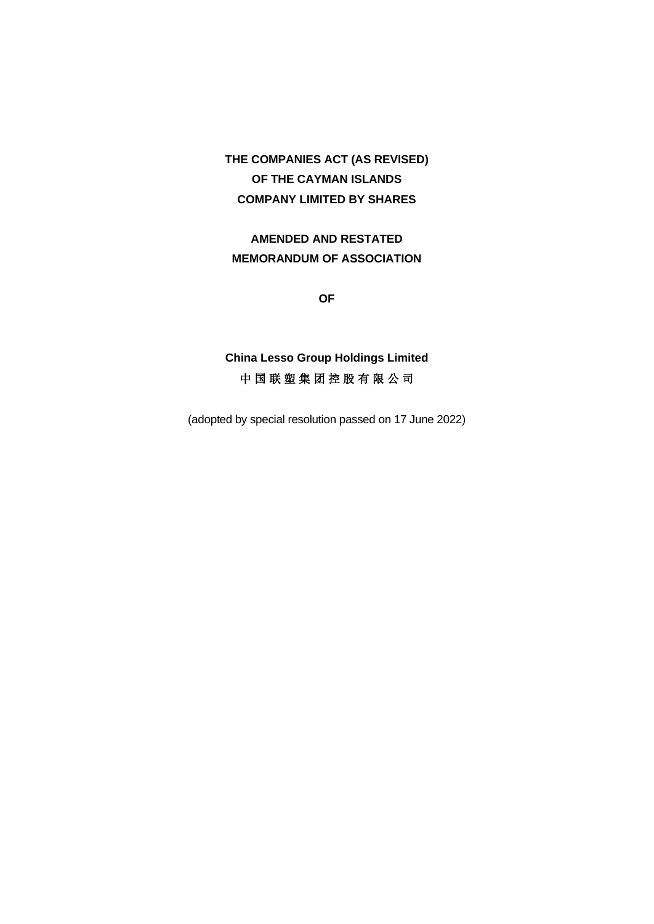# **THE COMPANIES ACT (AS REVISED) OF THE CAYMAN ISLANDS COMPANY LIMITED BY SHARES**

**AMENDED AND RESTATED MEMORANDUM OF ASSOCIATION**

**OF**

**China Lesso Group Holdings Limited** 中 国 联 塑 集 团 控 股 有 限 公 司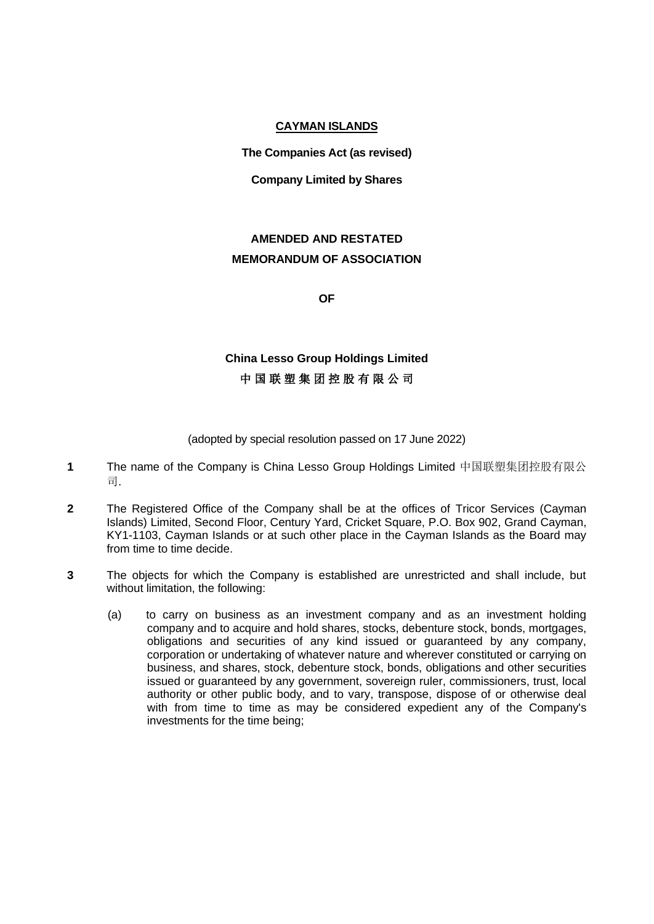## **CAYMAN ISLANDS**

**The Companies Act (as revised)**

## **Company Limited by Shares**

# **AMENDED AND RESTATED MEMORANDUM OF ASSOCIATION**

**OF**

# **China Lesso Group Holdings Limited** 中 国 联 塑 集 团 控 股 有 限 公 司

- **1** The name of the Company is China Lesso Group Holdings Limited 中国联塑集团控股有限公 司.
- **2** The Registered Office of the Company shall be at the offices of Tricor Services (Cayman Islands) Limited, Second Floor, Century Yard, Cricket Square, P.O. Box 902, Grand Cayman, KY1-1103, Cayman Islands or at such other place in the Cayman Islands as the Board may from time to time decide.
- **3** The objects for which the Company is established are unrestricted and shall include, but without limitation, the following:
	- (a) to carry on business as an investment company and as an investment holding company and to acquire and hold shares, stocks, debenture stock, bonds, mortgages, obligations and securities of any kind issued or guaranteed by any company, corporation or undertaking of whatever nature and wherever constituted or carrying on business, and shares, stock, debenture stock, bonds, obligations and other securities issued or guaranteed by any government, sovereign ruler, commissioners, trust, local authority or other public body, and to vary, transpose, dispose of or otherwise deal with from time to time as may be considered expedient any of the Company's investments for the time being;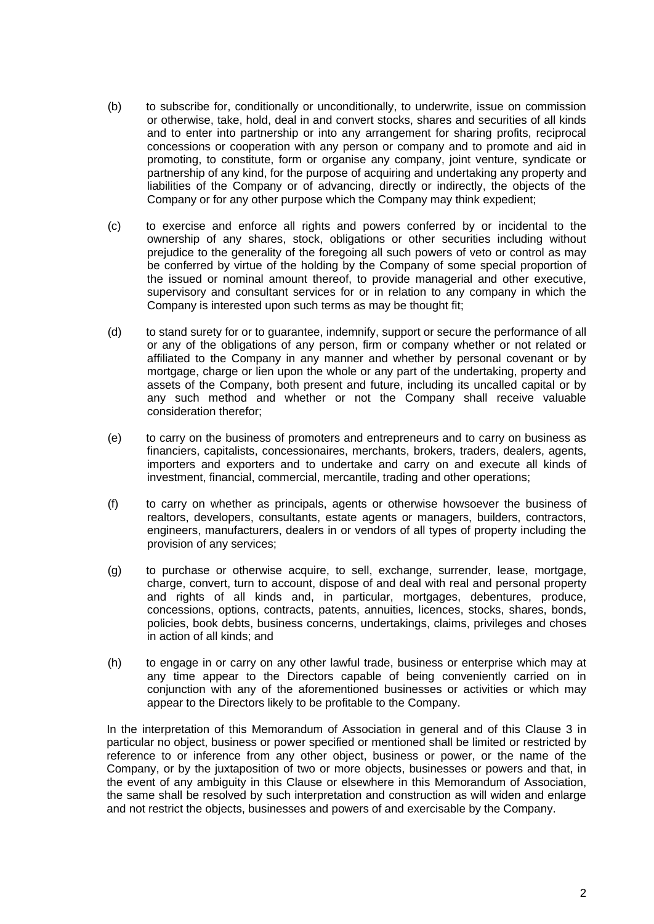- (b) to subscribe for, conditionally or unconditionally, to underwrite, issue on commission or otherwise, take, hold, deal in and convert stocks, shares and securities of all kinds and to enter into partnership or into any arrangement for sharing profits, reciprocal concessions or cooperation with any person or company and to promote and aid in promoting, to constitute, form or organise any company, joint venture, syndicate or partnership of any kind, for the purpose of acquiring and undertaking any property and liabilities of the Company or of advancing, directly or indirectly, the objects of the Company or for any other purpose which the Company may think expedient;
- (c) to exercise and enforce all rights and powers conferred by or incidental to the ownership of any shares, stock, obligations or other securities including without prejudice to the generality of the foregoing all such powers of veto or control as may be conferred by virtue of the holding by the Company of some special proportion of the issued or nominal amount thereof, to provide managerial and other executive, supervisory and consultant services for or in relation to any company in which the Company is interested upon such terms as may be thought fit;
- (d) to stand surety for or to guarantee, indemnify, support or secure the performance of all or any of the obligations of any person, firm or company whether or not related or affiliated to the Company in any manner and whether by personal covenant or by mortgage, charge or lien upon the whole or any part of the undertaking, property and assets of the Company, both present and future, including its uncalled capital or by any such method and whether or not the Company shall receive valuable consideration therefor;
- (e) to carry on the business of promoters and entrepreneurs and to carry on business as financiers, capitalists, concessionaires, merchants, brokers, traders, dealers, agents, importers and exporters and to undertake and carry on and execute all kinds of investment, financial, commercial, mercantile, trading and other operations;
- (f) to carry on whether as principals, agents or otherwise howsoever the business of realtors, developers, consultants, estate agents or managers, builders, contractors, engineers, manufacturers, dealers in or vendors of all types of property including the provision of any services;
- (g) to purchase or otherwise acquire, to sell, exchange, surrender, lease, mortgage, charge, convert, turn to account, dispose of and deal with real and personal property and rights of all kinds and, in particular, mortgages, debentures, produce, concessions, options, contracts, patents, annuities, licences, stocks, shares, bonds, policies, book debts, business concerns, undertakings, claims, privileges and choses in action of all kinds; and
- (h) to engage in or carry on any other lawful trade, business or enterprise which may at any time appear to the Directors capable of being conveniently carried on in conjunction with any of the aforementioned businesses or activities or which may appear to the Directors likely to be profitable to the Company.

In the interpretation of this Memorandum of Association in general and of this Clause 3 in particular no object, business or power specified or mentioned shall be limited or restricted by reference to or inference from any other object, business or power, or the name of the Company, or by the juxtaposition of two or more objects, businesses or powers and that, in the event of any ambiguity in this Clause or elsewhere in this Memorandum of Association, the same shall be resolved by such interpretation and construction as will widen and enlarge and not restrict the objects, businesses and powers of and exercisable by the Company.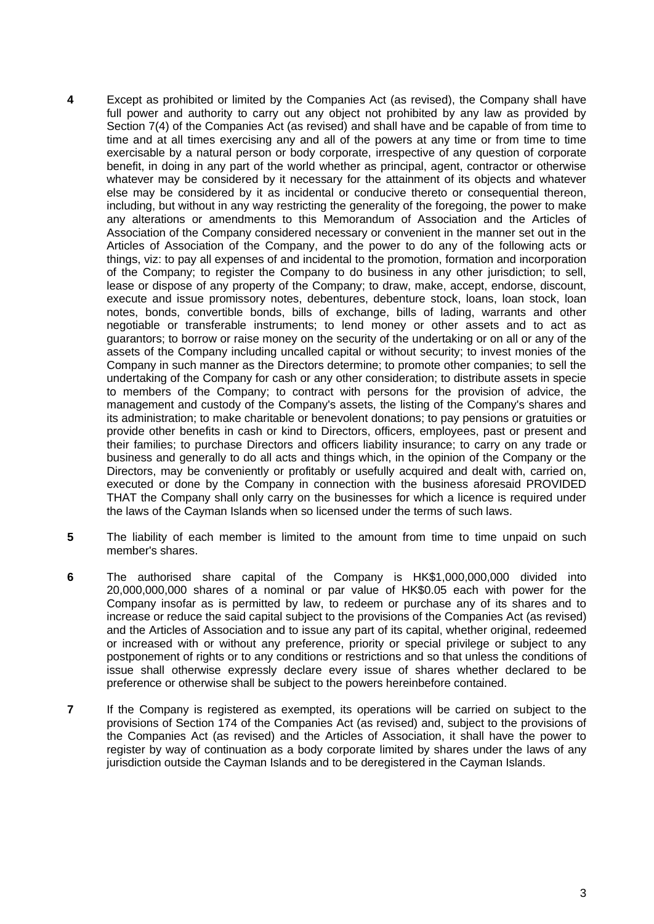- **4** Except as prohibited or limited by the Companies Act (as revised), the Company shall have full power and authority to carry out any object not prohibited by any law as provided by Section 7(4) of the Companies Act (as revised) and shall have and be capable of from time to time and at all times exercising any and all of the powers at any time or from time to time exercisable by a natural person or body corporate, irrespective of any question of corporate benefit, in doing in any part of the world whether as principal, agent, contractor or otherwise whatever may be considered by it necessary for the attainment of its objects and whatever else may be considered by it as incidental or conducive thereto or consequential thereon, including, but without in any way restricting the generality of the foregoing, the power to make any alterations or amendments to this Memorandum of Association and the Articles of Association of the Company considered necessary or convenient in the manner set out in the Articles of Association of the Company, and the power to do any of the following acts or things, viz: to pay all expenses of and incidental to the promotion, formation and incorporation of the Company; to register the Company to do business in any other jurisdiction; to sell, lease or dispose of any property of the Company; to draw, make, accept, endorse, discount, execute and issue promissory notes, debentures, debenture stock, loans, loan stock, loan notes, bonds, convertible bonds, bills of exchange, bills of lading, warrants and other negotiable or transferable instruments; to lend money or other assets and to act as guarantors; to borrow or raise money on the security of the undertaking or on all or any of the assets of the Company including uncalled capital or without security; to invest monies of the Company in such manner as the Directors determine; to promote other companies; to sell the undertaking of the Company for cash or any other consideration; to distribute assets in specie to members of the Company; to contract with persons for the provision of advice, the management and custody of the Company's assets, the listing of the Company's shares and its administration; to make charitable or benevolent donations; to pay pensions or gratuities or provide other benefits in cash or kind to Directors, officers, employees, past or present and their families; to purchase Directors and officers liability insurance; to carry on any trade or business and generally to do all acts and things which, in the opinion of the Company or the Directors, may be conveniently or profitably or usefully acquired and dealt with, carried on, executed or done by the Company in connection with the business aforesaid PROVIDED THAT the Company shall only carry on the businesses for which a licence is required under the laws of the Cayman Islands when so licensed under the terms of such laws.
- **5** The liability of each member is limited to the amount from time to time unpaid on such member's shares.
- **6** The authorised share capital of the Company is HK\$1,000,000,000 divided into 20,000,000,000 shares of a nominal or par value of HK\$0.05 each with power for the Company insofar as is permitted by law, to redeem or purchase any of its shares and to increase or reduce the said capital subject to the provisions of the Companies Act (as revised) and the Articles of Association and to issue any part of its capital, whether original, redeemed or increased with or without any preference, priority or special privilege or subject to any postponement of rights or to any conditions or restrictions and so that unless the conditions of issue shall otherwise expressly declare every issue of shares whether declared to be preference or otherwise shall be subject to the powers hereinbefore contained.
- **7** If the Company is registered as exempted, its operations will be carried on subject to the provisions of Section 174 of the Companies Act (as revised) and, subject to the provisions of the Companies Act (as revised) and the Articles of Association, it shall have the power to register by way of continuation as a body corporate limited by shares under the laws of any jurisdiction outside the Cayman Islands and to be deregistered in the Cayman Islands.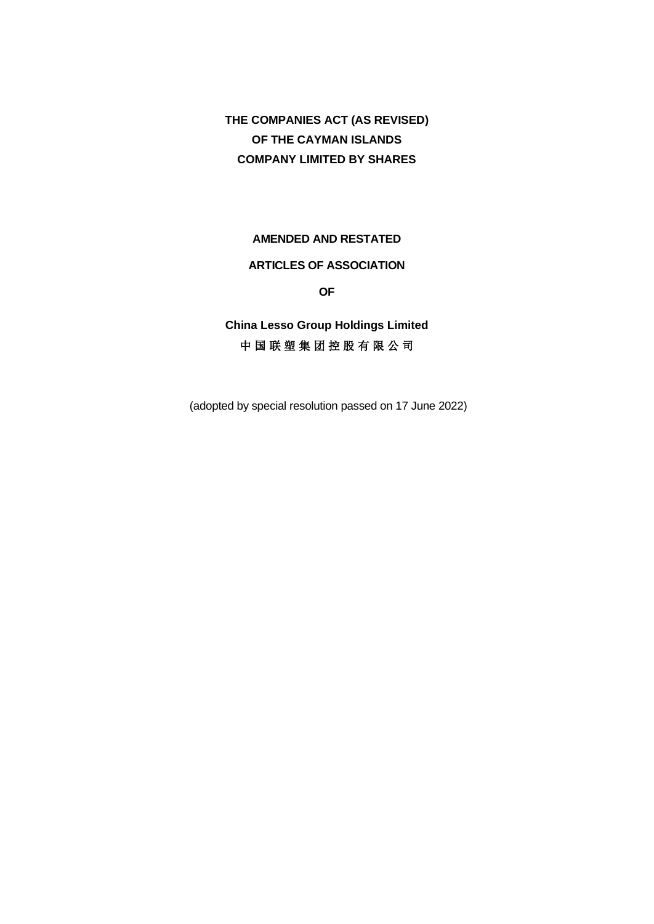**THE COMPANIES ACT (AS REVISED) OF THE CAYMAN ISLANDS COMPANY LIMITED BY SHARES**

## **AMENDED AND RESTATED**

## **ARTICLES OF ASSOCIATION**

**OF**

**China Lesso Group Holdings Limited** 中 国 联 塑 集 团 控 股 有 限 公 司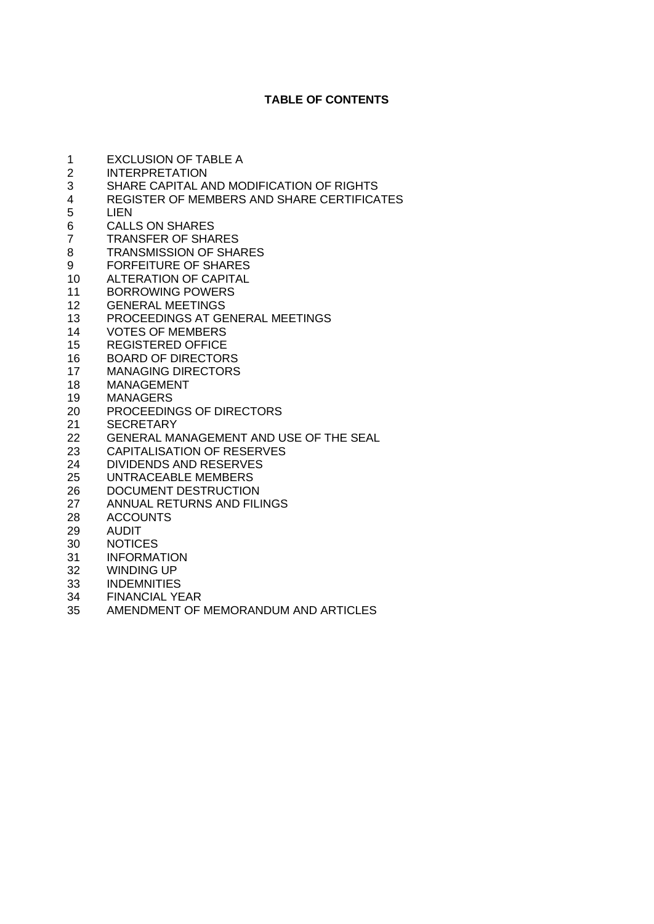## **TABLE OF CONTENTS**

 EXCLUSION OF TABLE A INTERPRETATION 3 SHARE CAPITAL AND MODIFICATION OF RIGHTS<br>4 REGISTER OF MEMBERS AND SHARE CERTIFICA 4 REGISTER OF MEMBERS AND SHARE CERTIFICATES<br>5 LIEN 5 LIEN<br>6 CALL 6 CALLS ON SHARES<br>7 TRANSFER OF SHAL TRANSFER OF SHARES TRANSMISSION OF SHARES FORFEITURE OF SHARES ALTERATION OF CAPITAL BORROWING POWERS GENERAL MEETINGS 13 PROCEEDINGS AT GENERAL MEETINGS<br>14 VOTES OF MEMBERS **VOTES OF MEMBERS**  REGISTERED OFFICE BOARD OF DIRECTORS MANAGING DIRECTORS MANAGEMENT MANAGERS PROCEEDINGS OF DIRECTORS SECRETARY GENERAL MANAGEMENT AND USE OF THE SEAL 23 CAPITALISATION OF RESERVES<br>24 DIVIDENDS AND RESERVES DIVIDENDS AND RESERVES UNTRACEABLE MEMBERS DOCUMENT DESTRUCTION ANNUAL RETURNS AND FILINGS ACCOUNTS AUDIT NOTICES INFORMATION WINDING UP INDEMNITIES FINANCIAL YEAR AMENDMENT OF MEMORANDUM AND ARTICLES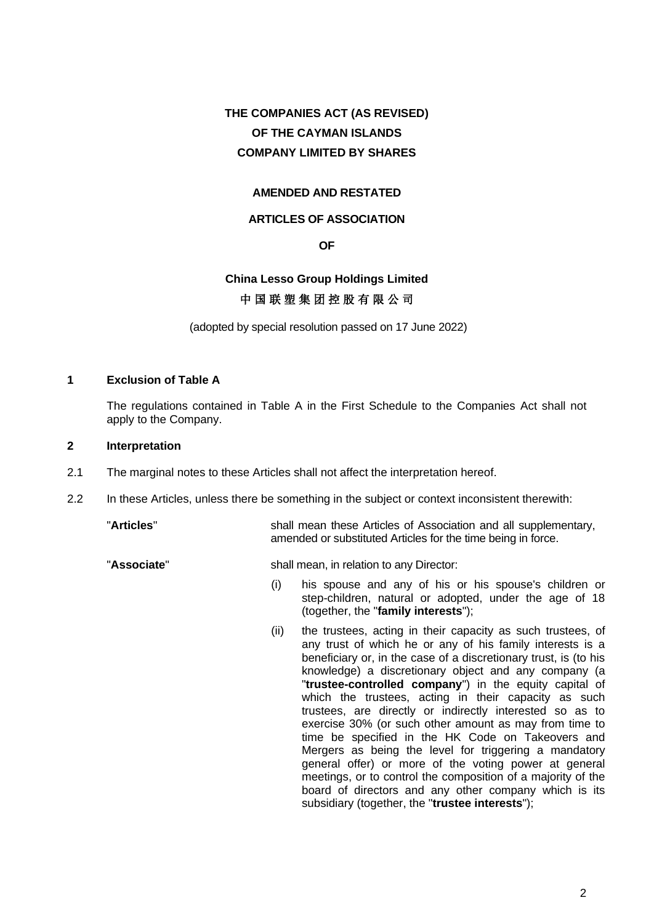# **THE COMPANIES ACT (AS REVISED) OF THE CAYMAN ISLANDS COMPANY LIMITED BY SHARES**

## **AMENDED AND RESTATED**

## **ARTICLES OF ASSOCIATION**

## **OF**

# **China Lesso Group Holdings Limited** 中 国 联 塑 集 团 控 股 有 限 公 司

(adopted by special resolution passed on 17 June 2022)

## **1 Exclusion of Table A**

The regulations contained in Table A in the First Schedule to the Companies Act shall not apply to the Company.

## **2 Interpretation**

- 2.1 The marginal notes to these Articles shall not affect the interpretation hereof.
- 2.2 In these Articles, unless there be something in the subject or context inconsistent therewith:

"**Articles**" shall mean these Articles of Association and all supplementary,

"**Associate**" shall mean, in relation to any Director:

(i) his spouse and any of his or his spouse's children or step-children, natural or adopted, under the age of 18 (together, the "**family interests**");

amended or substituted Articles for the time being in force.

(ii) the trustees, acting in their capacity as such trustees, of any trust of which he or any of his family interests is a beneficiary or, in the case of a discretionary trust, is (to his knowledge) a discretionary object and any company (a "**trustee-controlled company**") in the equity capital of which the trustees, acting in their capacity as such trustees, are directly or indirectly interested so as to exercise 30% (or such other amount as may from time to time be specified in the HK Code on Takeovers and Mergers as being the level for triggering a mandatory general offer) or more of the voting power at general meetings, or to control the composition of a majority of the board of directors and any other company which is its subsidiary (together, the "**trustee interests**");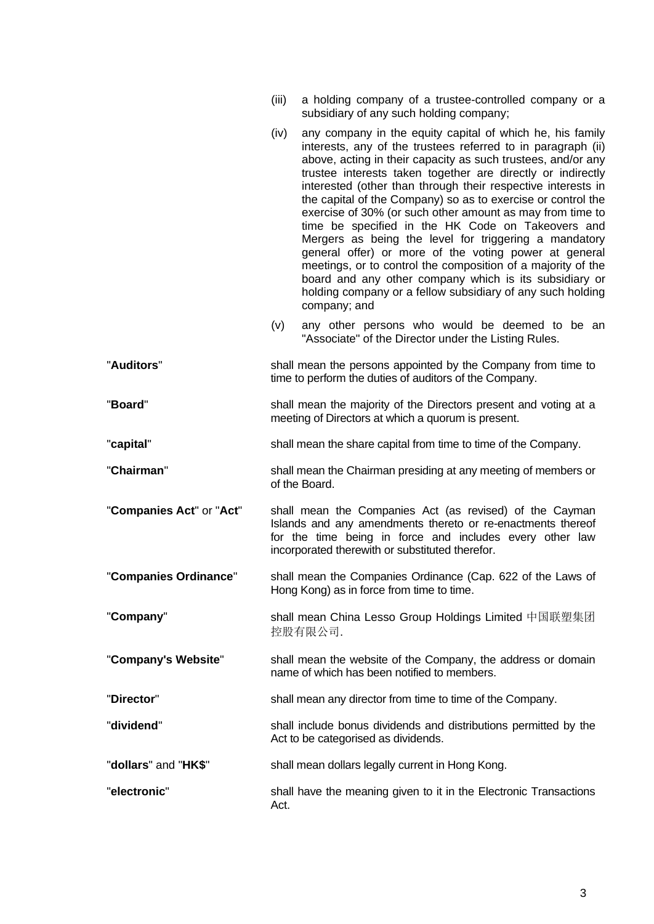|                          | (iii) | a holding company of a trustee-controlled company or a<br>subsidiary of any such holding company;                                                                                                                                                                                                                                                                                                                                                                                                                                                                                                                                                                                                                                                                                                                                    |
|--------------------------|-------|--------------------------------------------------------------------------------------------------------------------------------------------------------------------------------------------------------------------------------------------------------------------------------------------------------------------------------------------------------------------------------------------------------------------------------------------------------------------------------------------------------------------------------------------------------------------------------------------------------------------------------------------------------------------------------------------------------------------------------------------------------------------------------------------------------------------------------------|
|                          | (iv)  | any company in the equity capital of which he, his family<br>interests, any of the trustees referred to in paragraph (ii)<br>above, acting in their capacity as such trustees, and/or any<br>trustee interests taken together are directly or indirectly<br>interested (other than through their respective interests in<br>the capital of the Company) so as to exercise or control the<br>exercise of 30% (or such other amount as may from time to<br>time be specified in the HK Code on Takeovers and<br>Mergers as being the level for triggering a mandatory<br>general offer) or more of the voting power at general<br>meetings, or to control the composition of a majority of the<br>board and any other company which is its subsidiary or<br>holding company or a fellow subsidiary of any such holding<br>company; and |
|                          | (v)   | any other persons who would be deemed to be an<br>"Associate" of the Director under the Listing Rules.                                                                                                                                                                                                                                                                                                                                                                                                                                                                                                                                                                                                                                                                                                                               |
| "Auditors"               |       | shall mean the persons appointed by the Company from time to<br>time to perform the duties of auditors of the Company.                                                                                                                                                                                                                                                                                                                                                                                                                                                                                                                                                                                                                                                                                                               |
| "Board"                  |       | shall mean the majority of the Directors present and voting at a<br>meeting of Directors at which a quorum is present.                                                                                                                                                                                                                                                                                                                                                                                                                                                                                                                                                                                                                                                                                                               |
| "capital"                |       | shall mean the share capital from time to time of the Company.                                                                                                                                                                                                                                                                                                                                                                                                                                                                                                                                                                                                                                                                                                                                                                       |
| "Chairman"               |       | shall mean the Chairman presiding at any meeting of members or<br>of the Board.                                                                                                                                                                                                                                                                                                                                                                                                                                                                                                                                                                                                                                                                                                                                                      |
| "Companies Act" or "Act" |       | shall mean the Companies Act (as revised) of the Cayman<br>Islands and any amendments thereto or re-enactments thereof<br>for the time being in force and includes every other law<br>incorporated therewith or substituted therefor.                                                                                                                                                                                                                                                                                                                                                                                                                                                                                                                                                                                                |
| "Companies Ordinance"    |       | shall mean the Companies Ordinance (Cap. 622 of the Laws of<br>Hong Kong) as in force from time to time.                                                                                                                                                                                                                                                                                                                                                                                                                                                                                                                                                                                                                                                                                                                             |
| "Company"                |       | shall mean China Lesso Group Holdings Limited 中国联塑集团<br>控股有限公司.                                                                                                                                                                                                                                                                                                                                                                                                                                                                                                                                                                                                                                                                                                                                                                      |
| "Company's Website"      |       | shall mean the website of the Company, the address or domain<br>name of which has been notified to members.                                                                                                                                                                                                                                                                                                                                                                                                                                                                                                                                                                                                                                                                                                                          |
| "Director"               |       | shall mean any director from time to time of the Company.                                                                                                                                                                                                                                                                                                                                                                                                                                                                                                                                                                                                                                                                                                                                                                            |
| "dividend"               |       | shall include bonus dividends and distributions permitted by the<br>Act to be categorised as dividends.                                                                                                                                                                                                                                                                                                                                                                                                                                                                                                                                                                                                                                                                                                                              |
| "dollars" and "HK\$"     |       | shall mean dollars legally current in Hong Kong.                                                                                                                                                                                                                                                                                                                                                                                                                                                                                                                                                                                                                                                                                                                                                                                     |
| "electronic"             | Act.  | shall have the meaning given to it in the Electronic Transactions                                                                                                                                                                                                                                                                                                                                                                                                                                                                                                                                                                                                                                                                                                                                                                    |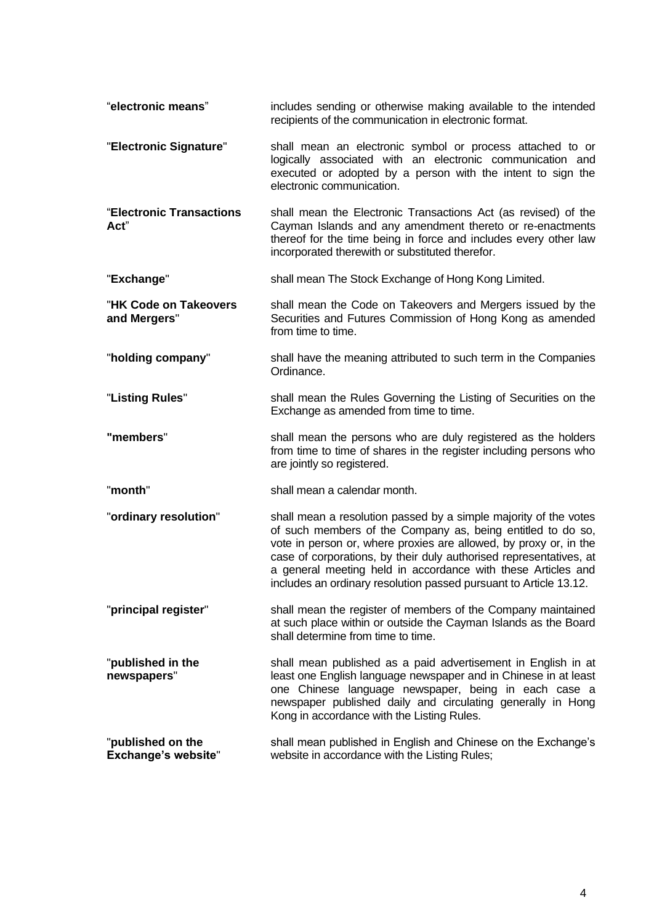| "electronic means"                              | includes sending or otherwise making available to the intended<br>recipients of the communication in electronic format.                                                                                                                                                                                                                                                                                         |
|-------------------------------------------------|-----------------------------------------------------------------------------------------------------------------------------------------------------------------------------------------------------------------------------------------------------------------------------------------------------------------------------------------------------------------------------------------------------------------|
| "Electronic Signature"                          | shall mean an electronic symbol or process attached to or<br>logically associated with an electronic communication and<br>executed or adopted by a person with the intent to sign the<br>electronic communication.                                                                                                                                                                                              |
| "Electronic Transactions<br>Act"                | shall mean the Electronic Transactions Act (as revised) of the<br>Cayman Islands and any amendment thereto or re-enactments<br>thereof for the time being in force and includes every other law<br>incorporated therewith or substituted therefor.                                                                                                                                                              |
| "Exchange"                                      | shall mean The Stock Exchange of Hong Kong Limited.                                                                                                                                                                                                                                                                                                                                                             |
| "HK Code on Takeovers<br>and Mergers"           | shall mean the Code on Takeovers and Mergers issued by the<br>Securities and Futures Commission of Hong Kong as amended<br>from time to time.                                                                                                                                                                                                                                                                   |
| "holding company"                               | shall have the meaning attributed to such term in the Companies<br>Ordinance.                                                                                                                                                                                                                                                                                                                                   |
| "Listing Rules"                                 | shall mean the Rules Governing the Listing of Securities on the<br>Exchange as amended from time to time.                                                                                                                                                                                                                                                                                                       |
| "members"                                       | shall mean the persons who are duly registered as the holders<br>from time to time of shares in the register including persons who<br>are jointly so registered.                                                                                                                                                                                                                                                |
| "month"                                         | shall mean a calendar month.                                                                                                                                                                                                                                                                                                                                                                                    |
| "ordinary resolution"                           | shall mean a resolution passed by a simple majority of the votes<br>of such members of the Company as, being entitled to do so,<br>vote in person or, where proxies are allowed, by proxy or, in the<br>case of corporations, by their duly authorised representatives, at<br>a general meeting held in accordance with these Articles and<br>includes an ordinary resolution passed pursuant to Article 13.12. |
| "principal register"                            | shall mean the register of members of the Company maintained<br>at such place within or outside the Cayman Islands as the Board<br>shall determine from time to time.                                                                                                                                                                                                                                           |
| "published in the<br>newspapers"                | shall mean published as a paid advertisement in English in at<br>least one English language newspaper and in Chinese in at least<br>one Chinese language newspaper, being in each case a<br>newspaper published daily and circulating generally in Hong<br>Kong in accordance with the Listing Rules.                                                                                                           |
| "published on the<br><b>Exchange's website"</b> | shall mean published in English and Chinese on the Exchange's<br>website in accordance with the Listing Rules;                                                                                                                                                                                                                                                                                                  |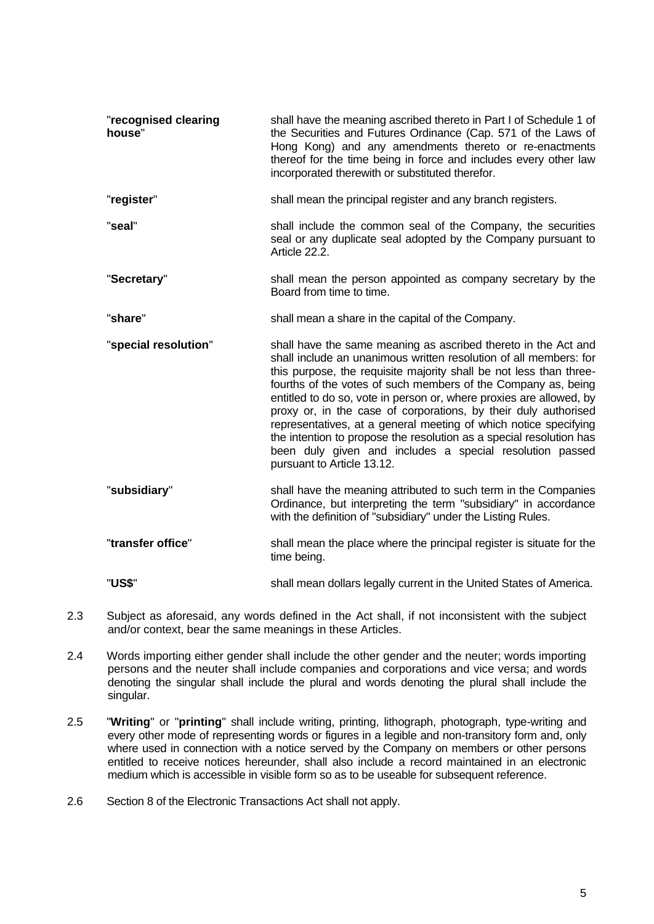| "recognised clearing<br>house" | shall have the meaning ascribed thereto in Part I of Schedule 1 of<br>the Securities and Futures Ordinance (Cap. 571 of the Laws of<br>Hong Kong) and any amendments thereto or re-enactments<br>thereof for the time being in force and includes every other law<br>incorporated therewith or substituted therefor.                                                                                                                                                                                                                                                                                                                                      |
|--------------------------------|-----------------------------------------------------------------------------------------------------------------------------------------------------------------------------------------------------------------------------------------------------------------------------------------------------------------------------------------------------------------------------------------------------------------------------------------------------------------------------------------------------------------------------------------------------------------------------------------------------------------------------------------------------------|
| "register"                     | shall mean the principal register and any branch registers.                                                                                                                                                                                                                                                                                                                                                                                                                                                                                                                                                                                               |
| "seal"                         | shall include the common seal of the Company, the securities<br>seal or any duplicate seal adopted by the Company pursuant to<br>Article 22.2.                                                                                                                                                                                                                                                                                                                                                                                                                                                                                                            |
| "Secretary"                    | shall mean the person appointed as company secretary by the<br>Board from time to time.                                                                                                                                                                                                                                                                                                                                                                                                                                                                                                                                                                   |
| "share"                        | shall mean a share in the capital of the Company.                                                                                                                                                                                                                                                                                                                                                                                                                                                                                                                                                                                                         |
| "special resolution"           | shall have the same meaning as ascribed thereto in the Act and<br>shall include an unanimous written resolution of all members: for<br>this purpose, the requisite majority shall be not less than three-<br>fourths of the votes of such members of the Company as, being<br>entitled to do so, vote in person or, where proxies are allowed, by<br>proxy or, in the case of corporations, by their duly authorised<br>representatives, at a general meeting of which notice specifying<br>the intention to propose the resolution as a special resolution has<br>been duly given and includes a special resolution passed<br>pursuant to Article 13.12. |
| "subsidiary"                   | shall have the meaning attributed to such term in the Companies<br>Ordinance, but interpreting the term "subsidiary" in accordance<br>with the definition of "subsidiary" under the Listing Rules.                                                                                                                                                                                                                                                                                                                                                                                                                                                        |
| "transfer office"              | shall mean the place where the principal register is situate for the<br>time being.                                                                                                                                                                                                                                                                                                                                                                                                                                                                                                                                                                       |
| "US\$"                         | shall mean dollars legally current in the United States of America.                                                                                                                                                                                                                                                                                                                                                                                                                                                                                                                                                                                       |

- 2.3 Subject as aforesaid, any words defined in the Act shall, if not inconsistent with the subject and/or context, bear the same meanings in these Articles.
- 2.4 Words importing either gender shall include the other gender and the neuter; words importing persons and the neuter shall include companies and corporations and vice versa; and words denoting the singular shall include the plural and words denoting the plural shall include the singular.
- 2.5 "**Writing**" or "**printing**" shall include writing, printing, lithograph, photograph, type-writing and every other mode of representing words or figures in a legible and non-transitory form and, only where used in connection with a notice served by the Company on members or other persons entitled to receive notices hereunder, shall also include a record maintained in an electronic medium which is accessible in visible form so as to be useable for subsequent reference.
- 2.6 Section 8 of the Electronic Transactions Act shall not apply.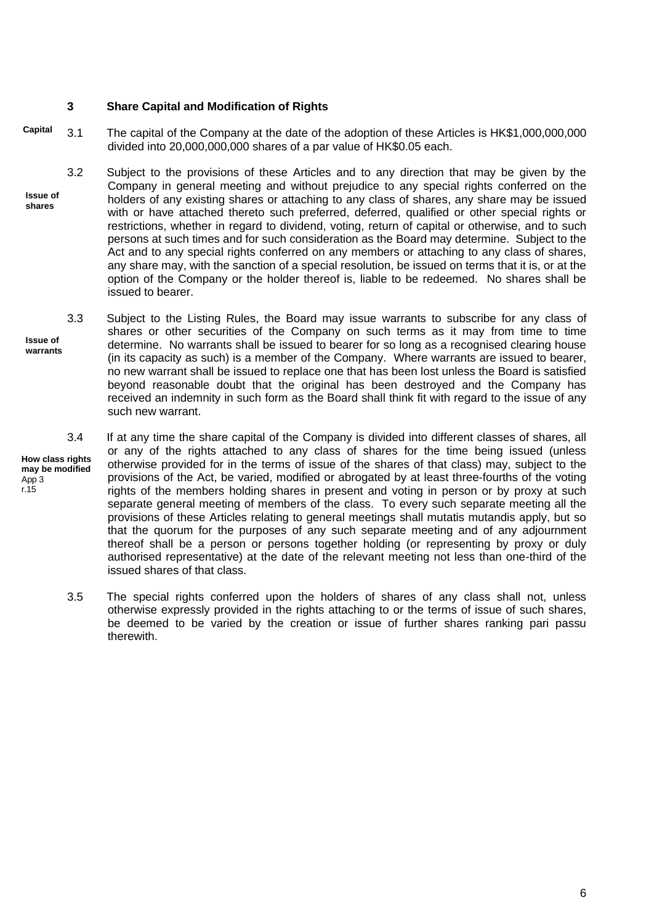## **3 Share Capital and Modification of Rights**

- 3.1 The capital of the Company at the date of the adoption of these Articles is HK\$1,000,000,000 divided into 20,000,000,000 shares of a par value of HK\$0.05 each. **Capital**
- 3.2 Subject to the provisions of these Articles and to any direction that may be given by the Company in general meeting and without prejudice to any special rights conferred on the holders of any existing shares or attaching to any class of shares, any share may be issued with or have attached thereto such preferred, deferred, qualified or other special rights or restrictions, whether in regard to dividend, voting, return of capital or otherwise, and to such persons at such times and for such consideration as the Board may determine. Subject to the Act and to any special rights conferred on any members or attaching to any class of shares, any share may, with the sanction of a special resolution, be issued on terms that it is, or at the option of the Company or the holder thereof is, liable to be redeemed. No shares shall be issued to bearer. **Issue of shares**
- 3.3 Subject to the Listing Rules, the Board may issue warrants to subscribe for any class of shares or other securities of the Company on such terms as it may from time to time determine. No warrants shall be issued to bearer for so long as a recognised clearing house (in its capacity as such) is a member of the Company. Where warrants are issued to bearer, no new warrant shall be issued to replace one that has been lost unless the Board is satisfied beyond reasonable doubt that the original has been destroyed and the Company has received an indemnity in such form as the Board shall think fit with regard to the issue of any such new warrant. **Issue of warrants**

**How class rights may be modified**  App 3 r.15

3.4 If at any time the share capital of the Company is divided into different classes of shares, all or any of the rights attached to any class of shares for the time being issued (unless otherwise provided for in the terms of issue of the shares of that class) may, subject to the provisions of the Act, be varied, modified or abrogated by at least three-fourths of the voting rights of the members holding shares in present and voting in person or by proxy at such separate general meeting of members of the class. To every such separate meeting all the provisions of these Articles relating to general meetings shall mutatis mutandis apply, but so that the quorum for the purposes of any such separate meeting and of any adjournment thereof shall be a person or persons together holding (or representing by proxy or duly authorised representative) at the date of the relevant meeting not less than one-third of the issued shares of that class.

3.5 The special rights conferred upon the holders of shares of any class shall not, unless otherwise expressly provided in the rights attaching to or the terms of issue of such shares, be deemed to be varied by the creation or issue of further shares ranking pari passu therewith.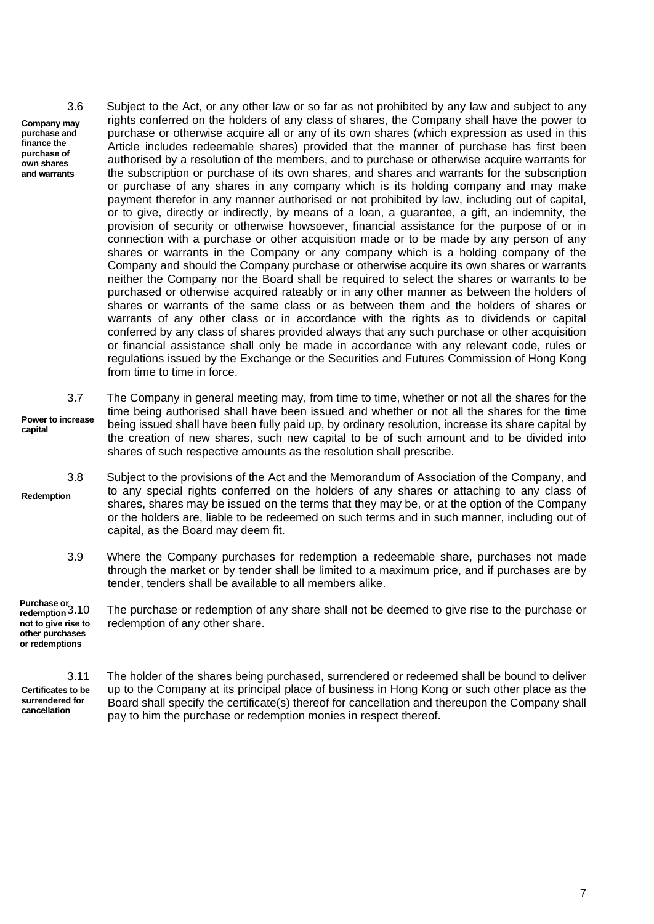**Company may purchase and finance the purchase of own shares and warrants**

3.6 Subject to the Act, or any other law or so far as not prohibited by any law and subject to any rights conferred on the holders of any class of shares, the Company shall have the power to purchase or otherwise acquire all or any of its own shares (which expression as used in this Article includes redeemable shares) provided that the manner of purchase has first been authorised by a resolution of the members, and to purchase or otherwise acquire warrants for the subscription or purchase of its own shares, and shares and warrants for the subscription or purchase of any shares in any company which is its holding company and may make payment therefor in any manner authorised or not prohibited by law, including out of capital, or to give, directly or indirectly, by means of a loan, a guarantee, a gift, an indemnity, the provision of security or otherwise howsoever, financial assistance for the purpose of or in connection with a purchase or other acquisition made or to be made by any person of any shares or warrants in the Company or any company which is a holding company of the Company and should the Company purchase or otherwise acquire its own shares or warrants neither the Company nor the Board shall be required to select the shares or warrants to be purchased or otherwise acquired rateably or in any other manner as between the holders of shares or warrants of the same class or as between them and the holders of shares or warrants of any other class or in accordance with the rights as to dividends or capital conferred by any class of shares provided always that any such purchase or other acquisition or financial assistance shall only be made in accordance with any relevant code, rules or regulations issued by the Exchange or the Securities and Futures Commission of Hong Kong from time to time in force.

3.7 The Company in general meeting may, from time to time, whether or not all the shares for the time being authorised shall have been issued and whether or not all the shares for the time being issued shall have been fully paid up, by ordinary resolution, increase its share capital by the creation of new shares, such new capital to be of such amount and to be divided into shares of such respective amounts as the resolution shall prescribe. **Power to increase capital**

3.8 Subject to the provisions of the Act and the Memorandum of Association of the Company, and to any special rights conferred on the holders of any shares or attaching to any class of shares, shares may be issued on the terms that they may be, or at the option of the Company or the holders are, liable to be redeemed on such terms and in such manner, including out of capital, as the Board may deem fit. **Redemption**

3.9 Where the Company purchases for redemption a redeemable share, purchases not made through the market or by tender shall be limited to a maximum price, and if purchases are by tender, tenders shall be available to all members alike.

**Purchase or redemption not to give rise to other purchases or redemptions** The purchase or redemption of any share shall not be deemed to give rise to the purchase or redemption of any other share.

**Certificates to be surrendered for cancellation**

3.11 The holder of the shares being purchased, surrendered or redeemed shall be bound to deliver up to the Company at its principal place of business in Hong Kong or such other place as the Board shall specify the certificate(s) thereof for cancellation and thereupon the Company shall pay to him the purchase or redemption monies in respect thereof.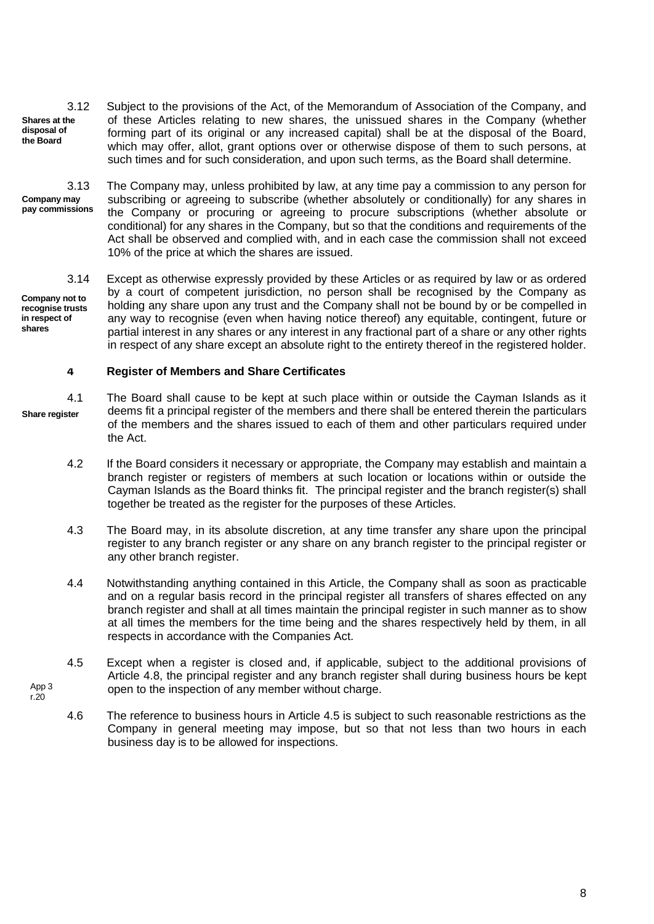3.12 Subject to the provisions of the Act, of the Memorandum of Association of the Company, and of these Articles relating to new shares, the unissued shares in the Company (whether forming part of its original or any increased capital) shall be at the disposal of the Board, which may offer, allot, grant options over or otherwise dispose of them to such persons, at such times and for such consideration, and upon such terms, as the Board shall determine. **Shares at the disposal of the Board**

**Company may pay commissions**

App 3 r.20

3.13 The Company may, unless prohibited by law, at any time pay a commission to any person for subscribing or agreeing to subscribe (whether absolutely or conditionally) for any shares in the Company or procuring or agreeing to procure subscriptions (whether absolute or conditional) for any shares in the Company, but so that the conditions and requirements of the Act shall be observed and complied with, and in each case the commission shall not exceed 10% of the price at which the shares are issued.

3.14 Except as otherwise expressly provided by these Articles or as required by law or as ordered by a court of competent jurisdiction, no person shall be recognised by the Company as holding any share upon any trust and the Company shall not be bound by or be compelled in any way to recognise (even when having notice thereof) any equitable, contingent, future or partial interest in any shares or any interest in any fractional part of a share or any other rights in respect of any share except an absolute right to the entirety thereof in the registered holder. **Company not to recognise trusts in respect of shares**

#### **4 Register of Members and Share Certificates**

4.1 The Board shall cause to be kept at such place within or outside the Cayman Islands as it deems fit a principal register of the members and there shall be entered therein the particulars of the members and the shares issued to each of them and other particulars required under the Act. **Share register**

- 4.2 If the Board considers it necessary or appropriate, the Company may establish and maintain a branch register or registers of members at such location or locations within or outside the Cayman Islands as the Board thinks fit. The principal register and the branch register(s) shall together be treated as the register for the purposes of these Articles.
- 4.3 The Board may, in its absolute discretion, at any time transfer any share upon the principal register to any branch register or any share on any branch register to the principal register or any other branch register.
- 4.4 Notwithstanding anything contained in this Article, the Company shall as soon as practicable and on a regular basis record in the principal register all transfers of shares effected on any branch register and shall at all times maintain the principal register in such manner as to show at all times the members for the time being and the shares respectively held by them, in all respects in accordance with the Companies Act.
- 4.5 Except when a register is closed and, if applicable, subject to the additional provisions of Article 4.8, the principal register and any branch register shall during business hours be kept open to the inspection of any member without charge.
- 4.6 The reference to business hours in Article 4.5 is subject to such reasonable restrictions as the Company in general meeting may impose, but so that not less than two hours in each business day is to be allowed for inspections.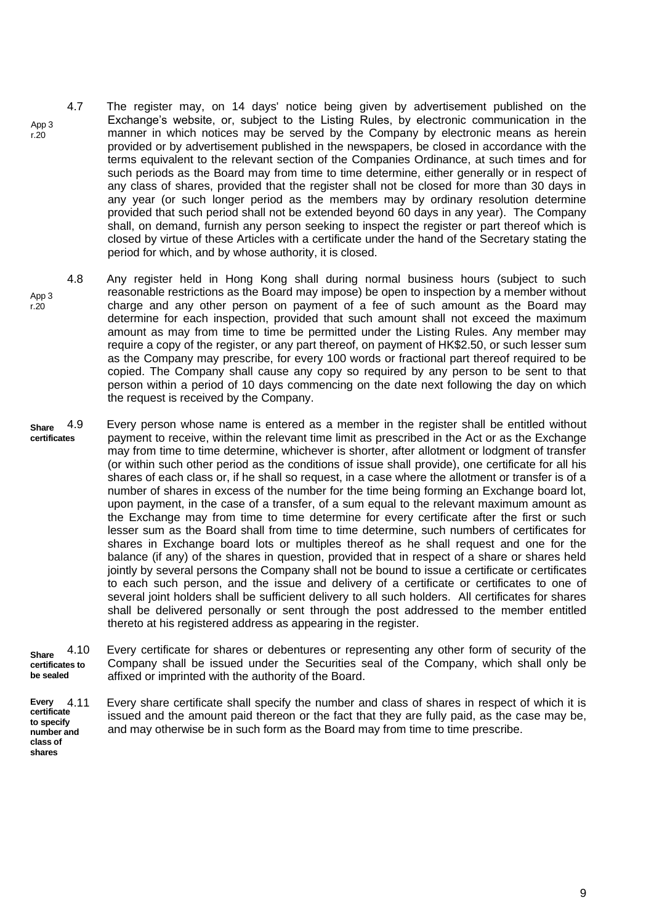- 4.7 The register may, on 14 days' notice being given by advertisement published on the Exchange's website, or, subject to the Listing Rules, by electronic communication in the manner in which notices may be served by the Company by electronic means as herein provided or by advertisement published in the newspapers, be closed in accordance with the terms equivalent to the relevant section of the Companies Ordinance, at such times and for such periods as the Board may from time to time determine, either generally or in respect of any class of shares, provided that the register shall not be closed for more than 30 days in any year (or such longer period as the members may by ordinary resolution determine provided that such period shall not be extended beyond 60 days in any year). The Company shall, on demand, furnish any person seeking to inspect the register or part thereof which is closed by virtue of these Articles with a certificate under the hand of the Secretary stating the period for which, and by whose authority, it is closed.
- App 3 r.20 4.8 Any register held in Hong Kong shall during normal business hours (subject to such reasonable restrictions as the Board may impose) be open to inspection by a member without charge and any other person on payment of a fee of such amount as the Board may determine for each inspection, provided that such amount shall not exceed the maximum amount as may from time to time be permitted under the Listing Rules. Any member may require a copy of the register, or any part thereof, on payment of HK\$2.50, or such lesser sum as the Company may prescribe, for every 100 words or fractional part thereof required to be copied. The Company shall cause any copy so required by any person to be sent to that person within a period of 10 days commencing on the date next following the day on which the request is received by the Company.
- **Share certificates** 4.9 Every person whose name is entered as a member in the register shall be entitled without payment to receive, within the relevant time limit as prescribed in the Act or as the Exchange may from time to time determine, whichever is shorter, after allotment or lodgment of transfer (or within such other period as the conditions of issue shall provide), one certificate for all his shares of each class or, if he shall so request, in a case where the allotment or transfer is of a number of shares in excess of the number for the time being forming an Exchange board lot, upon payment, in the case of a transfer, of a sum equal to the relevant maximum amount as the Exchange may from time to time determine for every certificate after the first or such lesser sum as the Board shall from time to time determine, such numbers of certificates for shares in Exchange board lots or multiples thereof as he shall request and one for the balance (if any) of the shares in question, provided that in respect of a share or shares held jointly by several persons the Company shall not be bound to issue a certificate or certificates to each such person, and the issue and delivery of a certificate or certificates to one of several joint holders shall be sufficient delivery to all such holders. All certificates for shares shall be delivered personally or sent through the post addressed to the member entitled thereto at his registered address as appearing in the register.

**Share certificates to be sealed** 4.10 Every certificate for shares or debentures or representing any other form of security of the Company shall be issued under the Securities seal of the Company, which shall only be affixed or imprinted with the authority of the Board.

**Every certificate to specify number and class of**  Every share certificate shall specify the number and class of shares in respect of which it is issued and the amount paid thereon or the fact that they are fully paid, as the case may be, and may otherwise be in such form as the Board may from time to time prescribe.

App 3 r.20

**shares**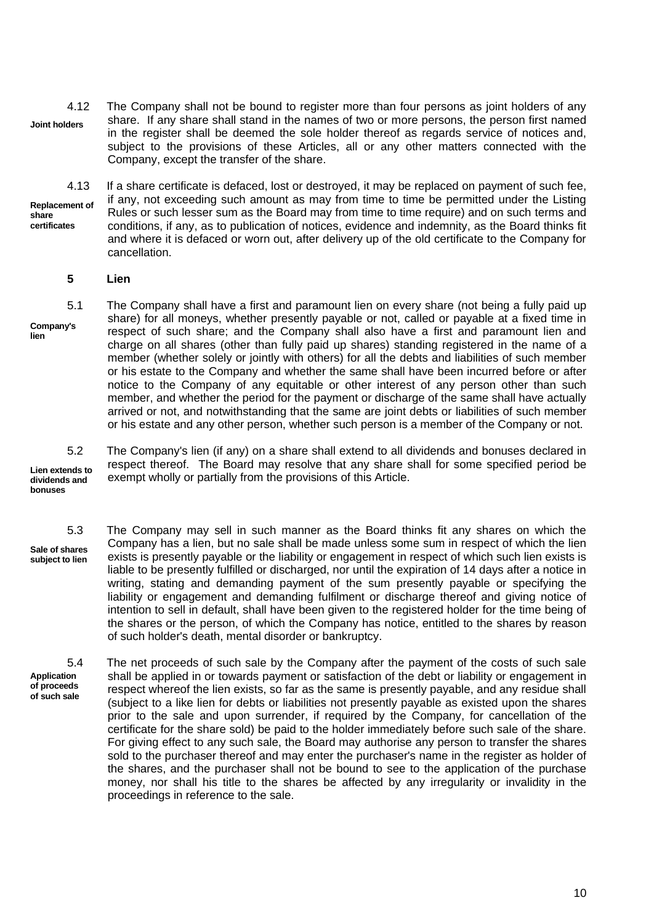4.12 The Company shall not be bound to register more than four persons as joint holders of any share. If any share shall stand in the names of two or more persons, the person first named in the register shall be deemed the sole holder thereof as regards service of notices and, subject to the provisions of these Articles, all or any other matters connected with the Company, except the transfer of the share. **Joint holders**

4.13 If a share certificate is defaced, lost or destroyed, it may be replaced on payment of such fee, if any, not exceeding such amount as may from time to time be permitted under the Listing Rules or such lesser sum as the Board may from time to time require) and on such terms and conditions, if any, as to publication of notices, evidence and indemnity, as the Board thinks fit and where it is defaced or worn out, after delivery up of the old certificate to the Company for cancellation. **Replacement of share certificates**

#### **5 Lien**

5.1 The Company shall have a first and paramount lien on every share (not being a fully paid up share) for all moneys, whether presently payable or not, called or payable at a fixed time in respect of such share; and the Company shall also have a first and paramount lien and charge on all shares (other than fully paid up shares) standing registered in the name of a member (whether solely or jointly with others) for all the debts and liabilities of such member or his estate to the Company and whether the same shall have been incurred before or after notice to the Company of any equitable or other interest of any person other than such member, and whether the period for the payment or discharge of the same shall have actually arrived or not, and notwithstanding that the same are joint debts or liabilities of such member or his estate and any other person, whether such person is a member of the Company or not. **Company's lien**

**Lien extends to dividends and bonuses**

5.2 The Company's lien (if any) on a share shall extend to all dividends and bonuses declared in respect thereof. The Board may resolve that any share shall for some specified period be exempt wholly or partially from the provisions of this Article.

5.3 The Company may sell in such manner as the Board thinks fit any shares on which the Company has a lien, but no sale shall be made unless some sum in respect of which the lien exists is presently payable or the liability or engagement in respect of which such lien exists is liable to be presently fulfilled or discharged, nor until the expiration of 14 days after a notice in writing, stating and demanding payment of the sum presently payable or specifying the liability or engagement and demanding fulfilment or discharge thereof and giving notice of intention to sell in default, shall have been given to the registered holder for the time being of the shares or the person, of which the Company has notice, entitled to the shares by reason of such holder's death, mental disorder or bankruptcy. **Sale of shares subject to lien**

**Application of proceeds of such sale** 5.4 The net proceeds of such sale by the Company after the payment of the costs of such sale shall be applied in or towards payment or satisfaction of the debt or liability or engagement in respect whereof the lien exists, so far as the same is presently payable, and any residue shall (subject to a like lien for debts or liabilities not presently payable as existed upon the shares prior to the sale and upon surrender, if required by the Company, for cancellation of the certificate for the share sold) be paid to the holder immediately before such sale of the share. For giving effect to any such sale, the Board may authorise any person to transfer the shares sold to the purchaser thereof and may enter the purchaser's name in the register as holder of the shares, and the purchaser shall not be bound to see to the application of the purchase money, nor shall his title to the shares be affected by any irregularity or invalidity in the proceedings in reference to the sale.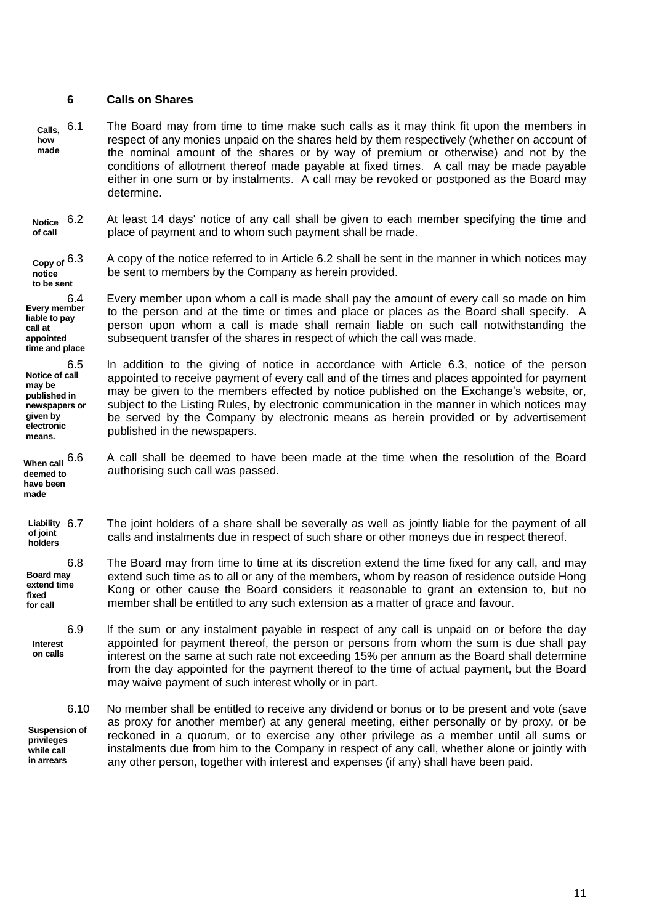## **6 Calls on Shares**

**liable to pay call at appointed** 

**Notice of call may be published in newspapers or given by electronic means.**

**deemed to have been made**

- **Calls, how made** 6.1 The Board may from time to time make such calls as it may think fit upon the members in respect of any monies unpaid on the shares held by them respectively (whether on account of the nominal amount of the shares or by way of premium or otherwise) and not by the conditions of allotment thereof made payable at fixed times. A call may be made payable either in one sum or by instalments. A call may be revoked or postponed as the Board may determine.
- **Notice of call** 6.2 At least 14 days' notice of any call shall be given to each member specifying the time and place of payment and to whom such payment shall be made.

**Copy of notice to be sent** 6.3 A copy of the notice referred to in Article 6.2 shall be sent in the manner in which notices may be sent to members by the Company as herein provided.

**Every member time and place** 6.4 Every member upon whom a call is made shall pay the amount of every call so made on him to the person and at the time or times and place or places as the Board shall specify. A person upon whom a call is made shall remain liable on such call notwithstanding the subsequent transfer of the shares in respect of which the call was made.

6.5 In addition to the giving of notice in accordance with Article 6.3, notice of the person appointed to receive payment of every call and of the times and places appointed for payment may be given to the members effected by notice published on the Exchange's website, or, subject to the Listing Rules, by electronic communication in the manner in which notices may be served by the Company by electronic means as herein provided or by advertisement published in the newspapers.

**When call** 6.6 A call shall be deemed to have been made at the time when the resolution of the Board authorising such call was passed.

Liability 6.7 **of joint holders** The joint holders of a share shall be severally as well as jointly liable for the payment of all calls and instalments due in respect of such share or other moneys due in respect thereof.

**Board may extend time fixed for call** 6.8 The Board may from time to time at its discretion extend the time fixed for any call, and may extend such time as to all or any of the members, whom by reason of residence outside Hong Kong or other cause the Board considers it reasonable to grant an extension to, but no member shall be entitled to any such extension as a matter of grace and favour.

6.9 If the sum or any instalment payable in respect of any call is unpaid on or before the day appointed for payment thereof, the person or persons from whom the sum is due shall pay interest on the same at such rate not exceeding 15% per annum as the Board shall determine from the day appointed for the payment thereof to the time of actual payment, but the Board may waive payment of such interest wholly or in part. **Interest on calls**

6.10 No member shall be entitled to receive any dividend or bonus or to be present and vote (save as proxy for another member) at any general meeting, either personally or by proxy, or be reckoned in a quorum, or to exercise any other privilege as a member until all sums or instalments due from him to the Company in respect of any call, whether alone or jointly with any other person, together with interest and expenses (if any) shall have been paid. **Suspension of privileges while call in arrears**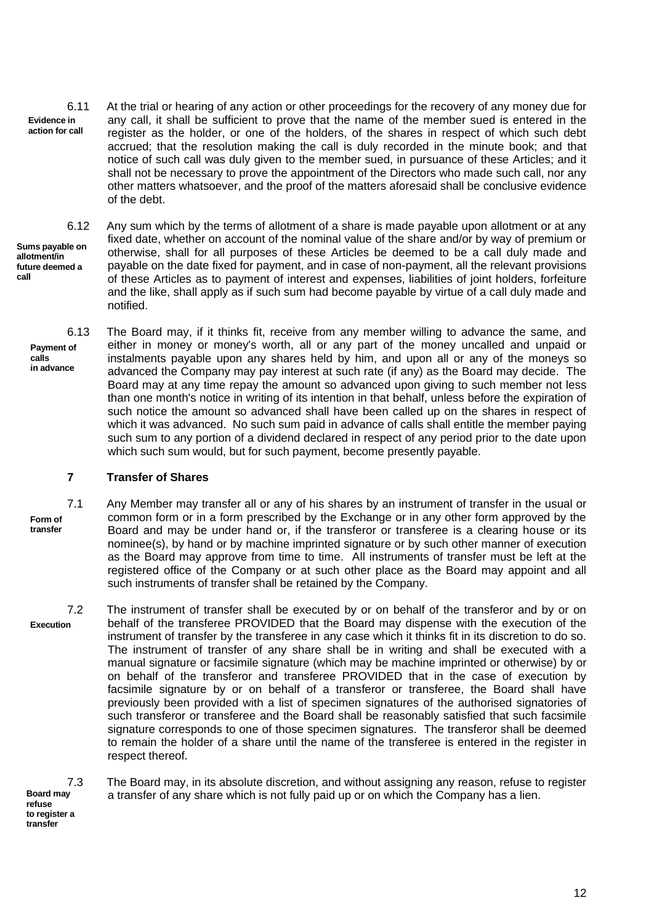**Evidence in action for call** 6.11 At the trial or hearing of any action or other proceedings for the recovery of any money due for any call, it shall be sufficient to prove that the name of the member sued is entered in the register as the holder, or one of the holders, of the shares in respect of which such debt accrued; that the resolution making the call is duly recorded in the minute book; and that notice of such call was duly given to the member sued, in pursuance of these Articles; and it shall not be necessary to prove the appointment of the Directors who made such call, nor any other matters whatsoever, and the proof of the matters aforesaid shall be conclusive evidence of the debt.

**Sums payable on allotment/in future deemed a call**

**calls**

6.12 Any sum which by the terms of allotment of a share is made payable upon allotment or at any fixed date, whether on account of the nominal value of the share and/or by way of premium or otherwise, shall for all purposes of these Articles be deemed to be a call duly made and payable on the date fixed for payment, and in case of non-payment, all the relevant provisions of these Articles as to payment of interest and expenses, liabilities of joint holders, forfeiture and the like, shall apply as if such sum had become payable by virtue of a call duly made and notified.

**Payment of in advance** 6.13 The Board may, if it thinks fit, receive from any member willing to advance the same, and either in money or money's worth, all or any part of the money uncalled and unpaid or instalments payable upon any shares held by him, and upon all or any of the moneys so advanced the Company may pay interest at such rate (if any) as the Board may decide. The Board may at any time repay the amount so advanced upon giving to such member not less than one month's notice in writing of its intention in that behalf, unless before the expiration of such notice the amount so advanced shall have been called up on the shares in respect of which it was advanced. No such sum paid in advance of calls shall entitle the member paying such sum to any portion of a dividend declared in respect of any period prior to the date upon which such sum would, but for such payment, become presently payable.

## **7 Transfer of Shares**

**Form of transfer** 7.1 Any Member may transfer all or any of his shares by an instrument of transfer in the usual or common form or in a form prescribed by the Exchange or in any other form approved by the Board and may be under hand or, if the transferor or transferee is a clearing house or its nominee(s), by hand or by machine imprinted signature or by such other manner of execution as the Board may approve from time to time. All instruments of transfer must be left at the registered office of the Company or at such other place as the Board may appoint and all such instruments of transfer shall be retained by the Company.

**Execution** 7.2 The instrument of transfer shall be executed by or on behalf of the transferor and by or on behalf of the transferee PROVIDED that the Board may dispense with the execution of the instrument of transfer by the transferee in any case which it thinks fit in its discretion to do so. The instrument of transfer of any share shall be in writing and shall be executed with a manual signature or facsimile signature (which may be machine imprinted or otherwise) by or on behalf of the transferor and transferee PROVIDED that in the case of execution by facsimile signature by or on behalf of a transferor or transferee, the Board shall have previously been provided with a list of specimen signatures of the authorised signatories of such transferor or transferee and the Board shall be reasonably satisfied that such facsimile signature corresponds to one of those specimen signatures. The transferor shall be deemed to remain the holder of a share until the name of the transferee is entered in the register in respect thereof.

**Board may refuse to register a transfer**

7.3 The Board may, in its absolute discretion, and without assigning any reason, refuse to register a transfer of any share which is not fully paid up or on which the Company has a lien.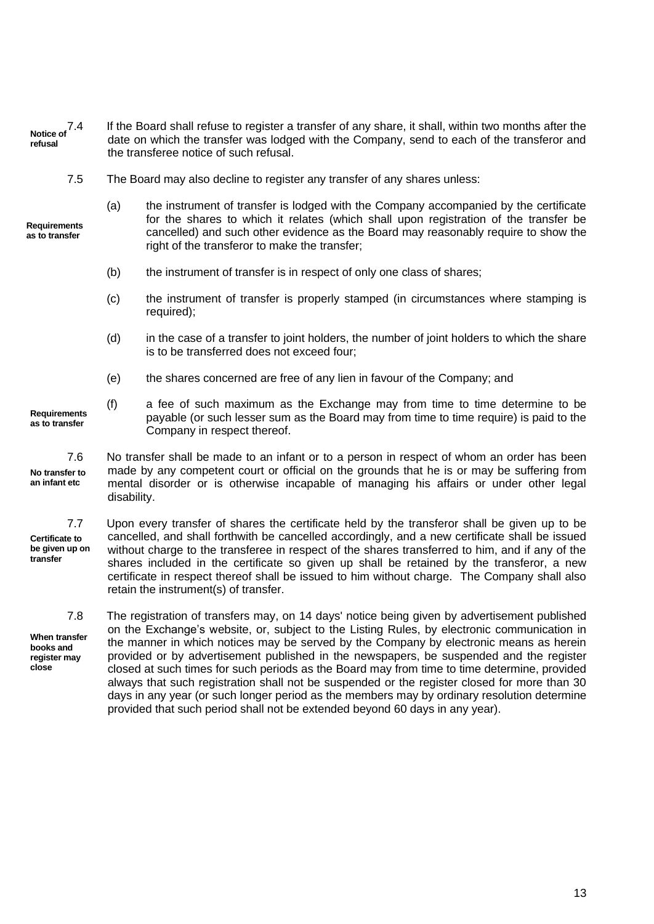- **Notice of refusal** If the Board shall refuse to register a transfer of any share, it shall, within two months after the date on which the transfer was lodged with the Company, send to each of the transferor and the transferee notice of such refusal.
	- 7.5 The Board may also decline to register any transfer of any shares unless:

**Requirements as to transfer**

- (a) the instrument of transfer is lodged with the Company accompanied by the certificate for the shares to which it relates (which shall upon registration of the transfer be cancelled) and such other evidence as the Board may reasonably require to show the right of the transferor to make the transfer;
	- (b) the instrument of transfer is in respect of only one class of shares;
	- (c) the instrument of transfer is properly stamped (in circumstances where stamping is required);
	- (d) in the case of a transfer to joint holders, the number of joint holders to which the share is to be transferred does not exceed four;
	- (e) the shares concerned are free of any lien in favour of the Company; and
- **Requirements as to transfer** (f) a fee of such maximum as the Exchange may from time to time determine to be payable (or such lesser sum as the Board may from time to time require) is paid to the Company in respect thereof.

**No transfer to an infant etc** 7.6 No transfer shall be made to an infant or to a person in respect of whom an order has been made by any competent court or official on the grounds that he is or may be suffering from mental disorder or is otherwise incapable of managing his affairs or under other legal disability.

**Certificate to be given up on transfer** 7.7 Upon every transfer of shares the certificate held by the transferor shall be given up to be cancelled, and shall forthwith be cancelled accordingly, and a new certificate shall be issued without charge to the transferee in respect of the shares transferred to him, and if any of the shares included in the certificate so given up shall be retained by the transferor, a new certificate in respect thereof shall be issued to him without charge. The Company shall also retain the instrument(s) of transfer.

**When transfer books and register may close** 7.8 The registration of transfers may, on 14 days' notice being given by advertisement published on the Exchange's website, or, subject to the Listing Rules, by electronic communication in the manner in which notices may be served by the Company by electronic means as herein provided or by advertisement published in the newspapers, be suspended and the register closed at such times for such periods as the Board may from time to time determine, provided always that such registration shall not be suspended or the register closed for more than 30 days in any year (or such longer period as the members may by ordinary resolution determine provided that such period shall not be extended beyond 60 days in any year).

13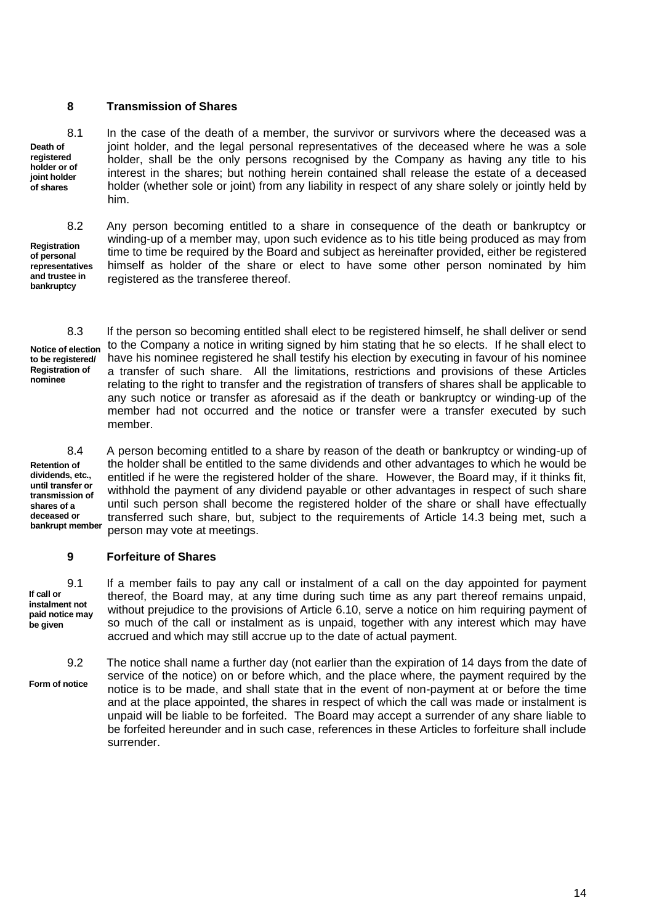## **8 Transmission of Shares**

**Death of registered holder or of joint holder of shares**

**Registration of personal representatives and trustee in bankruptcy**

8.1 In the case of the death of a member, the survivor or survivors where the deceased was a joint holder, and the legal personal representatives of the deceased where he was a sole holder, shall be the only persons recognised by the Company as having any title to his interest in the shares; but nothing herein contained shall release the estate of a deceased holder (whether sole or joint) from any liability in respect of any share solely or jointly held by him.

8.2 Any person becoming entitled to a share in consequence of the death or bankruptcy or winding-up of a member may, upon such evidence as to his title being produced as may from time to time be required by the Board and subject as hereinafter provided, either be registered himself as holder of the share or elect to have some other person nominated by him registered as the transferee thereof.

**Registration of nominee**

**to be registered/**

**Notice of election** 8.3 If the person so becoming entitled shall elect to be registered himself, he shall deliver or send to the Company a notice in writing signed by him stating that he so elects. If he shall elect to have his nominee registered he shall testify his election by executing in favour of his nominee a transfer of such share. All the limitations, restrictions and provisions of these Articles relating to the right to transfer and the registration of transfers of shares shall be applicable to any such notice or transfer as aforesaid as if the death or bankruptcy or winding-up of the member had not occurred and the notice or transfer were a transfer executed by such member.

**Retention of dividends, etc., until transfer or transmission of shares of a deceased or bankrupt member**

8.4 A person becoming entitled to a share by reason of the death or bankruptcy or winding-up of the holder shall be entitled to the same dividends and other advantages to which he would be entitled if he were the registered holder of the share. However, the Board may, if it thinks fit, withhold the payment of any dividend payable or other advantages in respect of such share until such person shall become the registered holder of the share or shall have effectually transferred such share, but, subject to the requirements of Article 14.3 being met, such a person may vote at meetings.

## **9 Forfeiture of Shares**

**If call or instalment not paid notice may be given**

9.1 If a member fails to pay any call or instalment of a call on the day appointed for payment thereof, the Board may, at any time during such time as any part thereof remains unpaid, without prejudice to the provisions of Article 6.10, serve a notice on him requiring payment of so much of the call or instalment as is unpaid, together with any interest which may have accrued and which may still accrue up to the date of actual payment.

**Form of notice** 9.2 The notice shall name a further day (not earlier than the expiration of 14 days from the date of service of the notice) on or before which, and the place where, the payment required by the notice is to be made, and shall state that in the event of non-payment at or before the time and at the place appointed, the shares in respect of which the call was made or instalment is unpaid will be liable to be forfeited. The Board may accept a surrender of any share liable to be forfeited hereunder and in such case, references in these Articles to forfeiture shall include surrender.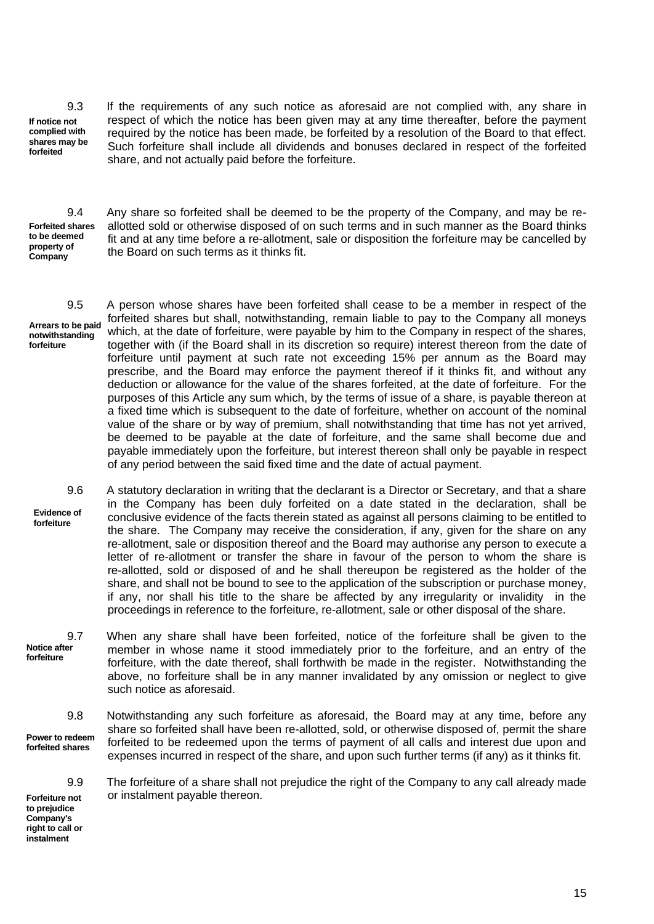**If notice not complied with shares may be forfeited**

9.3 If the requirements of any such notice as aforesaid are not complied with, any share in respect of which the notice has been given may at any time thereafter, before the payment required by the notice has been made, be forfeited by a resolution of the Board to that effect. Such forfeiture shall include all dividends and bonuses declared in respect of the forfeited share, and not actually paid before the forfeiture.

**Forfeited shares to be deemed property of Company**

9.4 Any share so forfeited shall be deemed to be the property of the Company, and may be reallotted sold or otherwise disposed of on such terms and in such manner as the Board thinks fit and at any time before a re-allotment, sale or disposition the forfeiture may be cancelled by the Board on such terms as it thinks fit.

**Arrears to be paid notwithstanding forfeiture**

9.5 A person whose shares have been forfeited shall cease to be a member in respect of the forfeited shares but shall, notwithstanding, remain liable to pay to the Company all moneys which, at the date of forfeiture, were payable by him to the Company in respect of the shares, together with (if the Board shall in its discretion so require) interest thereon from the date of forfeiture until payment at such rate not exceeding 15% per annum as the Board may prescribe, and the Board may enforce the payment thereof if it thinks fit, and without any deduction or allowance for the value of the shares forfeited, at the date of forfeiture. For the purposes of this Article any sum which, by the terms of issue of a share, is payable thereon at a fixed time which is subsequent to the date of forfeiture, whether on account of the nominal value of the share or by way of premium, shall notwithstanding that time has not yet arrived, be deemed to be payable at the date of forfeiture, and the same shall become due and payable immediately upon the forfeiture, but interest thereon shall only be payable in respect of any period between the said fixed time and the date of actual payment.

**Evidence of forfeiture** 9.6 A statutory declaration in writing that the declarant is a Director or Secretary, and that a share in the Company has been duly forfeited on a date stated in the declaration, shall be conclusive evidence of the facts therein stated as against all persons claiming to be entitled to the share. The Company may receive the consideration, if any, given for the share on any re-allotment, sale or disposition thereof and the Board may authorise any person to execute a letter of re-allotment or transfer the share in favour of the person to whom the share is re-allotted, sold or disposed of and he shall thereupon be registered as the holder of the share, and shall not be bound to see to the application of the subscription or purchase money, if any, nor shall his title to the share be affected by any irregularity or invalidity in the proceedings in reference to the forfeiture, re-allotment, sale or other disposal of the share.

**Notice after forfeiture** 9.7 When any share shall have been forfeited, notice of the forfeiture shall be given to the member in whose name it stood immediately prior to the forfeiture, and an entry of the forfeiture, with the date thereof, shall forthwith be made in the register. Notwithstanding the above, no forfeiture shall be in any manner invalidated by any omission or neglect to give such notice as aforesaid.

**Power to redeem forfeited shares** 9.8 Notwithstanding any such forfeiture as aforesaid, the Board may at any time, before any share so forfeited shall have been re-allotted, sold, or otherwise disposed of, permit the share forfeited to be redeemed upon the terms of payment of all calls and interest due upon and expenses incurred in respect of the share, and upon such further terms (if any) as it thinks fit.

9.9 The forfeiture of a share shall not prejudice the right of the Company to any call already made or instalment payable thereon.

**Forfeiture not to prejudice Company's right to call or instalment**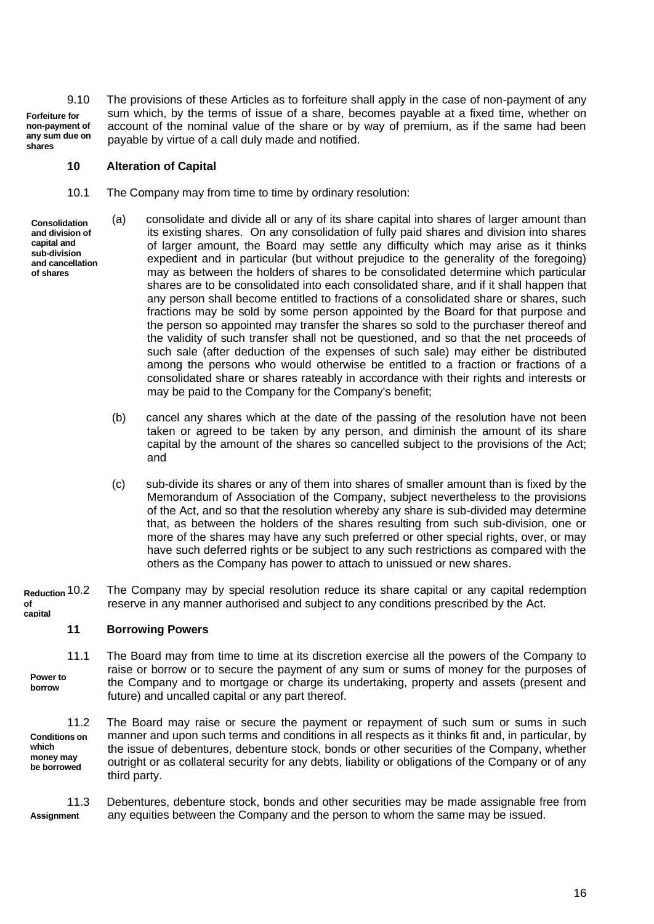**Forfeiture for non-payment of any sum due on shares** 9.10 The provisions of these Articles as to forfeiture shall apply in the case of non-payment of any sum which, by the terms of issue of a share, becomes payable at a fixed time, whether on account of the nominal value of the share or by way of premium, as if the same had been payable by virtue of a call duly made and notified.

## **10 Alteration of Capital**

- 10.1 The Company may from time to time by ordinary resolution:
- **Consolidation and division of capital and sub-division and cancellation of shares**
- (a) consolidate and divide all or any of its share capital into shares of larger amount than its existing shares. On any consolidation of fully paid shares and division into shares of larger amount, the Board may settle any difficulty which may arise as it thinks expedient and in particular (but without prejudice to the generality of the foregoing) may as between the holders of shares to be consolidated determine which particular shares are to be consolidated into each consolidated share, and if it shall happen that any person shall become entitled to fractions of a consolidated share or shares, such fractions may be sold by some person appointed by the Board for that purpose and the person so appointed may transfer the shares so sold to the purchaser thereof and the validity of such transfer shall not be questioned, and so that the net proceeds of such sale (after deduction of the expenses of such sale) may either be distributed among the persons who would otherwise be entitled to a fraction or fractions of a consolidated share or shares rateably in accordance with their rights and interests or may be paid to the Company for the Company's benefit;
- (b) cancel any shares which at the date of the passing of the resolution have not been taken or agreed to be taken by any person, and diminish the amount of its share capital by the amount of the shares so cancelled subject to the provisions of the Act; and
- (c) sub-divide its shares or any of them into shares of smaller amount than is fixed by the Memorandum of Association of the Company, subject nevertheless to the provisions of the Act, and so that the resolution whereby any share is sub-divided may determine that, as between the holders of the shares resulting from such sub-division, one or more of the shares may have any such preferred or other special rights, over, or may have such deferred rights or be subject to any such restrictions as compared with the others as the Company has power to attach to unissued or new shares.
- **Reduction of capital** The Company may by special resolution reduce its share capital or any capital redemption reserve in any manner authorised and subject to any conditions prescribed by the Act.

## **11 Borrowing Powers**

11.1 The Board may from time to time at its discretion exercise all the powers of the Company to raise or borrow or to secure the payment of any sum or sums of money for the purposes of the Company and to mortgage or charge its undertaking, property and assets (present and future) and uncalled capital or any part thereof. **Power to borrow**

**Conditions on which money may be borrowed** 11.2 The Board may raise or secure the payment or repayment of such sum or sums in such manner and upon such terms and conditions in all respects as it thinks fit and, in particular, by the issue of debentures, debenture stock, bonds or other securities of the Company, whether outright or as collateral security for any debts, liability or obligations of the Company or of any third party.

11.3 Debentures, debenture stock, bonds and other securities may be made assignable free from any equities between the Company and the person to whom the same may be issued. **Assignment**

16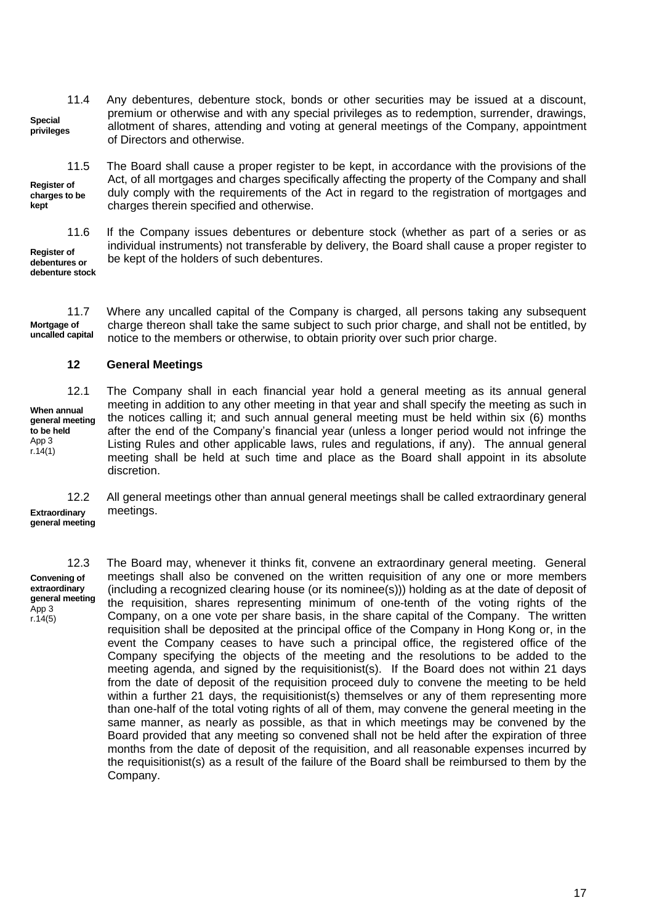11.4 Any debentures, debenture stock, bonds or other securities may be issued at a discount, premium or otherwise and with any special privileges as to redemption, surrender, drawings, allotment of shares, attending and voting at general meetings of the Company, appointment of Directors and otherwise. **Special privileges**

11.5 The Board shall cause a proper register to be kept, in accordance with the provisions of the

**Register of charges to be kept**

**Register of**

11.6 If the Company issues debentures or debenture stock (whether as part of a series or as individual instruments) not transferable by delivery, the Board shall cause a proper register to be kept of the holders of such debentures.

Act, of all mortgages and charges specifically affecting the property of the Company and shall duly comply with the requirements of the Act in regard to the registration of mortgages and

**debentures or debenture stock**

11.7 Where any uncalled capital of the Company is charged, all persons taking any subsequent charge thereon shall take the same subject to such prior charge, and shall not be entitled, by notice to the members or otherwise, to obtain priority over such prior charge. **Mortgage of uncalled capital**

#### **12 General Meetings**

charges therein specified and otherwise.

**When annual general meeting to be held** App 3  $r.14(1)$ 

12.1 The Company shall in each financial year hold a general meeting as its annual general meeting in addition to any other meeting in that year and shall specify the meeting as such in the notices calling it; and such annual general meeting must be held within six (6) months after the end of the Company's financial year (unless a longer period would not infringe the Listing Rules and other applicable laws, rules and regulations, if any). The annual general meeting shall be held at such time and place as the Board shall appoint in its absolute discretion.

**Extraordinary general meeting** 12.2 All general meetings other than annual general meetings shall be called extraordinary general meetings.

**Convening of extraordinary general meeting** App 3  $r.14(5)$ 

12.3 The Board may, whenever it thinks fit, convene an extraordinary general meeting. General meetings shall also be convened on the written requisition of any one or more members (including a recognized clearing house (or its nominee(s))) holding as at the date of deposit of the requisition, shares representing minimum of one-tenth of the voting rights of the Company, on a one vote per share basis, in the share capital of the Company. The written requisition shall be deposited at the principal office of the Company in Hong Kong or, in the event the Company ceases to have such a principal office, the registered office of the Company specifying the objects of the meeting and the resolutions to be added to the meeting agenda, and signed by the requisitionist(s). If the Board does not within 21 days from the date of deposit of the requisition proceed duly to convene the meeting to be held within a further 21 days, the requisitionist(s) themselves or any of them representing more than one-half of the total voting rights of all of them, may convene the general meeting in the same manner, as nearly as possible, as that in which meetings may be convened by the Board provided that any meeting so convened shall not be held after the expiration of three months from the date of deposit of the requisition, and all reasonable expenses incurred by the requisitionist(s) as a result of the failure of the Board shall be reimbursed to them by the Company.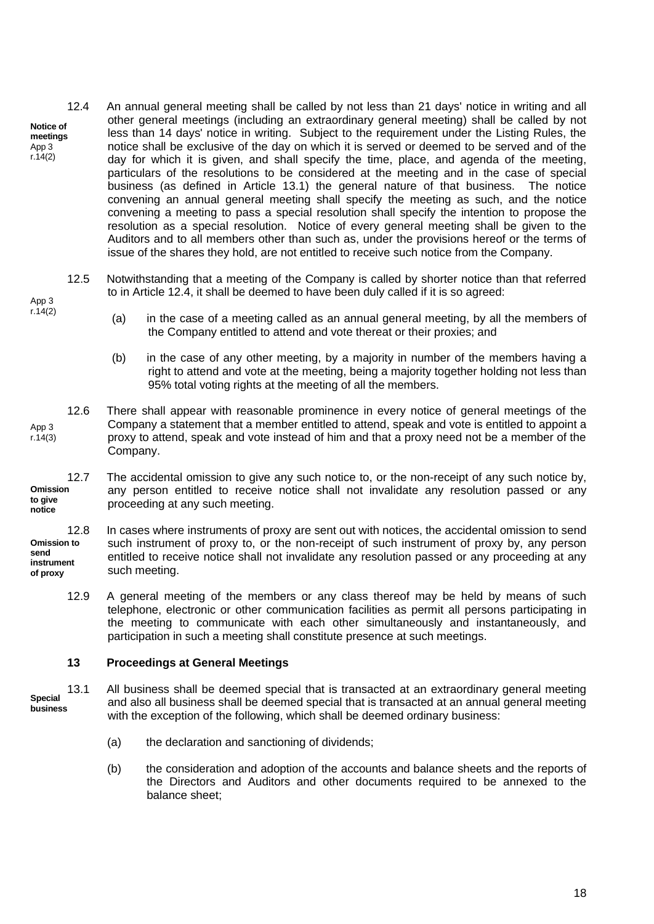- **Notice of meetings** App 3 r.14(2) 12.4 An annual general meeting shall be called by not less than 21 days' notice in writing and all other general meetings (including an extraordinary general meeting) shall be called by not less than 14 days' notice in writing. Subject to the requirement under the Listing Rules, the notice shall be exclusive of the day on which it is served or deemed to be served and of the day for which it is given, and shall specify the time, place, and agenda of the meeting, particulars of the resolutions to be considered at the meeting and in the case of special business (as defined in Article 13.1) the general nature of that business. The notice convening an annual general meeting shall specify the meeting as such, and the notice convening a meeting to pass a special resolution shall specify the intention to propose the resolution as a special resolution. Notice of every general meeting shall be given to the Auditors and to all members other than such as, under the provisions hereof or the terms of issue of the shares they hold, are not entitled to receive such notice from the Company.
- 12.5 Notwithstanding that a meeting of the Company is called by shorter notice than that referred to in Article 12.4, it shall be deemed to have been duly called if it is so agreed: App 3
	- (a) in the case of a meeting called as an annual general meeting, by all the members of the Company entitled to attend and vote thereat or their proxies; and
	- (b) in the case of any other meeting, by a majority in number of the members having a right to attend and vote at the meeting, being a majority together holding not less than 95% total voting rights at the meeting of all the members.
- 12.6 There shall appear with reasonable prominence in every notice of general meetings of the Company a statement that a member entitled to attend, speak and vote is entitled to appoint a proxy to attend, speak and vote instead of him and that a proxy need not be a member of the Company. App 3 r.14(3)

**Omission to give notice** 12.7 The accidental omission to give any such notice to, or the non-receipt of any such notice by, any person entitled to receive notice shall not invalidate any resolution passed or any proceeding at any such meeting.

**Omission to send instrument of proxy** 12.8 In cases where instruments of proxy are sent out with notices, the accidental omission to send such instrument of proxy to, or the non-receipt of such instrument of proxy by, any person entitled to receive notice shall not invalidate any resolution passed or any proceeding at any such meeting.

12.9 A general meeting of the members or any class thereof may be held by means of such telephone, electronic or other communication facilities as permit all persons participating in the meeting to communicate with each other simultaneously and instantaneously, and participation in such a meeting shall constitute presence at such meetings.

## **13 Proceedings at General Meetings**

 $r.14(2)$ 

- **Special business** 13.1 All business shall be deemed special that is transacted at an extraordinary general meeting and also all business shall be deemed special that is transacted at an annual general meeting with the exception of the following, which shall be deemed ordinary business:
	- (a) the declaration and sanctioning of dividends;
	- (b) the consideration and adoption of the accounts and balance sheets and the reports of the Directors and Auditors and other documents required to be annexed to the balance sheet;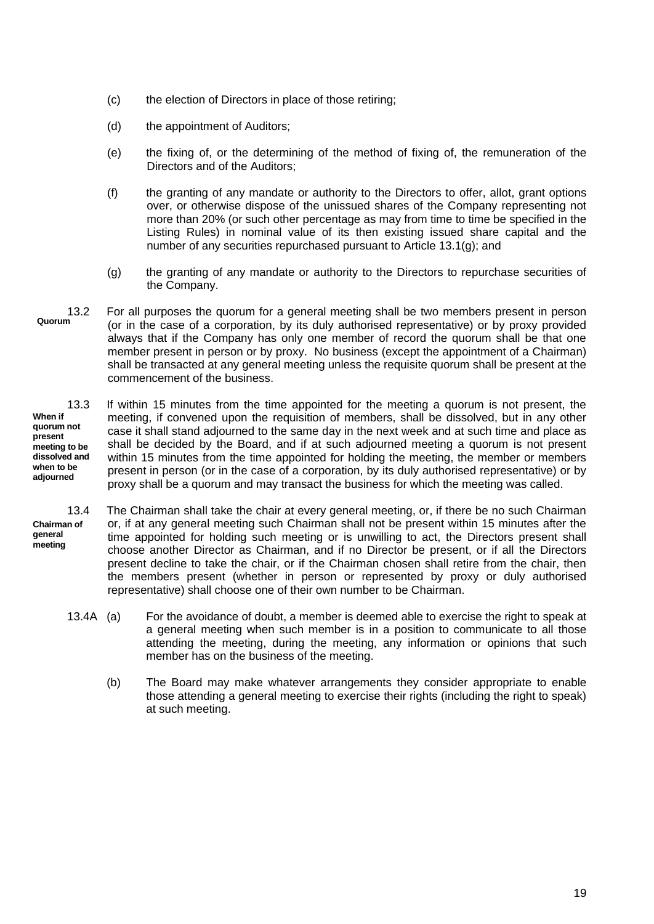- (c) the election of Directors in place of those retiring;
- (d) the appointment of Auditors;
- (e) the fixing of, or the determining of the method of fixing of, the remuneration of the Directors and of the Auditors;
- (f) the granting of any mandate or authority to the Directors to offer, allot, grant options over, or otherwise dispose of the unissued shares of the Company representing not more than 20% (or such other percentage as may from time to time be specified in the Listing Rules) in nominal value of its then existing issued share capital and the number of any securities repurchased pursuant to Article 13.1(g); and
- (g) the granting of any mandate or authority to the Directors to repurchase securities of the Company.
- **Quorum** 13.2 For all purposes the quorum for a general meeting shall be two members present in person (or in the case of a corporation, by its duly authorised representative) or by proxy provided always that if the Company has only one member of record the quorum shall be that one member present in person or by proxy. No business (except the appointment of a Chairman) shall be transacted at any general meeting unless the requisite quorum shall be present at the commencement of the business.
- **When if meeting to be dissolved and** 13.3 If within 15 minutes from the time appointed for the meeting a quorum is not present, the meeting, if convened upon the requisition of members, shall be dissolved, but in any other case it shall stand adjourned to the same day in the next week and at such time and place as shall be decided by the Board, and if at such adjourned meeting a quorum is not present within 15 minutes from the time appointed for holding the meeting, the member or members present in person (or in the case of a corporation, by its duly authorised representative) or by proxy shall be a quorum and may transact the business for which the meeting was called.

13.4 The Chairman shall take the chair at every general meeting, or, if there be no such Chairman or, if at any general meeting such Chairman shall not be present within 15 minutes after the time appointed for holding such meeting or is unwilling to act, the Directors present shall choose another Director as Chairman, and if no Director be present, or if all the Directors present decline to take the chair, or if the Chairman chosen shall retire from the chair, then the members present (whether in person or represented by proxy or duly authorised representative) shall choose one of their own number to be Chairman. **Chairman of general meeting**

- 13.4A (a) For the avoidance of doubt, a member is deemed able to exercise the right to speak at a general meeting when such member is in a position to communicate to all those attending the meeting, during the meeting, any information or opinions that such member has on the business of the meeting.
	- (b) The Board may make whatever arrangements they consider appropriate to enable those attending a general meeting to exercise their rights (including the right to speak) at such meeting.

**quorum not present when to be adjourned**

19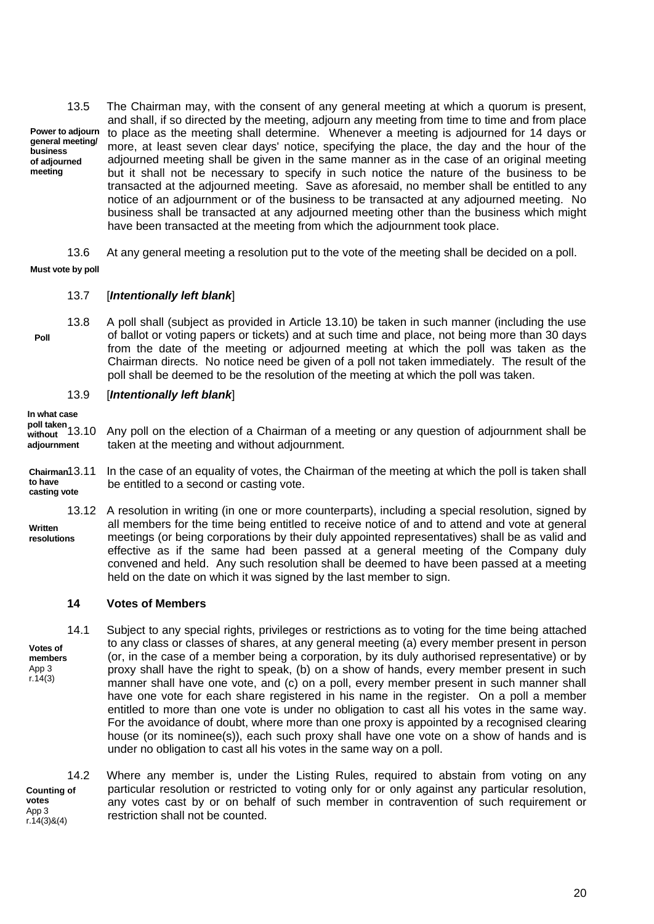**Power to adjourn general meeting/ business of adjourned meeting** 13.5 The Chairman may, with the consent of any general meeting at which a quorum is present, and shall, if so directed by the meeting, adjourn any meeting from time to time and from place to place as the meeting shall determine. Whenever a meeting is adjourned for 14 days or more, at least seven clear days' notice, specifying the place, the day and the hour of the adjourned meeting shall be given in the same manner as in the case of an original meeting but it shall not be necessary to specify in such notice the nature of the business to be transacted at the adjourned meeting. Save as aforesaid, no member shall be entitled to any notice of an adjournment or of the business to be transacted at any adjourned meeting. No business shall be transacted at any adjourned meeting other than the business which might have been transacted at the meeting from which the adjournment took place.

13.6 At any general meeting a resolution put to the vote of the meeting shall be decided on a poll.

**Must vote by poll**

## 13.7 [*Intentionally left blank*]

13.8 A poll shall (subject as provided in Article 13.10) be taken in such manner (including the use of ballot or voting papers or tickets) and at such time and place, not being more than 30 days from the date of the meeting or adjourned meeting at which the poll was taken as the Chairman directs. No notice need be given of a poll not taken immediately. The result of the poll shall be deemed to be the resolution of the meeting at which the poll was taken. **Poll**

## 13.9 [*Intentionally left blank*]

**In what case poll taken** 

**without**

**adjournment** 13.10 Any poll on the election of a Chairman of a meeting or any question of adjournment shall be taken at the meeting and without adjournment.

**Chairman to have casting vote** In the case of an equality of votes, the Chairman of the meeting at which the poll is taken shall be entitled to a second or casting vote.

**Written resolutions** 13.12 A resolution in writing (in one or more counterparts), including a special resolution, signed by all members for the time being entitled to receive notice of and to attend and vote at general meetings (or being corporations by their duly appointed representatives) shall be as valid and effective as if the same had been passed at a general meeting of the Company duly convened and held. Any such resolution shall be deemed to have been passed at a meeting held on the date on which it was signed by the last member to sign.

## **14 Votes of Members**

**Votes of members** App 3 r.14(3) 14.1 Subject to any special rights, privileges or restrictions as to voting for the time being attached to any class or classes of shares, at any general meeting (a) every member present in person (or, in the case of a member being a corporation, by its duly authorised representative) or by proxy shall have the right to speak, (b) on a show of hands, every member present in such manner shall have one vote, and (c) on a poll, every member present in such manner shall have one vote for each share registered in his name in the register. On a poll a member entitled to more than one vote is under no obligation to cast all his votes in the same way. For the avoidance of doubt, where more than one proxy is appointed by a recognised clearing house (or its nominee(s)), each such proxy shall have one vote on a show of hands and is under no obligation to cast all his votes in the same way on a poll.

**Counting of votes** App 3 r.14(3)&(4) 14.2 Where any member is, under the Listing Rules, required to abstain from voting on any particular resolution or restricted to voting only for or only against any particular resolution, any votes cast by or on behalf of such member in contravention of such requirement or restriction shall not be counted.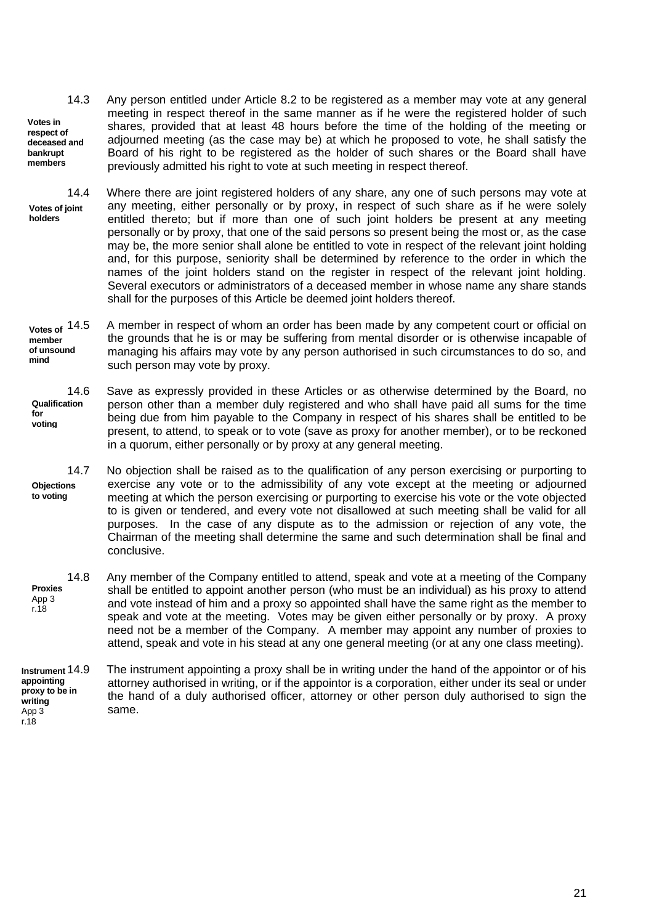- **Votes in respect of deceased and bankrupt members** 14.3 Any person entitled under Article 8.2 to be registered as a member may vote at any general meeting in respect thereof in the same manner as if he were the registered holder of such shares, provided that at least 48 hours before the time of the holding of the meeting or adjourned meeting (as the case may be) at which he proposed to vote, he shall satisfy the Board of his right to be registered as the holder of such shares or the Board shall have previously admitted his right to vote at such meeting in respect thereof.
- **Votes of joint holders** 14.4 Where there are joint registered holders of any share, any one of such persons may vote at any meeting, either personally or by proxy, in respect of such share as if he were solely entitled thereto; but if more than one of such joint holders be present at any meeting personally or by proxy, that one of the said persons so present being the most or, as the case may be, the more senior shall alone be entitled to vote in respect of the relevant joint holding and, for this purpose, seniority shall be determined by reference to the order in which the names of the joint holders stand on the register in respect of the relevant joint holding. Several executors or administrators of a deceased member in whose name any share stands shall for the purposes of this Article be deemed joint holders thereof.
- **Votes of member of unsound mind** A member in respect of whom an order has been made by any competent court or official on the grounds that he is or may be suffering from mental disorder or is otherwise incapable of managing his affairs may vote by any person authorised in such circumstances to do so, and such person may vote by proxy.
- **Qualification for voting** 14.6 Save as expressly provided in these Articles or as otherwise determined by the Board, no person other than a member duly registered and who shall have paid all sums for the time being due from him payable to the Company in respect of his shares shall be entitled to be present, to attend, to speak or to vote (save as proxy for another member), or to be reckoned in a quorum, either personally or by proxy at any general meeting.
- **Objections to voting** 14.7 No objection shall be raised as to the qualification of any person exercising or purporting to exercise any vote or to the admissibility of any vote except at the meeting or adjourned meeting at which the person exercising or purporting to exercise his vote or the vote objected to is given or tendered, and every vote not disallowed at such meeting shall be valid for all purposes. In the case of any dispute as to the admission or rejection of any vote, the Chairman of the meeting shall determine the same and such determination shall be final and conclusive.
- **Proxies** App 3 r.18 14.8 Any member of the Company entitled to attend, speak and vote at a meeting of the Company shall be entitled to appoint another person (who must be an individual) as his proxy to attend and vote instead of him and a proxy so appointed shall have the same right as the member to speak and vote at the meeting. Votes may be given either personally or by proxy. A proxy need not be a member of the Company. A member may appoint any number of proxies to attend, speak and vote in his stead at any one general meeting (or at any one class meeting).

**Instrument appointing proxy to be in writing** App 3 The instrument appointing a proxy shall be in writing under the hand of the appointor or of his attorney authorised in writing, or if the appointor is a corporation, either under its seal or under the hand of a duly authorised officer, attorney or other person duly authorised to sign the same.

r.18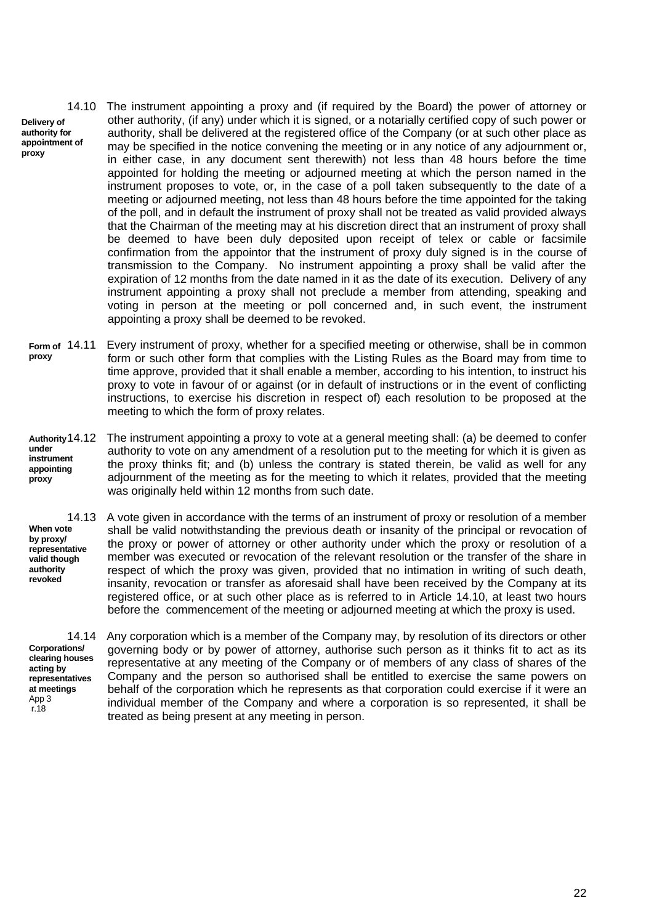**Delivery of authority for appointment of proxy**

14.10 The instrument appointing a proxy and (if required by the Board) the power of attorney or other authority, (if any) under which it is signed, or a notarially certified copy of such power or authority, shall be delivered at the registered office of the Company (or at such other place as may be specified in the notice convening the meeting or in any notice of any adjournment or, in either case, in any document sent therewith) not less than 48 hours before the time appointed for holding the meeting or adjourned meeting at which the person named in the instrument proposes to vote, or, in the case of a poll taken subsequently to the date of a meeting or adjourned meeting, not less than 48 hours before the time appointed for the taking of the poll, and in default the instrument of proxy shall not be treated as valid provided always that the Chairman of the meeting may at his discretion direct that an instrument of proxy shall be deemed to have been duly deposited upon receipt of telex or cable or facsimile confirmation from the appointor that the instrument of proxy duly signed is in the course of transmission to the Company. No instrument appointing a proxy shall be valid after the expiration of 12 months from the date named in it as the date of its execution. Delivery of any instrument appointing a proxy shall not preclude a member from attending, speaking and voting in person at the meeting or poll concerned and, in such event, the instrument appointing a proxy shall be deemed to be revoked.

**Form of proxy** Every instrument of proxy, whether for a specified meeting or otherwise, shall be in common form or such other form that complies with the Listing Rules as the Board may from time to time approve, provided that it shall enable a member, according to his intention, to instruct his proxy to vote in favour of or against (or in default of instructions or in the event of conflicting instructions, to exercise his discretion in respect of) each resolution to be proposed at the meeting to which the form of proxy relates.

**Authority**  14.12 The instrument appointing a proxy to vote at a general meeting shall: (a) be deemed to confer **under instrument appointing proxy** authority to vote on any amendment of a resolution put to the meeting for which it is given as the proxy thinks fit; and (b) unless the contrary is stated therein, be valid as well for any adjournment of the meeting as for the meeting to which it relates, provided that the meeting was originally held within 12 months from such date.

**When vote by proxy/ representative valid though authority revoked**

14.13 A vote given in accordance with the terms of an instrument of proxy or resolution of a member shall be valid notwithstanding the previous death or insanity of the principal or revocation of the proxy or power of attorney or other authority under which the proxy or resolution of a member was executed or revocation of the relevant resolution or the transfer of the share in respect of which the proxy was given, provided that no intimation in writing of such death, insanity, revocation or transfer as aforesaid shall have been received by the Company at its registered office, or at such other place as is referred to in Article 14.10, at least two hours before the commencement of the meeting or adjourned meeting at which the proxy is used.

**Corporations/ clearing houses acting by representatives at meetings** App 3 r.18

14.14 Any corporation which is a member of the Company may, by resolution of its directors or other governing body or by power of attorney, authorise such person as it thinks fit to act as its representative at any meeting of the Company or of members of any class of shares of the Company and the person so authorised shall be entitled to exercise the same powers on behalf of the corporation which he represents as that corporation could exercise if it were an individual member of the Company and where a corporation is so represented, it shall be treated as being present at any meeting in person.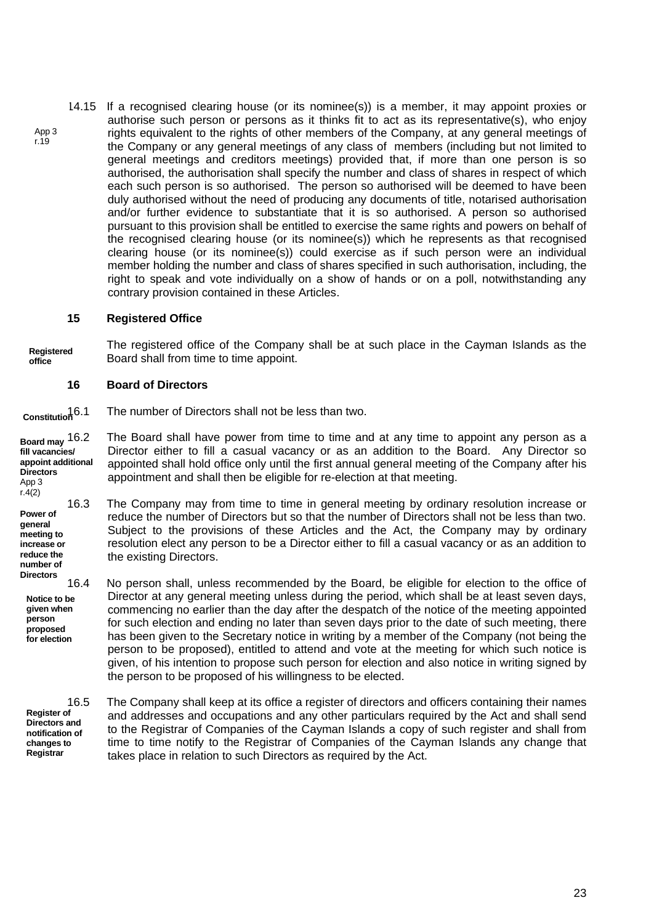14.15 If a recognised clearing house (or its nominee(s)) is a member, it may appoint proxies or authorise such person or persons as it thinks fit to act as its representative(s), who enjoy rights equivalent to the rights of other members of the Company, at any general meetings of the Company or any general meetings of any class of members (including but not limited to general meetings and creditors meetings) provided that, if more than one person is so authorised, the authorisation shall specify the number and class of shares in respect of which each such person is so authorised. The person so authorised will be deemed to have been duly authorised without the need of producing any documents of title, notarised authorisation and/or further evidence to substantiate that it is so authorised. A person so authorised pursuant to this provision shall be entitled to exercise the same rights and powers on behalf of the recognised clearing house (or its nominee(s)) which he represents as that recognised clearing house (or its nominee(s)) could exercise as if such person were an individual member holding the number and class of shares specified in such authorisation, including, the right to speak and vote individually on a show of hands or on a poll, notwithstanding any contrary provision contained in these Articles. App 3 r.19

## **15 Registered Office**

**Registered office** The registered office of the Company shall be at such place in the Cayman Islands as the Board shall from time to time appoint.

## **16 Board of Directors**

**Constitution** The number of Directors shall not be less than two.

**Board may fill vacancies/ appoint additional Directors** The Board shall have power from time to time and at any time to appoint any person as a Director either to fill a casual vacancy or as an addition to the Board. Any Director so appointed shall hold office only until the first annual general meeting of the Company after his appointment and shall then be eligible for re-election at that meeting.

16.3 The Company may from time to time in general meeting by ordinary resolution increase or reduce the number of Directors but so that the number of Directors shall not be less than two. Subject to the provisions of these Articles and the Act, the Company may by ordinary resolution elect any person to be a Director either to fill a casual vacancy or as an addition to the existing Directors.

16.4 No person shall, unless recommended by the Board, be eligible for election to the office of Director at any general meeting unless during the period, which shall be at least seven days, commencing no earlier than the day after the despatch of the notice of the meeting appointed for such election and ending no later than seven days prior to the date of such meeting, there has been given to the Secretary notice in writing by a member of the Company (not being the person to be proposed), entitled to attend and vote at the meeting for which such notice is given, of his intention to propose such person for election and also notice in writing signed by the person to be proposed of his willingness to be elected.

**Register of Directors and notification of changes to Registrar**

App 3  $r.4(2)$ 

**Power of general meeting to increase or reduce the number of Directors**

> **Notice to be given when person proposed for election**

> > 16.5 The Company shall keep at its office a register of directors and officers containing their names and addresses and occupations and any other particulars required by the Act and shall send to the Registrar of Companies of the Cayman Islands a copy of such register and shall from time to time notify to the Registrar of Companies of the Cayman Islands any change that takes place in relation to such Directors as required by the Act.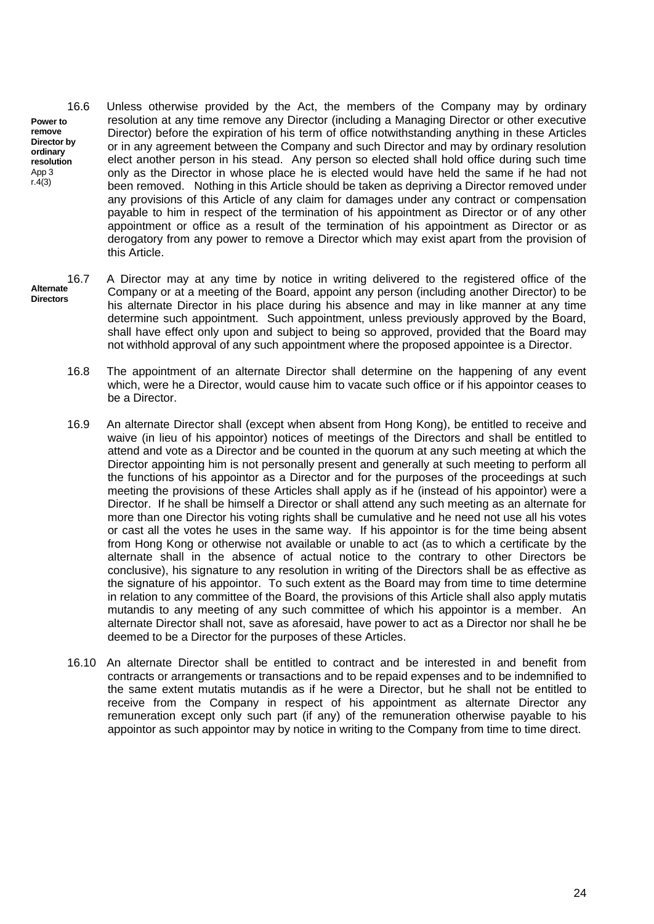**Power to remove Director by ordinary resolution** App 3 16.6 Unless otherwise provided by the Act, the members of the Company may by ordinary resolution at any time remove any Director (including a Managing Director or other executive Director) before the expiration of his term of office notwithstanding anything in these Articles or in any agreement between the Company and such Director and may by ordinary resolution elect another person in his stead. Any person so elected shall hold office during such time only as the Director in whose place he is elected would have held the same if he had not been removed. Nothing in this Article should be taken as depriving a Director removed under any provisions of this Article of any claim for damages under any contract or compensation payable to him in respect of the termination of his appointment as Director or of any other appointment or office as a result of the termination of his appointment as Director or as derogatory from any power to remove a Director which may exist apart from the provision of this Article.

 $r.4(3)$ 

- **Alternate Directors** 16.7 A Director may at any time by notice in writing delivered to the registered office of the Company or at a meeting of the Board, appoint any person (including another Director) to be his alternate Director in his place during his absence and may in like manner at any time determine such appointment. Such appointment, unless previously approved by the Board, shall have effect only upon and subject to being so approved, provided that the Board may not withhold approval of any such appointment where the proposed appointee is a Director.
	- 16.8 The appointment of an alternate Director shall determine on the happening of any event which, were he a Director, would cause him to vacate such office or if his appointor ceases to be a Director.
	- 16.9 An alternate Director shall (except when absent from Hong Kong), be entitled to receive and waive (in lieu of his appointor) notices of meetings of the Directors and shall be entitled to attend and vote as a Director and be counted in the quorum at any such meeting at which the Director appointing him is not personally present and generally at such meeting to perform all the functions of his appointor as a Director and for the purposes of the proceedings at such meeting the provisions of these Articles shall apply as if he (instead of his appointor) were a Director. If he shall be himself a Director or shall attend any such meeting as an alternate for more than one Director his voting rights shall be cumulative and he need not use all his votes or cast all the votes he uses in the same way. If his appointor is for the time being absent from Hong Kong or otherwise not available or unable to act (as to which a certificate by the alternate shall in the absence of actual notice to the contrary to other Directors be conclusive), his signature to any resolution in writing of the Directors shall be as effective as the signature of his appointor. To such extent as the Board may from time to time determine in relation to any committee of the Board, the provisions of this Article shall also apply mutatis mutandis to any meeting of any such committee of which his appointor is a member. An alternate Director shall not, save as aforesaid, have power to act as a Director nor shall he be deemed to be a Director for the purposes of these Articles.
	- 16.10 An alternate Director shall be entitled to contract and be interested in and benefit from contracts or arrangements or transactions and to be repaid expenses and to be indemnified to the same extent mutatis mutandis as if he were a Director, but he shall not be entitled to receive from the Company in respect of his appointment as alternate Director any remuneration except only such part (if any) of the remuneration otherwise payable to his appointor as such appointor may by notice in writing to the Company from time to time direct.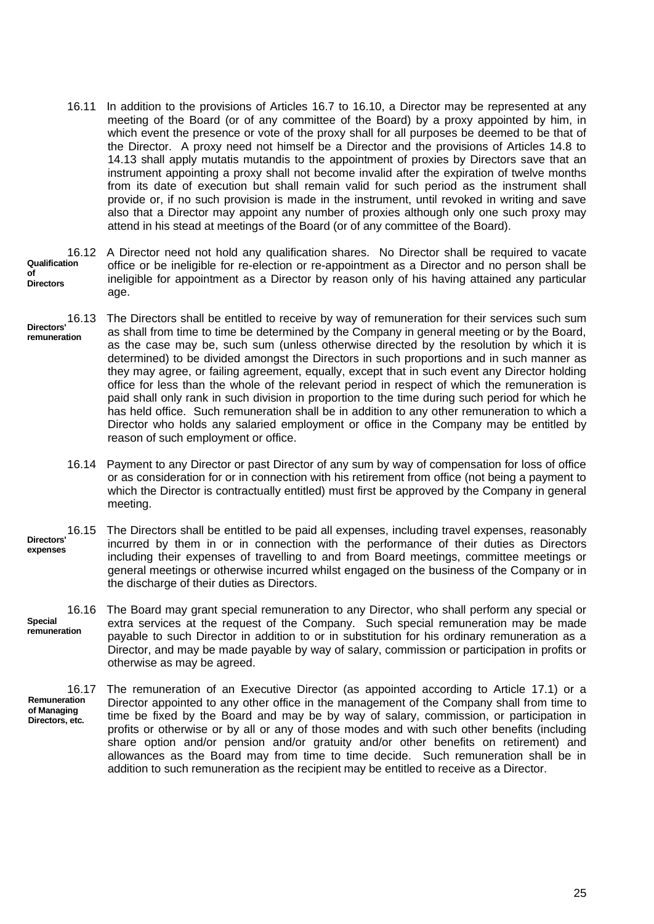- 16.11 In addition to the provisions of Articles 16.7 to 16.10, a Director may be represented at any meeting of the Board (or of any committee of the Board) by a proxy appointed by him, in which event the presence or vote of the proxy shall for all purposes be deemed to be that of the Director. A proxy need not himself be a Director and the provisions of Articles 14.8 to 14.13 shall apply mutatis mutandis to the appointment of proxies by Directors save that an instrument appointing a proxy shall not become invalid after the expiration of twelve months from its date of execution but shall remain valid for such period as the instrument shall provide or, if no such provision is made in the instrument, until revoked in writing and save also that a Director may appoint any number of proxies although only one such proxy may attend in his stead at meetings of the Board (or of any committee of the Board).
- **Qualification of Directors** 16.12 A Director need not hold any qualification shares. No Director shall be required to vacate office or be ineligible for re-election or re-appointment as a Director and no person shall be ineligible for appointment as a Director by reason only of his having attained any particular age.
- **Directors' remuneration** The Directors shall be entitled to receive by way of remuneration for their services such sum as shall from time to time be determined by the Company in general meeting or by the Board, as the case may be, such sum (unless otherwise directed by the resolution by which it is determined) to be divided amongst the Directors in such proportions and in such manner as they may agree, or failing agreement, equally, except that in such event any Director holding office for less than the whole of the relevant period in respect of which the remuneration is paid shall only rank in such division in proportion to the time during such period for which he has held office. Such remuneration shall be in addition to any other remuneration to which a Director who holds any salaried employment or office in the Company may be entitled by reason of such employment or office.
	- 16.14 Payment to any Director or past Director of any sum by way of compensation for loss of office or as consideration for or in connection with his retirement from office (not being a payment to which the Director is contractually entitled) must first be approved by the Company in general meeting.
- **Directors' expenses** 16.15 The Directors shall be entitled to be paid all expenses, including travel expenses, reasonably incurred by them in or in connection with the performance of their duties as Directors including their expenses of travelling to and from Board meetings, committee meetings or general meetings or otherwise incurred whilst engaged on the business of the Company or in the discharge of their duties as Directors.

**Special remuneration** 16.16 The Board may grant special remuneration to any Director, who shall perform any special or extra services at the request of the Company. Such special remuneration may be made payable to such Director in addition to or in substitution for his ordinary remuneration as a Director, and may be made payable by way of salary, commission or participation in profits or otherwise as may be agreed.

**Remuneration of Managing Directors, etc.** 16.17 The remuneration of an Executive Director (as appointed according to Article 17.1) or a Director appointed to any other office in the management of the Company shall from time to time be fixed by the Board and may be by way of salary, commission, or participation in profits or otherwise or by all or any of those modes and with such other benefits (including share option and/or pension and/or gratuity and/or other benefits on retirement) and allowances as the Board may from time to time decide. Such remuneration shall be in addition to such remuneration as the recipient may be entitled to receive as a Director.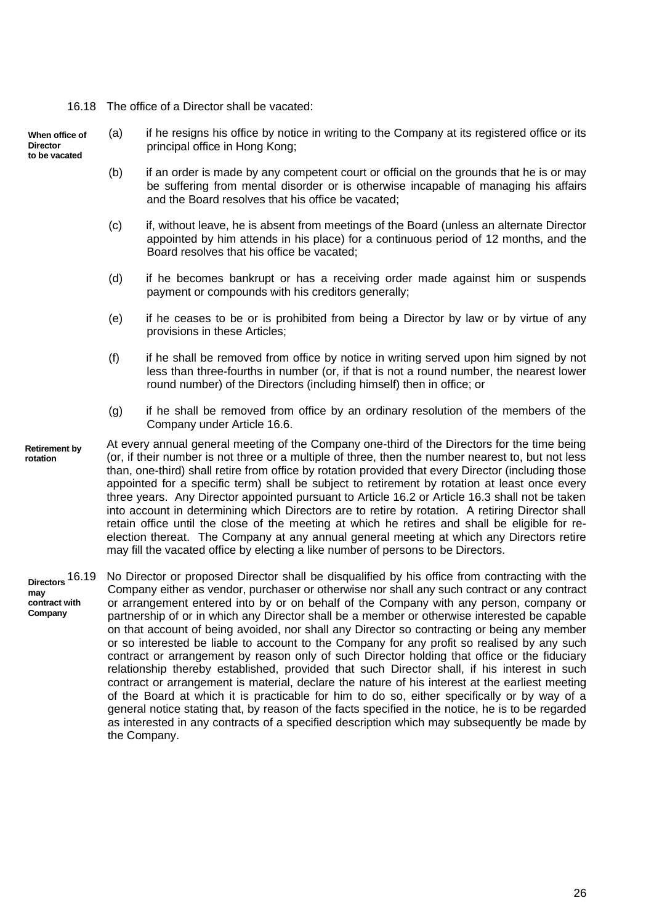16.18 The office of a Director shall be vacated:

**When office of Director to be vacated**

- (a) if he resigns his office by notice in writing to the Company at its registered office or its principal office in Hong Kong;
	- (b) if an order is made by any competent court or official on the grounds that he is or may be suffering from mental disorder or is otherwise incapable of managing his affairs and the Board resolves that his office be vacated;
	- (c) if, without leave, he is absent from meetings of the Board (unless an alternate Director appointed by him attends in his place) for a continuous period of 12 months, and the Board resolves that his office be vacated;
	- (d) if he becomes bankrupt or has a receiving order made against him or suspends payment or compounds with his creditors generally;
	- (e) if he ceases to be or is prohibited from being a Director by law or by virtue of any provisions in these Articles;
	- (f) if he shall be removed from office by notice in writing served upon him signed by not less than three-fourths in number (or, if that is not a round number, the nearest lower round number) of the Directors (including himself) then in office; or
	- (g) if he shall be removed from office by an ordinary resolution of the members of the Company under Article 16.6.
- **Retirement by rotation** At every annual general meeting of the Company one-third of the Directors for the time being (or, if their number is not three or a multiple of three, then the number nearest to, but not less than, one-third) shall retire from office by rotation provided that every Director (including those appointed for a specific term) shall be subject to retirement by rotation at least once every three years. Any Director appointed pursuant to Article 16.2 or Article 16.3 shall not be taken into account in determining which Directors are to retire by rotation. A retiring Director shall retain office until the close of the meeting at which he retires and shall be eligible for reelection thereat. The Company at any annual general meeting at which any Directors retire may fill the vacated office by electing a like number of persons to be Directors.
- **Directors may contract with Company** No Director or proposed Director shall be disqualified by his office from contracting with the Company either as vendor, purchaser or otherwise nor shall any such contract or any contract or arrangement entered into by or on behalf of the Company with any person, company or partnership of or in which any Director shall be a member or otherwise interested be capable on that account of being avoided, nor shall any Director so contracting or being any member or so interested be liable to account to the Company for any profit so realised by any such contract or arrangement by reason only of such Director holding that office or the fiduciary relationship thereby established, provided that such Director shall, if his interest in such contract or arrangement is material, declare the nature of his interest at the earliest meeting of the Board at which it is practicable for him to do so, either specifically or by way of a general notice stating that, by reason of the facts specified in the notice, he is to be regarded as interested in any contracts of a specified description which may subsequently be made by the Company.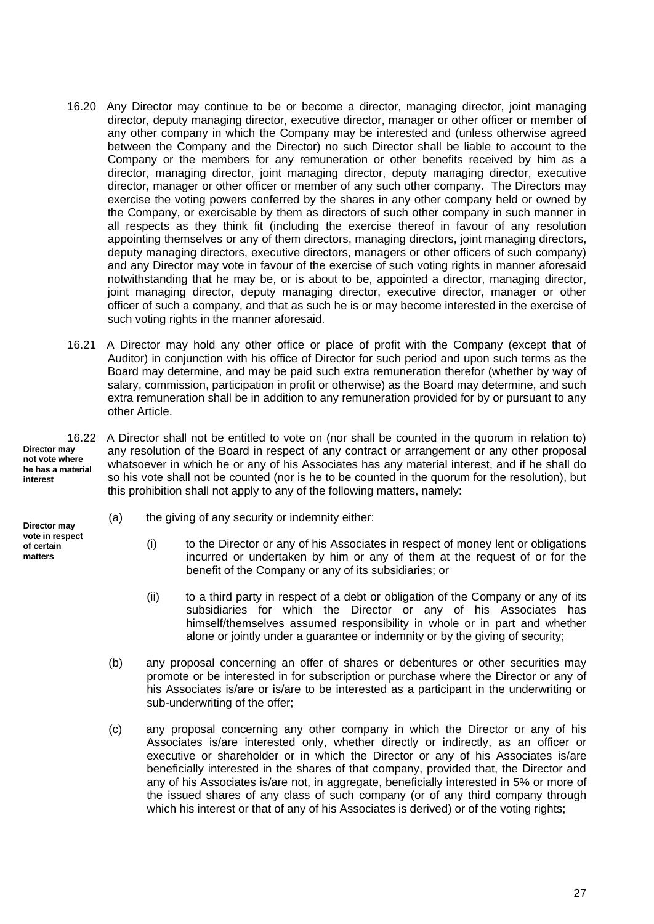- 16.20 Any Director may continue to be or become a director, managing director, joint managing director, deputy managing director, executive director, manager or other officer or member of any other company in which the Company may be interested and (unless otherwise agreed between the Company and the Director) no such Director shall be liable to account to the Company or the members for any remuneration or other benefits received by him as a director, managing director, joint managing director, deputy managing director, executive director, manager or other officer or member of any such other company. The Directors may exercise the voting powers conferred by the shares in any other company held or owned by the Company, or exercisable by them as directors of such other company in such manner in all respects as they think fit (including the exercise thereof in favour of any resolution appointing themselves or any of them directors, managing directors, joint managing directors, deputy managing directors, executive directors, managers or other officers of such company) and any Director may vote in favour of the exercise of such voting rights in manner aforesaid notwithstanding that he may be, or is about to be, appointed a director, managing director, joint managing director, deputy managing director, executive director, manager or other officer of such a company, and that as such he is or may become interested in the exercise of such voting rights in the manner aforesaid.
- 16.21 A Director may hold any other office or place of profit with the Company (except that of Auditor) in conjunction with his office of Director for such period and upon such terms as the Board may determine, and may be paid such extra remuneration therefor (whether by way of salary, commission, participation in profit or otherwise) as the Board may determine, and such extra remuneration shall be in addition to any remuneration provided for by or pursuant to any other Article.

**Director may not vote where he has a material interest**

16.22 A Director shall not be entitled to vote on (nor shall be counted in the quorum in relation to) any resolution of the Board in respect of any contract or arrangement or any other proposal whatsoever in which he or any of his Associates has any material interest, and if he shall do so his vote shall not be counted (nor is he to be counted in the quorum for the resolution), but this prohibition shall not apply to any of the following matters, namely:

- (a) the giving of any security or indemnity either:
	- (i) to the Director or any of his Associates in respect of money lent or obligations incurred or undertaken by him or any of them at the request of or for the benefit of the Company or any of its subsidiaries; or
	- (ii) to a third party in respect of a debt or obligation of the Company or any of its subsidiaries for which the Director or any of his Associates has himself/themselves assumed responsibility in whole or in part and whether alone or jointly under a guarantee or indemnity or by the giving of security;
	- (b) any proposal concerning an offer of shares or debentures or other securities may promote or be interested in for subscription or purchase where the Director or any of his Associates is/are or is/are to be interested as a participant in the underwriting or sub-underwriting of the offer;
	- (c) any proposal concerning any other company in which the Director or any of his Associates is/are interested only, whether directly or indirectly, as an officer or executive or shareholder or in which the Director or any of his Associates is/are beneficially interested in the shares of that company, provided that, the Director and any of his Associates is/are not, in aggregate, beneficially interested in 5% or more of the issued shares of any class of such company (or of any third company through which his interest or that of any of his Associates is derived) or of the voting rights;

**Director may vote in respect of certain matters**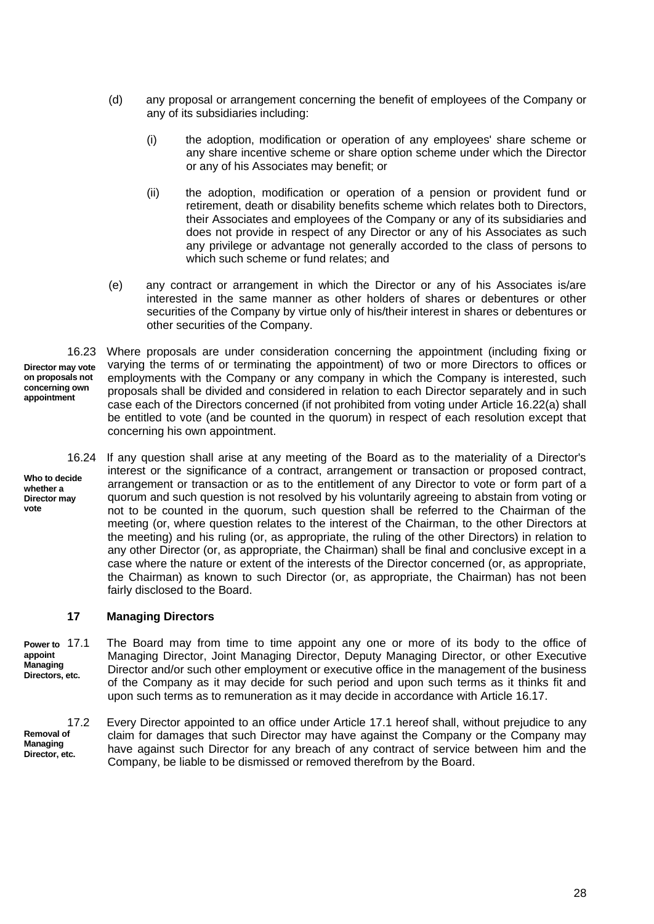- (d) any proposal or arrangement concerning the benefit of employees of the Company or any of its subsidiaries including:
	- (i) the adoption, modification or operation of any employees' share scheme or any share incentive scheme or share option scheme under which the Director or any of his Associates may benefit; or
	- (ii) the adoption, modification or operation of a pension or provident fund or retirement, death or disability benefits scheme which relates both to Directors, their Associates and employees of the Company or any of its subsidiaries and does not provide in respect of any Director or any of his Associates as such any privilege or advantage not generally accorded to the class of persons to which such scheme or fund relates; and
- (e) any contract or arrangement in which the Director or any of his Associates is/are interested in the same manner as other holders of shares or debentures or other securities of the Company by virtue only of his/their interest in shares or debentures or other securities of the Company.

**Director may vote on proposals not concerning own appointment** 16.23 Where proposals are under consideration concerning the appointment (including fixing or varying the terms of or terminating the appointment) of two or more Directors to offices or employments with the Company or any company in which the Company is interested, such proposals shall be divided and considered in relation to each Director separately and in such case each of the Directors concerned (if not prohibited from voting under Article 16.22(a) shall be entitled to vote (and be counted in the quorum) in respect of each resolution except that concerning his own appointment.

**Who to decide whether a Director may vote**

16.24 If any question shall arise at any meeting of the Board as to the materiality of a Director's interest or the significance of a contract, arrangement or transaction or proposed contract, arrangement or transaction or as to the entitlement of any Director to vote or form part of a quorum and such question is not resolved by his voluntarily agreeing to abstain from voting or not to be counted in the quorum, such question shall be referred to the Chairman of the meeting (or, where question relates to the interest of the Chairman, to the other Directors at the meeting) and his ruling (or, as appropriate, the ruling of the other Directors) in relation to any other Director (or, as appropriate, the Chairman) shall be final and conclusive except in a case where the nature or extent of the interests of the Director concerned (or, as appropriate, the Chairman) as known to such Director (or, as appropriate, the Chairman) has not been fairly disclosed to the Board.

## **17 Managing Directors**

**Power to appoint Managing Directors, etc.** The Board may from time to time appoint any one or more of its body to the office of Managing Director, Joint Managing Director, Deputy Managing Director, or other Executive Director and/or such other employment or executive office in the management of the business of the Company as it may decide for such period and upon such terms as it thinks fit and upon such terms as to remuneration as it may decide in accordance with Article 16.17.

**Removal of Managing Director, etc.** 17.2 Every Director appointed to an office under Article 17.1 hereof shall, without prejudice to any claim for damages that such Director may have against the Company or the Company may have against such Director for any breach of any contract of service between him and the Company, be liable to be dismissed or removed therefrom by the Board.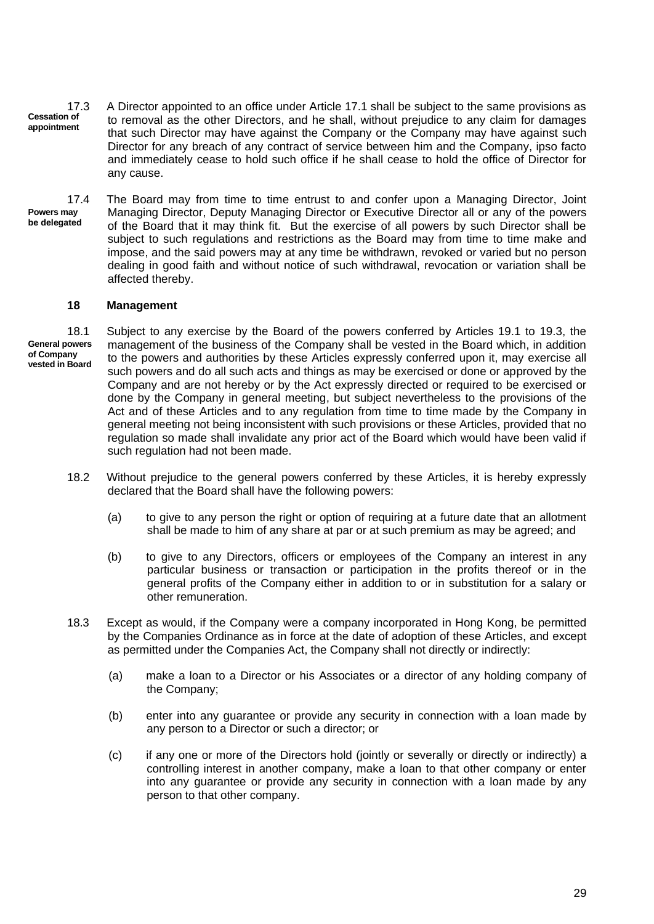- **Cessation of appointment** 17.3 A Director appointed to an office under Article 17.1 shall be subject to the same provisions as to removal as the other Directors, and he shall, without prejudice to any claim for damages that such Director may have against the Company or the Company may have against such Director for any breach of any contract of service between him and the Company, ipso facto and immediately cease to hold such office if he shall cease to hold the office of Director for any cause.
- **Powers may be delegated** 17.4 The Board may from time to time entrust to and confer upon a Managing Director, Joint Managing Director, Deputy Managing Director or Executive Director all or any of the powers of the Board that it may think fit. But the exercise of all powers by such Director shall be subject to such regulations and restrictions as the Board may from time to time make and impose, and the said powers may at any time be withdrawn, revoked or varied but no person dealing in good faith and without notice of such withdrawal, revocation or variation shall be affected thereby.

#### **18 Management**

**General powers of Company vested in Board** 18.1 Subject to any exercise by the Board of the powers conferred by Articles 19.1 to 19.3, the management of the business of the Company shall be vested in the Board which, in addition to the powers and authorities by these Articles expressly conferred upon it, may exercise all such powers and do all such acts and things as may be exercised or done or approved by the Company and are not hereby or by the Act expressly directed or required to be exercised or done by the Company in general meeting, but subject nevertheless to the provisions of the Act and of these Articles and to any regulation from time to time made by the Company in general meeting not being inconsistent with such provisions or these Articles, provided that no regulation so made shall invalidate any prior act of the Board which would have been valid if such regulation had not been made.

- 18.2 Without prejudice to the general powers conferred by these Articles, it is hereby expressly declared that the Board shall have the following powers:
	- (a) to give to any person the right or option of requiring at a future date that an allotment shall be made to him of any share at par or at such premium as may be agreed; and
	- (b) to give to any Directors, officers or employees of the Company an interest in any particular business or transaction or participation in the profits thereof or in the general profits of the Company either in addition to or in substitution for a salary or other remuneration.
- 18.3 Except as would, if the Company were a company incorporated in Hong Kong, be permitted by the Companies Ordinance as in force at the date of adoption of these Articles, and except as permitted under the Companies Act, the Company shall not directly or indirectly:
	- (a) make a loan to a Director or his Associates or a director of any holding company of the Company;
	- (b) enter into any guarantee or provide any security in connection with a loan made by any person to a Director or such a director; or
	- (c) if any one or more of the Directors hold (jointly or severally or directly or indirectly) a controlling interest in another company, make a loan to that other company or enter into any guarantee or provide any security in connection with a loan made by any person to that other company.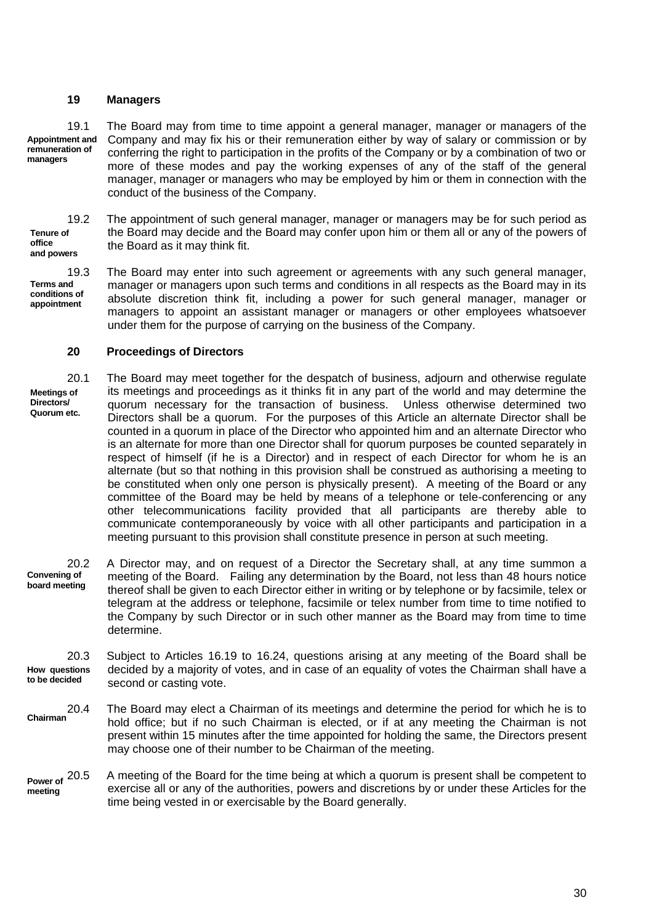#### **19 Managers**

**Appointment and remuneration of managers** 19.1 The Board may from time to time appoint a general manager, manager or managers of the Company and may fix his or their remuneration either by way of salary or commission or by conferring the right to participation in the profits of the Company or by a combination of two or more of these modes and pay the working expenses of any of the staff of the general manager, manager or managers who may be employed by him or them in connection with the conduct of the business of the Company.

**Tenure of office and powers** 19.2 The appointment of such general manager, manager or managers may be for such period as the Board may decide and the Board may confer upon him or them all or any of the powers of the Board as it may think fit.

**Terms and conditions of appointment** 19.3 The Board may enter into such agreement or agreements with any such general manager, manager or managers upon such terms and conditions in all respects as the Board may in its absolute discretion think fit, including a power for such general manager, manager or managers to appoint an assistant manager or managers or other employees whatsoever under them for the purpose of carrying on the business of the Company.

#### **20 Proceedings of Directors**

**Meetings of Directors/ Quorum etc.** 20.1 The Board may meet together for the despatch of business, adjourn and otherwise regulate its meetings and proceedings as it thinks fit in any part of the world and may determine the quorum necessary for the transaction of business. Unless otherwise determined two Directors shall be a quorum. For the purposes of this Article an alternate Director shall be counted in a quorum in place of the Director who appointed him and an alternate Director who is an alternate for more than one Director shall for quorum purposes be counted separately in respect of himself (if he is a Director) and in respect of each Director for whom he is an alternate (but so that nothing in this provision shall be construed as authorising a meeting to be constituted when only one person is physically present). A meeting of the Board or any committee of the Board may be held by means of a telephone or tele-conferencing or any other telecommunications facility provided that all participants are thereby able to communicate contemporaneously by voice with all other participants and participation in a meeting pursuant to this provision shall constitute presence in person at such meeting.

**Convening of board meeting** 20.2 A Director may, and on request of a Director the Secretary shall, at any time summon a meeting of the Board. Failing any determination by the Board, not less than 48 hours notice thereof shall be given to each Director either in writing or by telephone or by facsimile, telex or telegram at the address or telephone, facsimile or telex number from time to time notified to the Company by such Director or in such other manner as the Board may from time to time determine.

**How questions to be decided** 20.3 Subject to Articles 16.19 to 16.24, questions arising at any meeting of the Board shall be decided by a majority of votes, and in case of an equality of votes the Chairman shall have a second or casting vote.

- **Chairman** 20.4 The Board may elect a Chairman of its meetings and determine the period for which he is to hold office; but if no such Chairman is elected, or if at any meeting the Chairman is not present within 15 minutes after the time appointed for holding the same, the Directors present may choose one of their number to be Chairman of the meeting.
- **Power of meeting** A meeting of the Board for the time being at which a quorum is present shall be competent to exercise all or any of the authorities, powers and discretions by or under these Articles for the time being vested in or exercisable by the Board generally.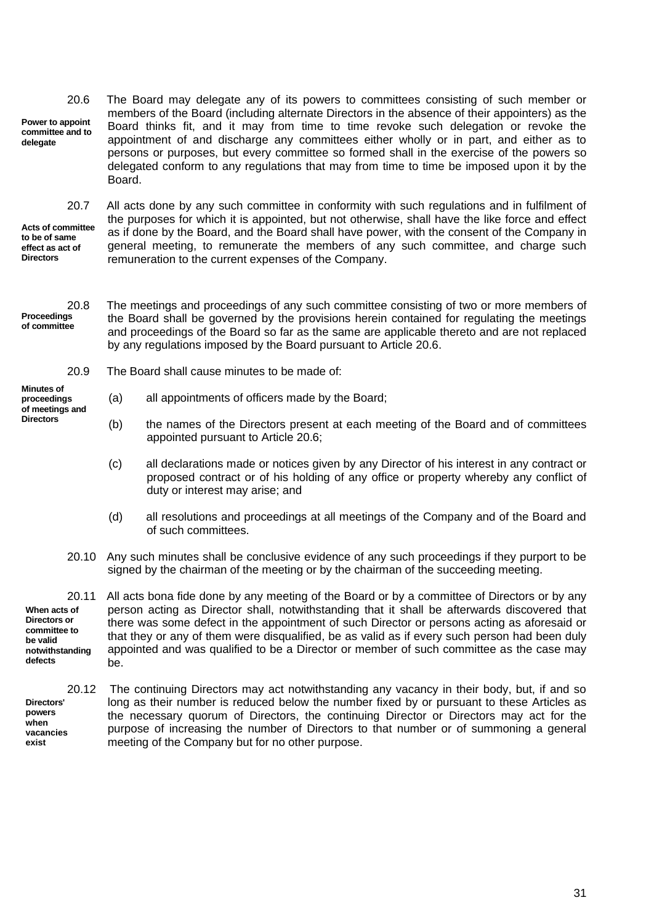**Power to appoint committee and to delegate** 20.6 The Board may delegate any of its powers to committees consisting of such member or members of the Board (including alternate Directors in the absence of their appointers) as the Board thinks fit, and it may from time to time revoke such delegation or revoke the appointment of and discharge any committees either wholly or in part, and either as to persons or purposes, but every committee so formed shall in the exercise of the powers so delegated conform to any regulations that may from time to time be imposed upon it by the **Board** 

**Acts of committee to be of same effect as act of Directors**

20.7 All acts done by any such committee in conformity with such regulations and in fulfilment of the purposes for which it is appointed, but not otherwise, shall have the like force and effect as if done by the Board, and the Board shall have power, with the consent of the Company in general meeting, to remunerate the members of any such committee, and charge such remuneration to the current expenses of the Company.

**Proceedings of committee**

**Minutes of**

**Directors**

20.8 The meetings and proceedings of any such committee consisting of two or more members of the Board shall be governed by the provisions herein contained for regulating the meetings and proceedings of the Board so far as the same are applicable thereto and are not replaced by any regulations imposed by the Board pursuant to Article 20.6.

- 20.9 The Board shall cause minutes to be made of:
- **proceedings of meetings and** (a) all appointments of officers made by the Board;
	- (b) the names of the Directors present at each meeting of the Board and of committees appointed pursuant to Article 20.6;
	- (c) all declarations made or notices given by any Director of his interest in any contract or proposed contract or of his holding of any office or property whereby any conflict of duty or interest may arise; and
	- (d) all resolutions and proceedings at all meetings of the Company and of the Board and of such committees.
	- 20.10 Any such minutes shall be conclusive evidence of any such proceedings if they purport to be signed by the chairman of the meeting or by the chairman of the succeeding meeting.

**When acts of Directors or committee to be valid notwithstanding defects** 20.11 All acts bona fide done by any meeting of the Board or by a committee of Directors or by any person acting as Director shall, notwithstanding that it shall be afterwards discovered that there was some defect in the appointment of such Director or persons acting as aforesaid or that they or any of them were disqualified, be as valid as if every such person had been duly appointed and was qualified to be a Director or member of such committee as the case may be.

**Directors' powers when vacancies exist** 20.12 The continuing Directors may act notwithstanding any vacancy in their body, but, if and so long as their number is reduced below the number fixed by or pursuant to these Articles as the necessary quorum of Directors, the continuing Director or Directors may act for the purpose of increasing the number of Directors to that number or of summoning a general meeting of the Company but for no other purpose.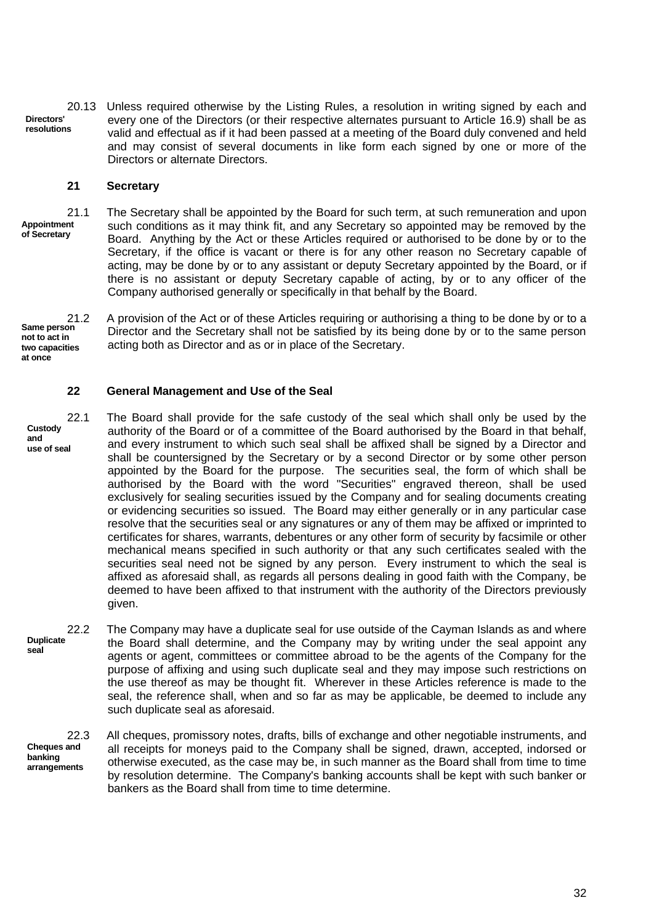**Directors' resolutions** 20.13 Unless required otherwise by the Listing Rules, a resolution in writing signed by each and every one of the Directors (or their respective alternates pursuant to Article 16.9) shall be as valid and effectual as if it had been passed at a meeting of the Board duly convened and held and may consist of several documents in like form each signed by one or more of the Directors or alternate Directors.

## **21 Secretary**

**Appointment of Secretary**

21.1 The Secretary shall be appointed by the Board for such term, at such remuneration and upon such conditions as it may think fit, and any Secretary so appointed may be removed by the Board. Anything by the Act or these Articles required or authorised to be done by or to the Secretary, if the office is vacant or there is for any other reason no Secretary capable of acting, may be done by or to any assistant or deputy Secretary appointed by the Board, or if there is no assistant or deputy Secretary capable of acting, by or to any officer of the Company authorised generally or specifically in that behalf by the Board.

**Same person not to act in two capacities at once**

21.2 A provision of the Act or of these Articles requiring or authorising a thing to be done by or to a Director and the Secretary shall not be satisfied by its being done by or to the same person acting both as Director and as or in place of the Secretary.

#### **22 General Management and Use of the Seal**

**Custody and use of seal**

22.1 The Board shall provide for the safe custody of the seal which shall only be used by the authority of the Board or of a committee of the Board authorised by the Board in that behalf, and every instrument to which such seal shall be affixed shall be signed by a Director and shall be countersigned by the Secretary or by a second Director or by some other person appointed by the Board for the purpose. The securities seal, the form of which shall be authorised by the Board with the word "Securities" engraved thereon, shall be used exclusively for sealing securities issued by the Company and for sealing documents creating or evidencing securities so issued. The Board may either generally or in any particular case resolve that the securities seal or any signatures or any of them may be affixed or imprinted to certificates for shares, warrants, debentures or any other form of security by facsimile or other mechanical means specified in such authority or that any such certificates sealed with the securities seal need not be signed by any person. Every instrument to which the seal is affixed as aforesaid shall, as regards all persons dealing in good faith with the Company, be deemed to have been affixed to that instrument with the authority of the Directors previously given.

**Duplicate seal** 22.2 The Company may have a duplicate seal for use outside of the Cayman Islands as and where the Board shall determine, and the Company may by writing under the seal appoint any agents or agent, committees or committee abroad to be the agents of the Company for the purpose of affixing and using such duplicate seal and they may impose such restrictions on the use thereof as may be thought fit. Wherever in these Articles reference is made to the seal, the reference shall, when and so far as may be applicable, be deemed to include any such duplicate seal as aforesaid.

**Cheques and banking arrangements** 22.3 All cheques, promissory notes, drafts, bills of exchange and other negotiable instruments, and all receipts for moneys paid to the Company shall be signed, drawn, accepted, indorsed or otherwise executed, as the case may be, in such manner as the Board shall from time to time by resolution determine. The Company's banking accounts shall be kept with such banker or bankers as the Board shall from time to time determine.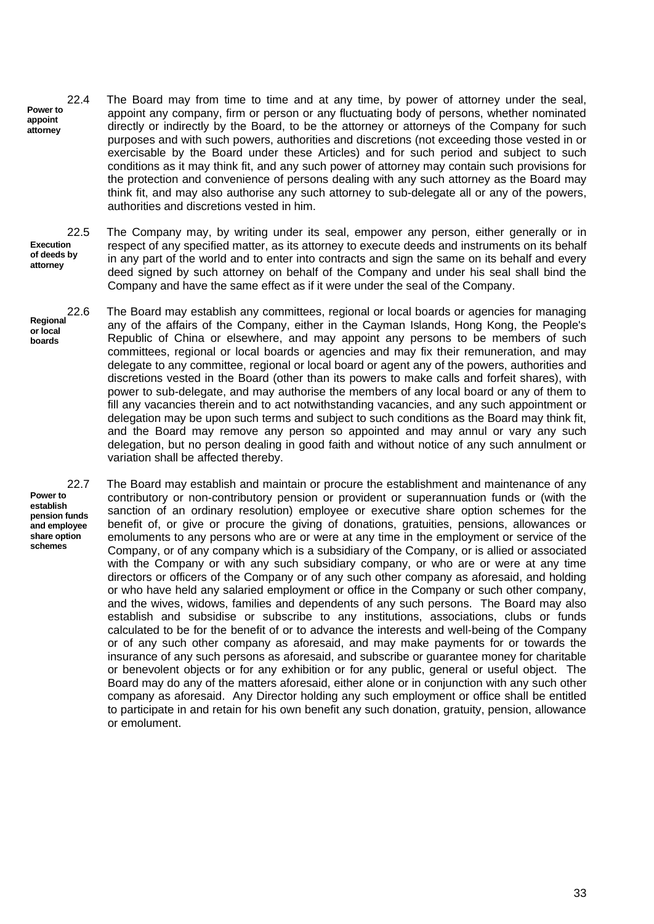**Power to appoint attorney** 22.4 The Board may from time to time and at any time, by power of attorney under the seal, appoint any company, firm or person or any fluctuating body of persons, whether nominated directly or indirectly by the Board, to be the attorney or attorneys of the Company for such purposes and with such powers, authorities and discretions (not exceeding those vested in or exercisable by the Board under these Articles) and for such period and subject to such conditions as it may think fit, and any such power of attorney may contain such provisions for the protection and convenience of persons dealing with any such attorney as the Board may think fit, and may also authorise any such attorney to sub-delegate all or any of the powers, authorities and discretions vested in him.

**Execution of deeds by attorney**

22.5 The Company may, by writing under its seal, empower any person, either generally or in respect of any specified matter, as its attorney to execute deeds and instruments on its behalf in any part of the world and to enter into contracts and sign the same on its behalf and every deed signed by such attorney on behalf of the Company and under his seal shall bind the Company and have the same effect as if it were under the seal of the Company.

**Regional or local boards** The Board may establish any committees, regional or local boards or agencies for managing any of the affairs of the Company, either in the Cayman Islands, Hong Kong, the People's Republic of China or elsewhere, and may appoint any persons to be members of such committees, regional or local boards or agencies and may fix their remuneration, and may delegate to any committee, regional or local board or agent any of the powers, authorities and discretions vested in the Board (other than its powers to make calls and forfeit shares), with power to sub-delegate, and may authorise the members of any local board or any of them to fill any vacancies therein and to act notwithstanding vacancies, and any such appointment or delegation may be upon such terms and subject to such conditions as the Board may think fit, and the Board may remove any person so appointed and may annul or vary any such delegation, but no person dealing in good faith and without notice of any such annulment or variation shall be affected thereby.

**Power to establish pension funds and employee share option schemes**

22.7 The Board may establish and maintain or procure the establishment and maintenance of any contributory or non-contributory pension or provident or superannuation funds or (with the sanction of an ordinary resolution) employee or executive share option schemes for the benefit of, or give or procure the giving of donations, gratuities, pensions, allowances or emoluments to any persons who are or were at any time in the employment or service of the Company, or of any company which is a subsidiary of the Company, or is allied or associated with the Company or with any such subsidiary company, or who are or were at any time directors or officers of the Company or of any such other company as aforesaid, and holding or who have held any salaried employment or office in the Company or such other company, and the wives, widows, families and dependents of any such persons. The Board may also establish and subsidise or subscribe to any institutions, associations, clubs or funds calculated to be for the benefit of or to advance the interests and well-being of the Company or of any such other company as aforesaid, and may make payments for or towards the insurance of any such persons as aforesaid, and subscribe or guarantee money for charitable or benevolent objects or for any exhibition or for any public, general or useful object. The Board may do any of the matters aforesaid, either alone or in conjunction with any such other company as aforesaid. Any Director holding any such employment or office shall be entitled to participate in and retain for his own benefit any such donation, gratuity, pension, allowance or emolument.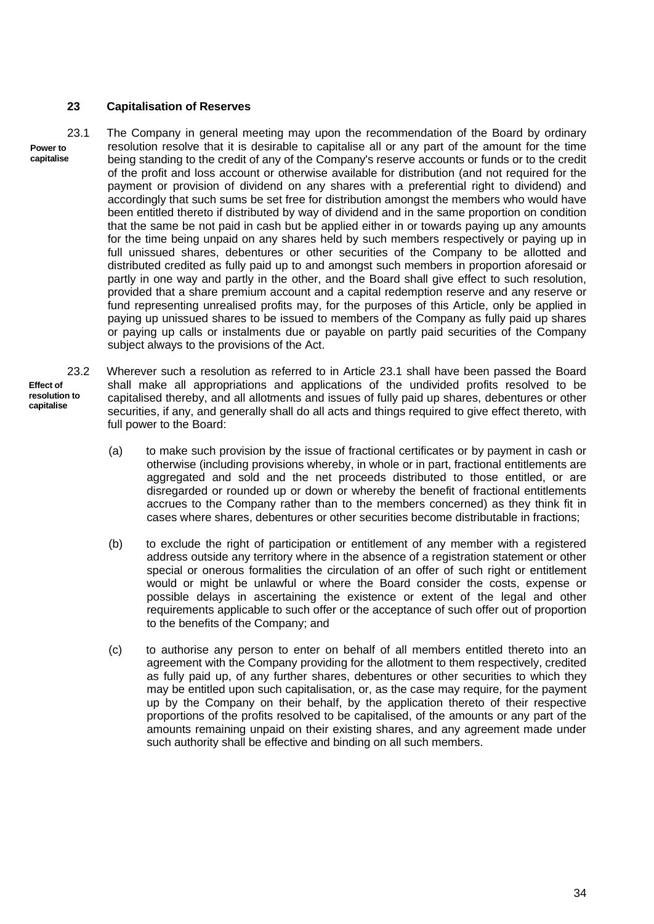## **23 Capitalisation of Reserves**

- **Power to capitalise** 23.1 The Company in general meeting may upon the recommendation of the Board by ordinary resolution resolve that it is desirable to capitalise all or any part of the amount for the time being standing to the credit of any of the Company's reserve accounts or funds or to the credit of the profit and loss account or otherwise available for distribution (and not required for the payment or provision of dividend on any shares with a preferential right to dividend) and accordingly that such sums be set free for distribution amongst the members who would have been entitled thereto if distributed by way of dividend and in the same proportion on condition that the same be not paid in cash but be applied either in or towards paying up any amounts for the time being unpaid on any shares held by such members respectively or paying up in full unissued shares, debentures or other securities of the Company to be allotted and distributed credited as fully paid up to and amongst such members in proportion aforesaid or partly in one way and partly in the other, and the Board shall give effect to such resolution, provided that a share premium account and a capital redemption reserve and any reserve or fund representing unrealised profits may, for the purposes of this Article, only be applied in paying up unissued shares to be issued to members of the Company as fully paid up shares or paying up calls or instalments due or payable on partly paid securities of the Company subject always to the provisions of the Act.
	- **Effect of resolution to capitalise** 23.2 Wherever such a resolution as referred to in Article 23.1 shall have been passed the Board shall make all appropriations and applications of the undivided profits resolved to be capitalised thereby, and all allotments and issues of fully paid up shares, debentures or other securities, if any, and generally shall do all acts and things required to give effect thereto, with full power to the Board:
		- (a) to make such provision by the issue of fractional certificates or by payment in cash or otherwise (including provisions whereby, in whole or in part, fractional entitlements are aggregated and sold and the net proceeds distributed to those entitled, or are disregarded or rounded up or down or whereby the benefit of fractional entitlements accrues to the Company rather than to the members concerned) as they think fit in cases where shares, debentures or other securities become distributable in fractions;
		- (b) to exclude the right of participation or entitlement of any member with a registered address outside any territory where in the absence of a registration statement or other special or onerous formalities the circulation of an offer of such right or entitlement would or might be unlawful or where the Board consider the costs, expense or possible delays in ascertaining the existence or extent of the legal and other requirements applicable to such offer or the acceptance of such offer out of proportion to the benefits of the Company; and
		- (c) to authorise any person to enter on behalf of all members entitled thereto into an agreement with the Company providing for the allotment to them respectively, credited as fully paid up, of any further shares, debentures or other securities to which they may be entitled upon such capitalisation, or, as the case may require, for the payment up by the Company on their behalf, by the application thereto of their respective proportions of the profits resolved to be capitalised, of the amounts or any part of the amounts remaining unpaid on their existing shares, and any agreement made under such authority shall be effective and binding on all such members.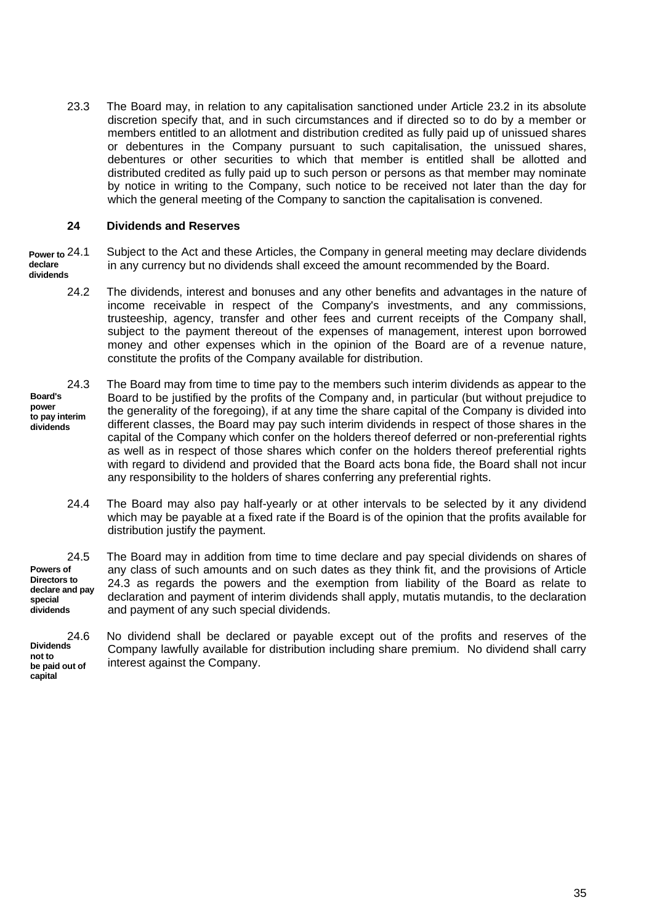23.3 The Board may, in relation to any capitalisation sanctioned under Article 23.2 in its absolute discretion specify that, and in such circumstances and if directed so to do by a member or members entitled to an allotment and distribution credited as fully paid up of unissued shares or debentures in the Company pursuant to such capitalisation, the unissued shares, debentures or other securities to which that member is entitled shall be allotted and distributed credited as fully paid up to such person or persons as that member may nominate by notice in writing to the Company, such notice to be received not later than the day for which the general meeting of the Company to sanction the capitalisation is convened.

### **24 Dividends and Reserves**

**Power to declare dividends** Subject to the Act and these Articles, the Company in general meeting may declare dividends in any currency but no dividends shall exceed the amount recommended by the Board.

- 24.2 The dividends, interest and bonuses and any other benefits and advantages in the nature of income receivable in respect of the Company's investments, and any commissions, trusteeship, agency, transfer and other fees and current receipts of the Company shall, subject to the payment thereout of the expenses of management, interest upon borrowed money and other expenses which in the opinion of the Board are of a revenue nature, constitute the profits of the Company available for distribution.
- **Board's power to pay interim dividends** 24.3 The Board may from time to time pay to the members such interim dividends as appear to the Board to be justified by the profits of the Company and, in particular (but without prejudice to the generality of the foregoing), if at any time the share capital of the Company is divided into different classes, the Board may pay such interim dividends in respect of those shares in the capital of the Company which confer on the holders thereof deferred or non-preferential rights as well as in respect of those shares which confer on the holders thereof preferential rights with regard to dividend and provided that the Board acts bona fide, the Board shall not incur any responsibility to the holders of shares conferring any preferential rights.
	- 24.4 The Board may also pay half-yearly or at other intervals to be selected by it any dividend which may be payable at a fixed rate if the Board is of the opinion that the profits available for distribution justify the payment.

**Powers of Directors to declare and pay special dividends** 24.5 The Board may in addition from time to time declare and pay special dividends on shares of any class of such amounts and on such dates as they think fit, and the provisions of Article 24.3 as regards the powers and the exemption from liability of the Board as relate to declaration and payment of interim dividends shall apply, mutatis mutandis, to the declaration and payment of any such special dividends.

**Dividends not to be paid out of capital**

24.6 No dividend shall be declared or payable except out of the profits and reserves of the Company lawfully available for distribution including share premium. No dividend shall carry interest against the Company.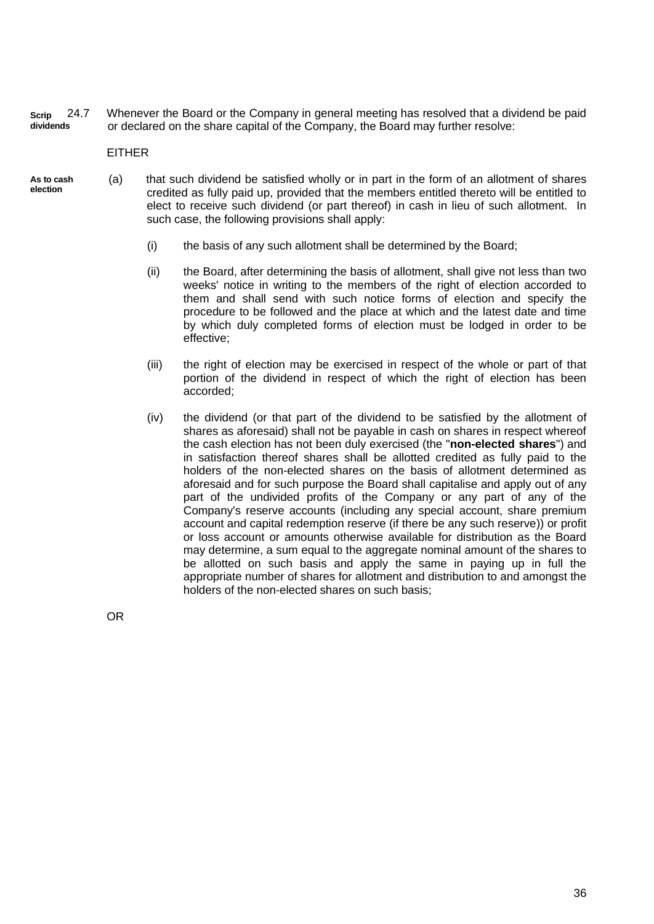**Scrip dividends** 24.7 Whenever the Board or the Company in general meeting has resolved that a dividend be paid or declared on the share capital of the Company, the Board may further resolve:

EITHER

- **As to cash election** (a) that such dividend be satisfied wholly or in part in the form of an allotment of shares credited as fully paid up, provided that the members entitled thereto will be entitled to elect to receive such dividend (or part thereof) in cash in lieu of such allotment. In such case, the following provisions shall apply:
	- (i) the basis of any such allotment shall be determined by the Board;
	- (ii) the Board, after determining the basis of allotment, shall give not less than two weeks' notice in writing to the members of the right of election accorded to them and shall send with such notice forms of election and specify the procedure to be followed and the place at which and the latest date and time by which duly completed forms of election must be lodged in order to be effective;
	- (iii) the right of election may be exercised in respect of the whole or part of that portion of the dividend in respect of which the right of election has been accorded;
	- (iv) the dividend (or that part of the dividend to be satisfied by the allotment of shares as aforesaid) shall not be payable in cash on shares in respect whereof the cash election has not been duly exercised (the "**non-elected shares**") and in satisfaction thereof shares shall be allotted credited as fully paid to the holders of the non-elected shares on the basis of allotment determined as aforesaid and for such purpose the Board shall capitalise and apply out of any part of the undivided profits of the Company or any part of any of the Company's reserve accounts (including any special account, share premium account and capital redemption reserve (if there be any such reserve)) or profit or loss account or amounts otherwise available for distribution as the Board may determine, a sum equal to the aggregate nominal amount of the shares to be allotted on such basis and apply the same in paying up in full the appropriate number of shares for allotment and distribution to and amongst the holders of the non-elected shares on such basis;

OR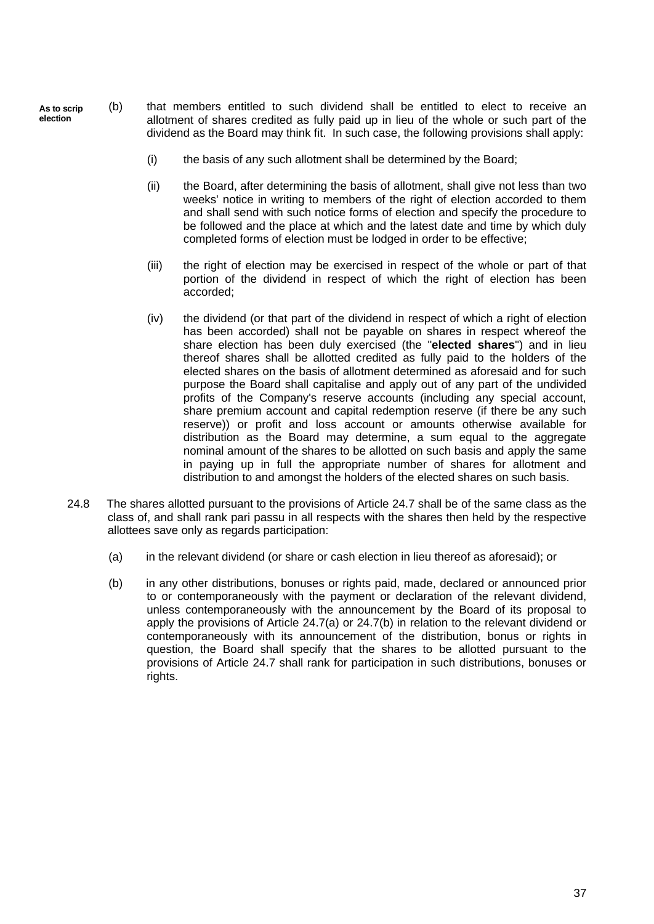- (b) that members entitled to such dividend shall be entitled to elect to receive an allotment of shares credited as fully paid up in lieu of the whole or such part of the dividend as the Board may think fit. In such case, the following provisions shall apply: **As to scrip election**
	- (i) the basis of any such allotment shall be determined by the Board;
	- (ii) the Board, after determining the basis of allotment, shall give not less than two weeks' notice in writing to members of the right of election accorded to them and shall send with such notice forms of election and specify the procedure to be followed and the place at which and the latest date and time by which duly completed forms of election must be lodged in order to be effective;
	- (iii) the right of election may be exercised in respect of the whole or part of that portion of the dividend in respect of which the right of election has been accorded;
	- (iv) the dividend (or that part of the dividend in respect of which a right of election has been accorded) shall not be payable on shares in respect whereof the share election has been duly exercised (the "**elected shares**") and in lieu thereof shares shall be allotted credited as fully paid to the holders of the elected shares on the basis of allotment determined as aforesaid and for such purpose the Board shall capitalise and apply out of any part of the undivided profits of the Company's reserve accounts (including any special account, share premium account and capital redemption reserve (if there be any such reserve)) or profit and loss account or amounts otherwise available for distribution as the Board may determine, a sum equal to the aggregate nominal amount of the shares to be allotted on such basis and apply the same in paying up in full the appropriate number of shares for allotment and distribution to and amongst the holders of the elected shares on such basis.
	- 24.8 The shares allotted pursuant to the provisions of Article 24.7 shall be of the same class as the class of, and shall rank pari passu in all respects with the shares then held by the respective allottees save only as regards participation:
		- (a) in the relevant dividend (or share or cash election in lieu thereof as aforesaid); or
		- (b) in any other distributions, bonuses or rights paid, made, declared or announced prior to or contemporaneously with the payment or declaration of the relevant dividend, unless contemporaneously with the announcement by the Board of its proposal to apply the provisions of Article 24.7(a) or 24.7(b) in relation to the relevant dividend or contemporaneously with its announcement of the distribution, bonus or rights in question, the Board shall specify that the shares to be allotted pursuant to the provisions of Article 24.7 shall rank for participation in such distributions, bonuses or rights.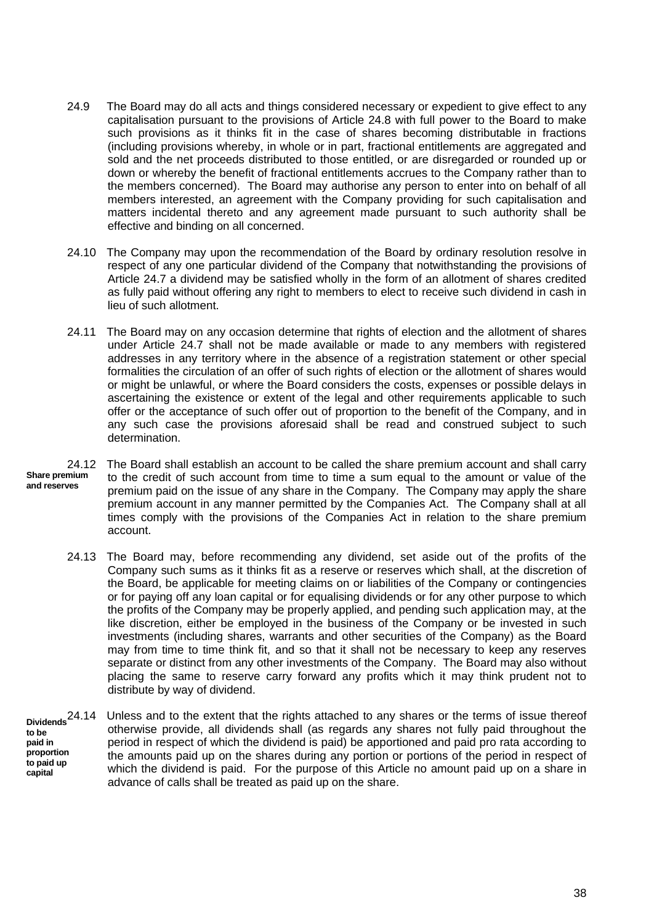- 24.9 The Board may do all acts and things considered necessary or expedient to give effect to any capitalisation pursuant to the provisions of Article 24.8 with full power to the Board to make such provisions as it thinks fit in the case of shares becoming distributable in fractions (including provisions whereby, in whole or in part, fractional entitlements are aggregated and sold and the net proceeds distributed to those entitled, or are disregarded or rounded up or down or whereby the benefit of fractional entitlements accrues to the Company rather than to the members concerned). The Board may authorise any person to enter into on behalf of all members interested, an agreement with the Company providing for such capitalisation and matters incidental thereto and any agreement made pursuant to such authority shall be effective and binding on all concerned.
- 24.10 The Company may upon the recommendation of the Board by ordinary resolution resolve in respect of any one particular dividend of the Company that notwithstanding the provisions of Article 24.7 a dividend may be satisfied wholly in the form of an allotment of shares credited as fully paid without offering any right to members to elect to receive such dividend in cash in lieu of such allotment.
- 24.11 The Board may on any occasion determine that rights of election and the allotment of shares under Article 24.7 shall not be made available or made to any members with registered addresses in any territory where in the absence of a registration statement or other special formalities the circulation of an offer of such rights of election or the allotment of shares would or might be unlawful, or where the Board considers the costs, expenses or possible delays in ascertaining the existence or extent of the legal and other requirements applicable to such offer or the acceptance of such offer out of proportion to the benefit of the Company, and in any such case the provisions aforesaid shall be read and construed subject to such determination.
- **Share premium and reserves** 24.12 The Board shall establish an account to be called the share premium account and shall carry to the credit of such account from time to time a sum equal to the amount or value of the premium paid on the issue of any share in the Company. The Company may apply the share premium account in any manner permitted by the Companies Act. The Company shall at all times comply with the provisions of the Companies Act in relation to the share premium account.
	- 24.13 The Board may, before recommending any dividend, set aside out of the profits of the Company such sums as it thinks fit as a reserve or reserves which shall, at the discretion of the Board, be applicable for meeting claims on or liabilities of the Company or contingencies or for paying off any loan capital or for equalising dividends or for any other purpose to which the profits of the Company may be properly applied, and pending such application may, at the like discretion, either be employed in the business of the Company or be invested in such investments (including shares, warrants and other securities of the Company) as the Board may from time to time think fit, and so that it shall not be necessary to keep any reserves separate or distinct from any other investments of the Company. The Board may also without placing the same to reserve carry forward any profits which it may think prudent not to distribute by way of dividend.
	- **Dividends to be paid in proportion to paid up capital** Unless and to the extent that the rights attached to any shares or the terms of issue thereof otherwise provide, all dividends shall (as regards any shares not fully paid throughout the period in respect of which the dividend is paid) be apportioned and paid pro rata according to the amounts paid up on the shares during any portion or portions of the period in respect of which the dividend is paid. For the purpose of this Article no amount paid up on a share in advance of calls shall be treated as paid up on the share.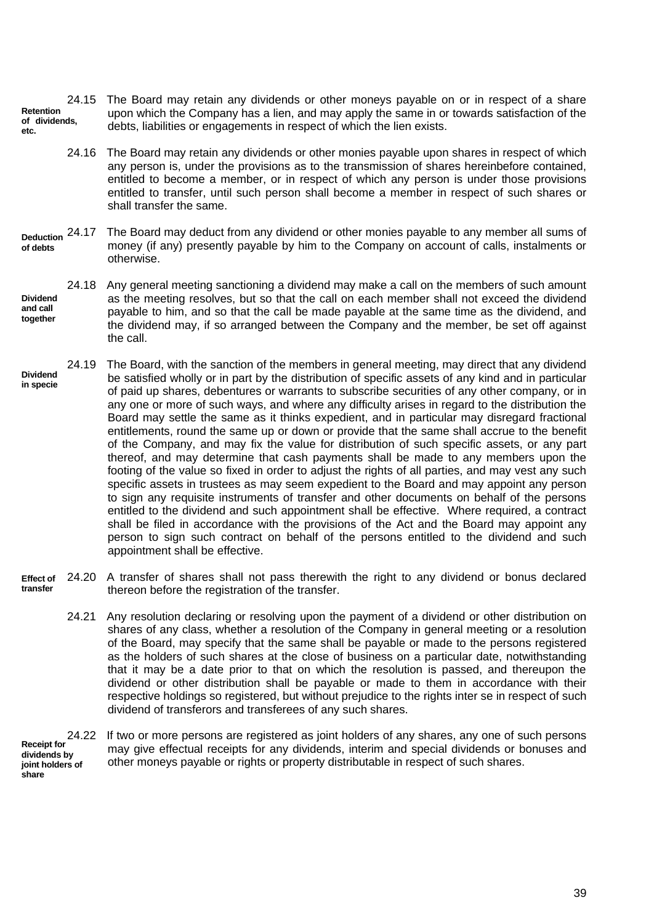**Retention of dividends, etc.** 24.15 The Board may retain any dividends or other moneys payable on or in respect of a share upon which the Company has a lien, and may apply the same in or towards satisfaction of the debts, liabilities or engagements in respect of which the lien exists.

- 24.16 The Board may retain any dividends or other monies payable upon shares in respect of which any person is, under the provisions as to the transmission of shares hereinbefore contained, entitled to become a member, or in respect of which any person is under those provisions entitled to transfer, until such person shall become a member in respect of such shares or shall transfer the same.
- **Deduction of debts** The Board may deduct from any dividend or other monies payable to any member all sums of money (if any) presently payable by him to the Company on account of calls, instalments or otherwise.
- **Dividend and call together** 24.18 Any general meeting sanctioning a dividend may make a call on the members of such amount as the meeting resolves, but so that the call on each member shall not exceed the dividend payable to him, and so that the call be made payable at the same time as the dividend, and the dividend may, if so arranged between the Company and the member, be set off against the call.
- **Dividend in specie** 24.19 The Board, with the sanction of the members in general meeting, may direct that any dividend be satisfied wholly or in part by the distribution of specific assets of any kind and in particular of paid up shares, debentures or warrants to subscribe securities of any other company, or in any one or more of such ways, and where any difficulty arises in regard to the distribution the Board may settle the same as it thinks expedient, and in particular may disregard fractional entitlements, round the same up or down or provide that the same shall accrue to the benefit of the Company, and may fix the value for distribution of such specific assets, or any part thereof, and may determine that cash payments shall be made to any members upon the footing of the value so fixed in order to adjust the rights of all parties, and may vest any such specific assets in trustees as may seem expedient to the Board and may appoint any person to sign any requisite instruments of transfer and other documents on behalf of the persons entitled to the dividend and such appointment shall be effective. Where required, a contract shall be filed in accordance with the provisions of the Act and the Board may appoint any person to sign such contract on behalf of the persons entitled to the dividend and such appointment shall be effective.
- **Effect of transfer** 24.20 A transfer of shares shall not pass therewith the right to any dividend or bonus declared thereon before the registration of the transfer.
	- 24.21 Any resolution declaring or resolving upon the payment of a dividend or other distribution on shares of any class, whether a resolution of the Company in general meeting or a resolution of the Board, may specify that the same shall be payable or made to the persons registered as the holders of such shares at the close of business on a particular date, notwithstanding that it may be a date prior to that on which the resolution is passed, and thereupon the dividend or other distribution shall be payable or made to them in accordance with their respective holdings so registered, but without prejudice to the rights inter se in respect of such dividend of transferors and transferees of any such shares.

**Receipt for dividends by joint holders of share** 24.22 If two or more persons are registered as joint holders of any shares, any one of such persons may give effectual receipts for any dividends, interim and special dividends or bonuses and other moneys payable or rights or property distributable in respect of such shares.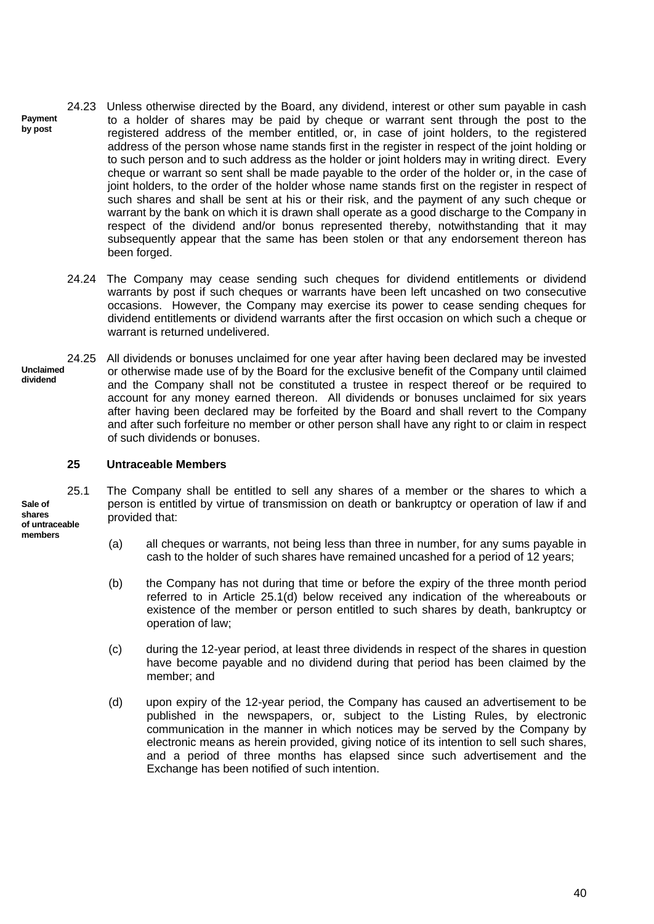- **Payment by post** 24.23 Unless otherwise directed by the Board, any dividend, interest or other sum payable in cash to a holder of shares may be paid by cheque or warrant sent through the post to the registered address of the member entitled, or, in case of joint holders, to the registered address of the person whose name stands first in the register in respect of the joint holding or to such person and to such address as the holder or joint holders may in writing direct. Every cheque or warrant so sent shall be made payable to the order of the holder or, in the case of joint holders, to the order of the holder whose name stands first on the register in respect of such shares and shall be sent at his or their risk, and the payment of any such cheque or warrant by the bank on which it is drawn shall operate as a good discharge to the Company in respect of the dividend and/or bonus represented thereby, notwithstanding that it may subsequently appear that the same has been stolen or that any endorsement thereon has been forged.
	- 24.24 The Company may cease sending such cheques for dividend entitlements or dividend warrants by post if such cheques or warrants have been left uncashed on two consecutive occasions. However, the Company may exercise its power to cease sending cheques for dividend entitlements or dividend warrants after the first occasion on which such a cheque or warrant is returned undelivered.
- **Unclaimed dividend** 24.25 All dividends or bonuses unclaimed for one year after having been declared may be invested or otherwise made use of by the Board for the exclusive benefit of the Company until claimed and the Company shall not be constituted a trustee in respect thereof or be required to account for any money earned thereon. All dividends or bonuses unclaimed for six years after having been declared may be forfeited by the Board and shall revert to the Company and after such forfeiture no member or other person shall have any right to or claim in respect of such dividends or bonuses.

## **25 Untraceable Members**

- 25.1 The Company shall be entitled to sell any shares of a member or the shares to which a person is entitled by virtue of transmission on death or bankruptcy or operation of law if and provided that:
	- (a) all cheques or warrants, not being less than three in number, for any sums payable in cash to the holder of such shares have remained uncashed for a period of 12 years;
	- (b) the Company has not during that time or before the expiry of the three month period referred to in Article 25.1(d) below received any indication of the whereabouts or existence of the member or person entitled to such shares by death, bankruptcy or operation of law;
	- (c) during the 12-year period, at least three dividends in respect of the shares in question have become payable and no dividend during that period has been claimed by the member; and
	- (d) upon expiry of the 12-year period, the Company has caused an advertisement to be published in the newspapers, or, subject to the Listing Rules, by electronic communication in the manner in which notices may be served by the Company by electronic means as herein provided, giving notice of its intention to sell such shares, and a period of three months has elapsed since such advertisement and the Exchange has been notified of such intention.

**Sale of shares of untraceable members**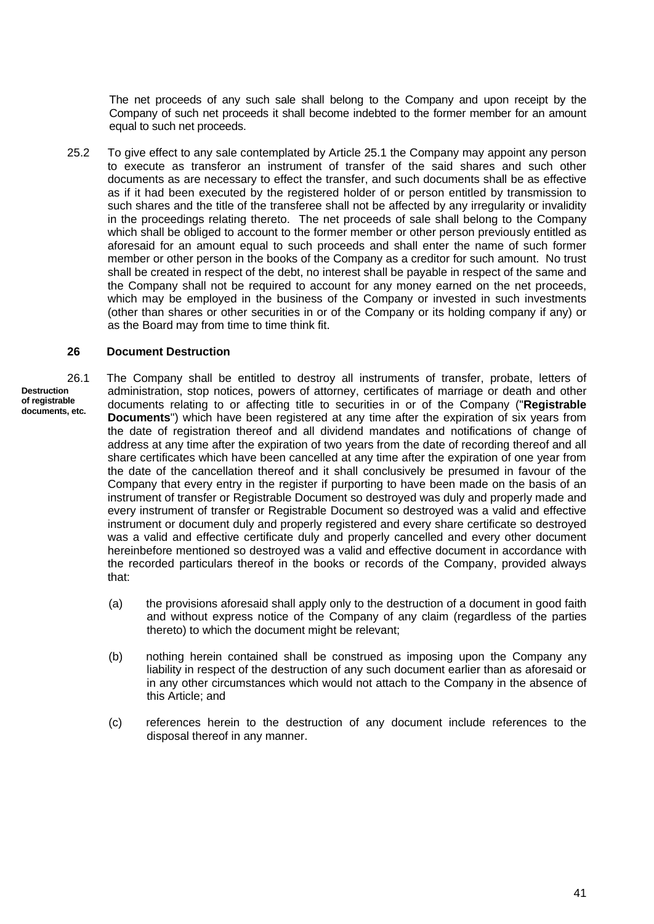The net proceeds of any such sale shall belong to the Company and upon receipt by the Company of such net proceeds it shall become indebted to the former member for an amount equal to such net proceeds.

25.2 To give effect to any sale contemplated by Article 25.1 the Company may appoint any person to execute as transferor an instrument of transfer of the said shares and such other documents as are necessary to effect the transfer, and such documents shall be as effective as if it had been executed by the registered holder of or person entitled by transmission to such shares and the title of the transferee shall not be affected by any irregularity or invalidity in the proceedings relating thereto. The net proceeds of sale shall belong to the Company which shall be obliged to account to the former member or other person previously entitled as aforesaid for an amount equal to such proceeds and shall enter the name of such former member or other person in the books of the Company as a creditor for such amount. No trust shall be created in respect of the debt, no interest shall be payable in respect of the same and the Company shall not be required to account for any money earned on the net proceeds, which may be employed in the business of the Company or invested in such investments (other than shares or other securities in or of the Company or its holding company if any) or as the Board may from time to time think fit.

#### **26 Document Destruction**

**Destruction of registrable documents, etc.**

26.1 The Company shall be entitled to destroy all instruments of transfer, probate, letters of administration, stop notices, powers of attorney, certificates of marriage or death and other documents relating to or affecting title to securities in or of the Company ("**Registrable Documents**") which have been registered at any time after the expiration of six years from the date of registration thereof and all dividend mandates and notifications of change of address at any time after the expiration of two years from the date of recording thereof and all share certificates which have been cancelled at any time after the expiration of one year from the date of the cancellation thereof and it shall conclusively be presumed in favour of the Company that every entry in the register if purporting to have been made on the basis of an instrument of transfer or Registrable Document so destroyed was duly and properly made and every instrument of transfer or Registrable Document so destroyed was a valid and effective instrument or document duly and properly registered and every share certificate so destroyed was a valid and effective certificate duly and properly cancelled and every other document hereinbefore mentioned so destroyed was a valid and effective document in accordance with the recorded particulars thereof in the books or records of the Company, provided always that:

- (a) the provisions aforesaid shall apply only to the destruction of a document in good faith and without express notice of the Company of any claim (regardless of the parties thereto) to which the document might be relevant;
- (b) nothing herein contained shall be construed as imposing upon the Company any liability in respect of the destruction of any such document earlier than as aforesaid or in any other circumstances which would not attach to the Company in the absence of this Article; and
- (c) references herein to the destruction of any document include references to the disposal thereof in any manner.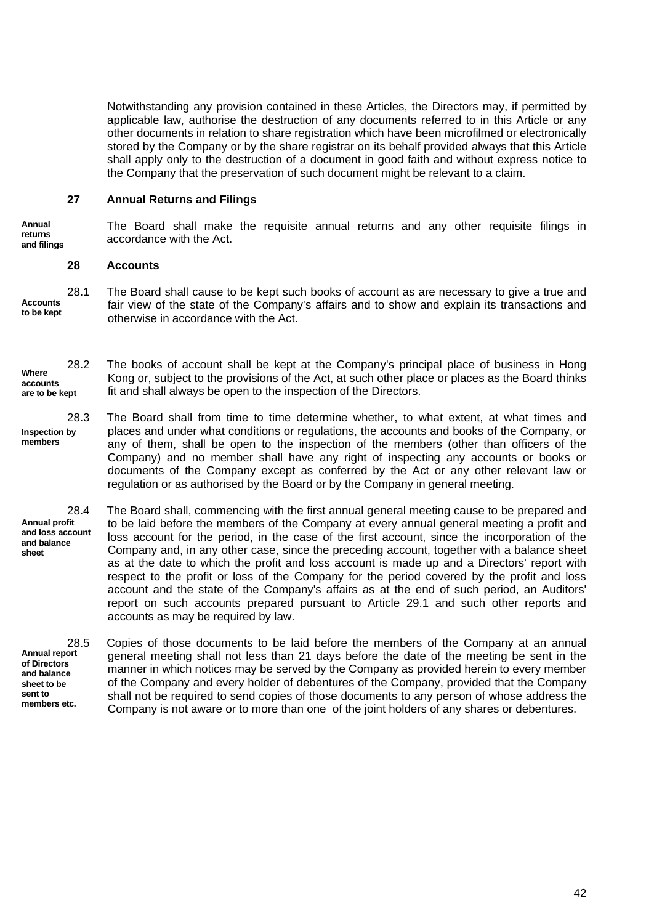Notwithstanding any provision contained in these Articles, the Directors may, if permitted by applicable law, authorise the destruction of any documents referred to in this Article or any other documents in relation to share registration which have been microfilmed or electronically stored by the Company or by the share registrar on its behalf provided always that this Article shall apply only to the destruction of a document in good faith and without express notice to the Company that the preservation of such document might be relevant to a claim.

## **27 Annual Returns and Filings**

**Annual returns and filings** The Board shall make the requisite annual returns and any other requisite filings in accordance with the Act.

#### **28 Accounts**

**Accounts to be kept** 28.1 The Board shall cause to be kept such books of account as are necessary to give a true and fair view of the state of the Company's affairs and to show and explain its transactions and otherwise in accordance with the Act.

- **Where accounts are to be kept** 28.2 The books of account shall be kept at the Company's principal place of business in Hong Kong or, subject to the provisions of the Act, at such other place or places as the Board thinks fit and shall always be open to the inspection of the Directors.
- **Inspection by members** 28.3 The Board shall from time to time determine whether, to what extent, at what times and places and under what conditions or regulations, the accounts and books of the Company, or any of them, shall be open to the inspection of the members (other than officers of the Company) and no member shall have any right of inspecting any accounts or books or documents of the Company except as conferred by the Act or any other relevant law or regulation or as authorised by the Board or by the Company in general meeting.

**Annual profit and loss account and balance sheet** 28.4 The Board shall, commencing with the first annual general meeting cause to be prepared and to be laid before the members of the Company at every annual general meeting a profit and loss account for the period, in the case of the first account, since the incorporation of the Company and, in any other case, since the preceding account, together with a balance sheet as at the date to which the profit and loss account is made up and a Directors' report with respect to the profit or loss of the Company for the period covered by the profit and loss account and the state of the Company's affairs as at the end of such period, an Auditors' report on such accounts prepared pursuant to Article 29.1 and such other reports and accounts as may be required by law.

**Annual report of Directors and balance sheet to be sent to members etc.**

28.5 Copies of those documents to be laid before the members of the Company at an annual general meeting shall not less than 21 days before the date of the meeting be sent in the manner in which notices may be served by the Company as provided herein to every member of the Company and every holder of debentures of the Company, provided that the Company shall not be required to send copies of those documents to any person of whose address the Company is not aware or to more than one of the joint holders of any shares or debentures.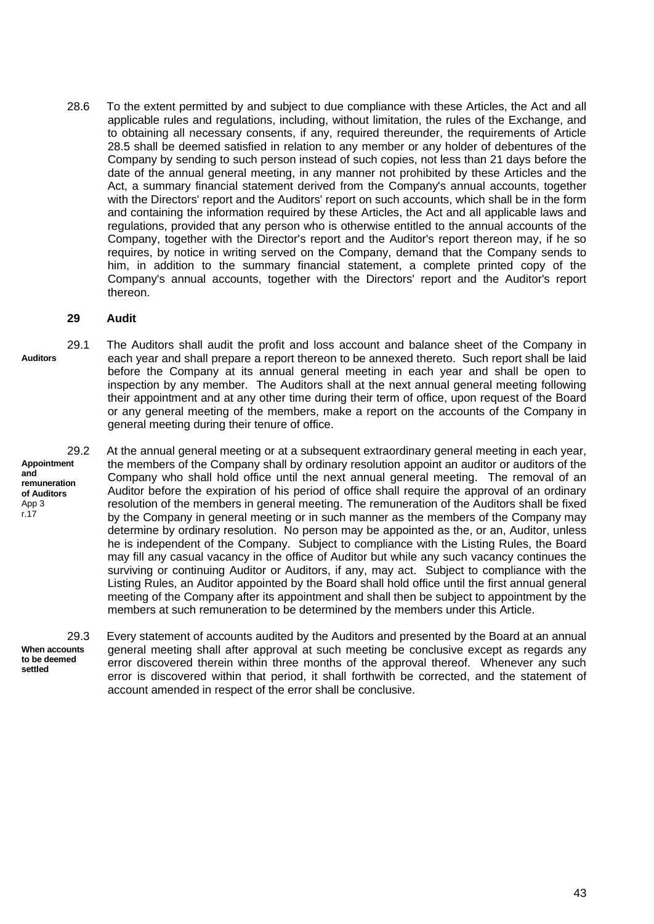28.6 To the extent permitted by and subject to due compliance with these Articles, the Act and all applicable rules and regulations, including, without limitation, the rules of the Exchange, and to obtaining all necessary consents, if any, required thereunder, the requirements of Article 28.5 shall be deemed satisfied in relation to any member or any holder of debentures of the Company by sending to such person instead of such copies, not less than 21 days before the date of the annual general meeting, in any manner not prohibited by these Articles and the Act, a summary financial statement derived from the Company's annual accounts, together with the Directors' report and the Auditors' report on such accounts, which shall be in the form and containing the information required by these Articles, the Act and all applicable laws and regulations, provided that any person who is otherwise entitled to the annual accounts of the Company, together with the Director's report and the Auditor's report thereon may, if he so requires, by notice in writing served on the Company, demand that the Company sends to him, in addition to the summary financial statement, a complete printed copy of the Company's annual accounts, together with the Directors' report and the Auditor's report thereon.

#### **29 Audit**

**Auditors** 29.1 The Auditors shall audit the profit and loss account and balance sheet of the Company in each year and shall prepare a report thereon to be annexed thereto. Such report shall be laid before the Company at its annual general meeting in each year and shall be open to inspection by any member. The Auditors shall at the next annual general meeting following their appointment and at any other time during their term of office, upon request of the Board or any general meeting of the members, make a report on the accounts of the Company in general meeting during their tenure of office.

**Appointment and remuneration of Auditors** App 3 r.17

29.2 At the annual general meeting or at a subsequent extraordinary general meeting in each year, the members of the Company shall by ordinary resolution appoint an auditor or auditors of the Company who shall hold office until the next annual general meeting. The removal of an Auditor before the expiration of his period of office shall require the approval of an ordinary resolution of the members in general meeting. The remuneration of the Auditors shall be fixed by the Company in general meeting or in such manner as the members of the Company may determine by ordinary resolution. No person may be appointed as the, or an, Auditor, unless he is independent of the Company. Subject to compliance with the Listing Rules, the Board may fill any casual vacancy in the office of Auditor but while any such vacancy continues the surviving or continuing Auditor or Auditors, if any, may act. Subject to compliance with the Listing Rules, an Auditor appointed by the Board shall hold office until the first annual general meeting of the Company after its appointment and shall then be subject to appointment by the members at such remuneration to be determined by the members under this Article.

**When accounts to be deemed settled**

29.3 Every statement of accounts audited by the Auditors and presented by the Board at an annual general meeting shall after approval at such meeting be conclusive except as regards any error discovered therein within three months of the approval thereof. Whenever any such error is discovered within that period, it shall forthwith be corrected, and the statement of account amended in respect of the error shall be conclusive.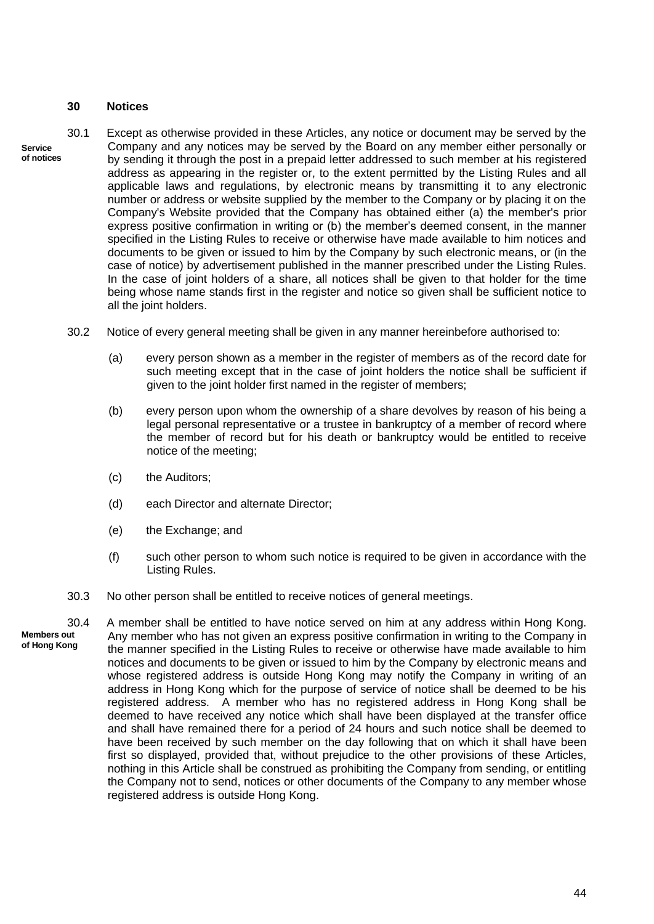#### **30 Notices**

- **Service of notices** 30.1 Except as otherwise provided in these Articles, any notice or document may be served by the Company and any notices may be served by the Board on any member either personally or by sending it through the post in a prepaid letter addressed to such member at his registered address as appearing in the register or, to the extent permitted by the Listing Rules and all applicable laws and regulations, by electronic means by transmitting it to any electronic number or address or website supplied by the member to the Company or by placing it on the Company's Website provided that the Company has obtained either (a) the member's prior express positive confirmation in writing or (b) the member's deemed consent, in the manner specified in the Listing Rules to receive or otherwise have made available to him notices and documents to be given or issued to him by the Company by such electronic means, or (in the case of notice) by advertisement published in the manner prescribed under the Listing Rules. In the case of joint holders of a share, all notices shall be given to that holder for the time being whose name stands first in the register and notice so given shall be sufficient notice to all the joint holders.
	- 30.2 Notice of every general meeting shall be given in any manner hereinbefore authorised to:
		- (a) every person shown as a member in the register of members as of the record date for such meeting except that in the case of joint holders the notice shall be sufficient if given to the joint holder first named in the register of members;
		- (b) every person upon whom the ownership of a share devolves by reason of his being a legal personal representative or a trustee in bankruptcy of a member of record where the member of record but for his death or bankruptcy would be entitled to receive notice of the meeting;
		- (c) the Auditors;
		- (d) each Director and alternate Director;
		- (e) the Exchange; and
		- (f) such other person to whom such notice is required to be given in accordance with the Listing Rules.
	- 30.3 No other person shall be entitled to receive notices of general meetings.

**Members out of Hong Kong** 30.4 A member shall be entitled to have notice served on him at any address within Hong Kong. Any member who has not given an express positive confirmation in writing to the Company in the manner specified in the Listing Rules to receive or otherwise have made available to him notices and documents to be given or issued to him by the Company by electronic means and whose registered address is outside Hong Kong may notify the Company in writing of an address in Hong Kong which for the purpose of service of notice shall be deemed to be his registered address. A member who has no registered address in Hong Kong shall be deemed to have received any notice which shall have been displayed at the transfer office and shall have remained there for a period of 24 hours and such notice shall be deemed to have been received by such member on the day following that on which it shall have been first so displayed, provided that, without prejudice to the other provisions of these Articles, nothing in this Article shall be construed as prohibiting the Company from sending, or entitling the Company not to send, notices or other documents of the Company to any member whose registered address is outside Hong Kong.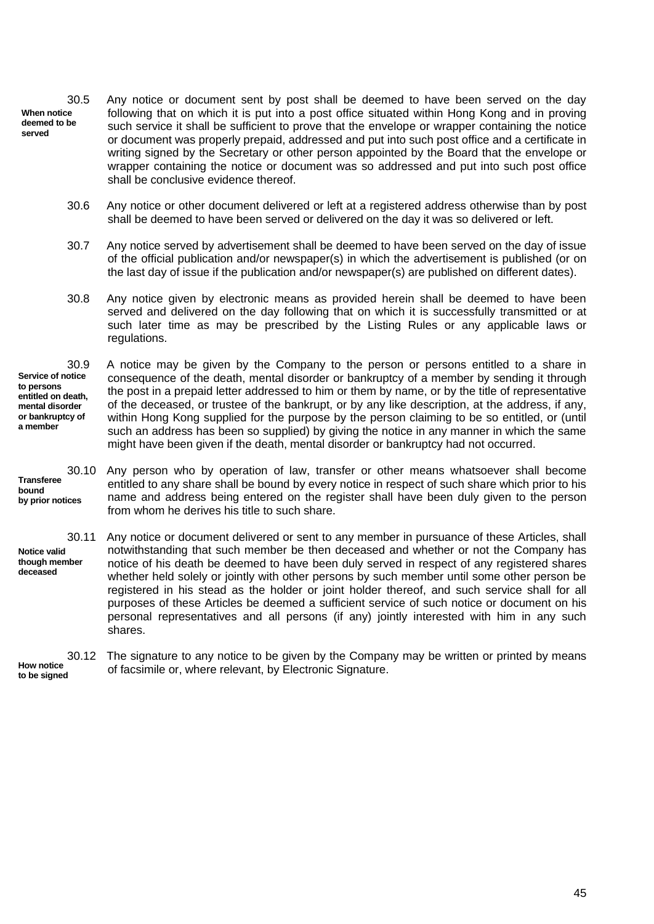**When notice deemed to be served** 30.5 Any notice or document sent by post shall be deemed to have been served on the day following that on which it is put into a post office situated within Hong Kong and in proving such service it shall be sufficient to prove that the envelope or wrapper containing the notice or document was properly prepaid, addressed and put into such post office and a certificate in writing signed by the Secretary or other person appointed by the Board that the envelope or wrapper containing the notice or document was so addressed and put into such post office shall be conclusive evidence thereof.

- 30.6 Any notice or other document delivered or left at a registered address otherwise than by post shall be deemed to have been served or delivered on the day it was so delivered or left.
- 30.7 Any notice served by advertisement shall be deemed to have been served on the day of issue of the official publication and/or newspaper(s) in which the advertisement is published (or on the last day of issue if the publication and/or newspaper(s) are published on different dates).
- 30.8 Any notice given by electronic means as provided herein shall be deemed to have been served and delivered on the day following that on which it is successfully transmitted or at such later time as may be prescribed by the Listing Rules or any applicable laws or regulations.

**Service of notice to persons entitled on death, mental disorder or bankruptcy of a member**

30.9 A notice may be given by the Company to the person or persons entitled to a share in consequence of the death, mental disorder or bankruptcy of a member by sending it through the post in a prepaid letter addressed to him or them by name, or by the title of representative of the deceased, or trustee of the bankrupt, or by any like description, at the address, if any, within Hong Kong supplied for the purpose by the person claiming to be so entitled, or (until such an address has been so supplied) by giving the notice in any manner in which the same might have been given if the death, mental disorder or bankruptcy had not occurred.

**Transferee bound by prior notices**

30.10 Any person who by operation of law, transfer or other means whatsoever shall become entitled to any share shall be bound by every notice in respect of such share which prior to his name and address being entered on the register shall have been duly given to the person from whom he derives his title to such share.

**Notice valid though member deceased** 30.11 Any notice or document delivered or sent to any member in pursuance of these Articles, shall notwithstanding that such member be then deceased and whether or not the Company has notice of his death be deemed to have been duly served in respect of any registered shares whether held solely or jointly with other persons by such member until some other person be registered in his stead as the holder or joint holder thereof, and such service shall for all purposes of these Articles be deemed a sufficient service of such notice or document on his personal representatives and all persons (if any) jointly interested with him in any such shares.

**How notice to be signed** 30.12 The signature to any notice to be given by the Company may be written or printed by means of facsimile or, where relevant, by Electronic Signature.

45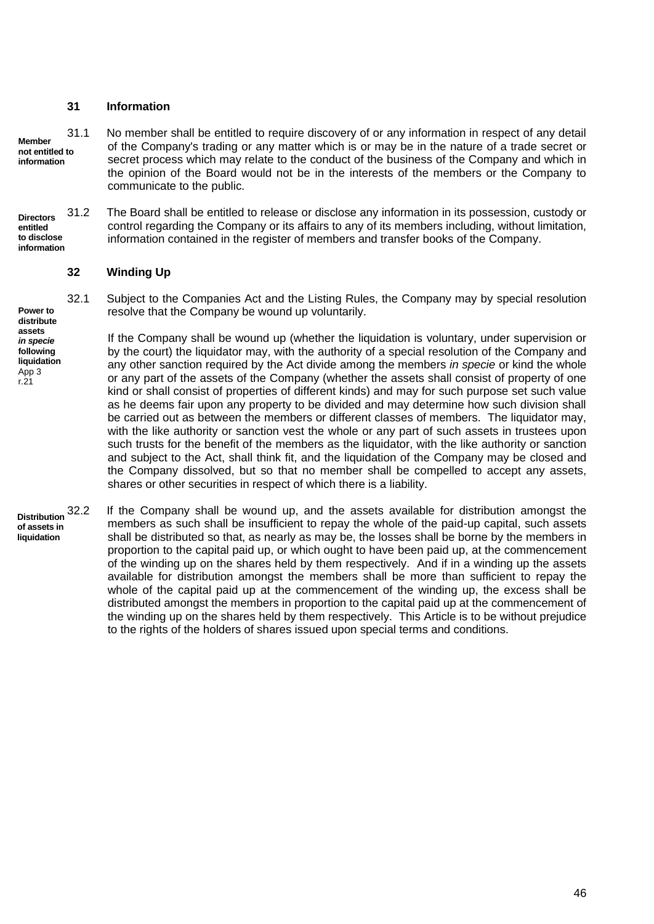### **31 Information**

**Member not entitled to information**

31.1 No member shall be entitled to require discovery of or any information in respect of any detail of the Company's trading or any matter which is or may be in the nature of a trade secret or secret process which may relate to the conduct of the business of the Company and which in the opinion of the Board would not be in the interests of the members or the Company to communicate to the public.

**Directors entitled to disclose information** 31.2 The Board shall be entitled to release or disclose any information in its possession, custody or control regarding the Company or its affairs to any of its members including, without limitation, information contained in the register of members and transfer books of the Company.

## **32 Winding Up**

**Power to distribute assets** *in specie* **following liquidation** App 3

r.21

32.1 Subject to the Companies Act and the Listing Rules, the Company may by special resolution resolve that the Company be wound up voluntarily.

If the Company shall be wound up (whether the liquidation is voluntary, under supervision or by the court) the liquidator may, with the authority of a special resolution of the Company and any other sanction required by the Act divide among the members *in specie* or kind the whole or any part of the assets of the Company (whether the assets shall consist of property of one kind or shall consist of properties of different kinds) and may for such purpose set such value as he deems fair upon any property to be divided and may determine how such division shall be carried out as between the members or different classes of members. The liquidator may, with the like authority or sanction vest the whole or any part of such assets in trustees upon such trusts for the benefit of the members as the liquidator, with the like authority or sanction and subject to the Act, shall think fit, and the liquidation of the Company may be closed and the Company dissolved, but so that no member shall be compelled to accept any assets, shares or other securities in respect of which there is a liability.

**Distribution of assets in liquidation**

If the Company shall be wound up, and the assets available for distribution amongst the members as such shall be insufficient to repay the whole of the paid-up capital, such assets shall be distributed so that, as nearly as may be, the losses shall be borne by the members in proportion to the capital paid up, or which ought to have been paid up, at the commencement of the winding up on the shares held by them respectively. And if in a winding up the assets available for distribution amongst the members shall be more than sufficient to repay the whole of the capital paid up at the commencement of the winding up, the excess shall be distributed amongst the members in proportion to the capital paid up at the commencement of the winding up on the shares held by them respectively. This Article is to be without prejudice to the rights of the holders of shares issued upon special terms and conditions.